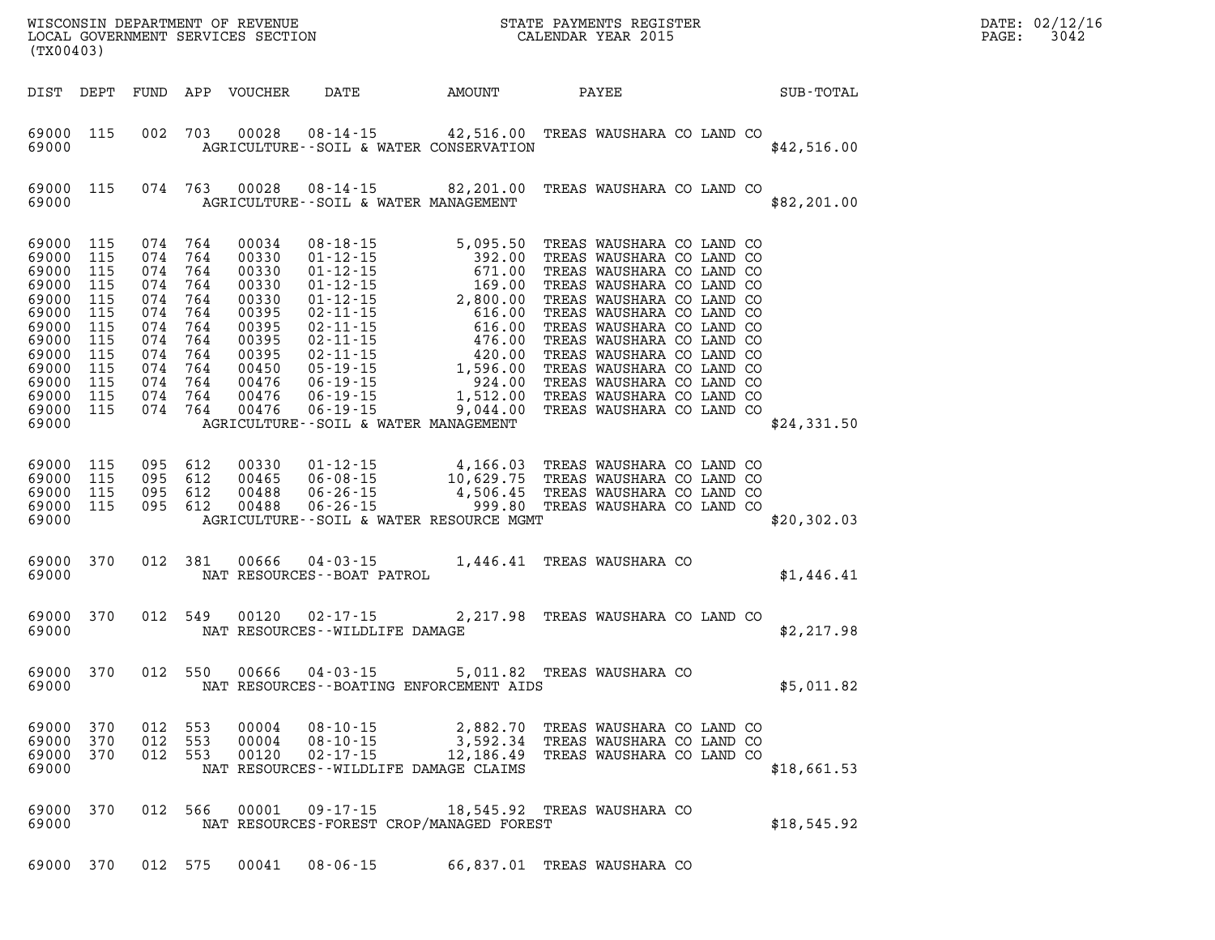| (TX00403)                                                                                                                                  |                                                             |                                                                                                                         |                                 |                                                                                                                   |                                                                                                                                                                                                                                            | WISCONSIN DEPARTMENT OF REVENUE<br>LOCAL GOVERNMENT SERVICES SECTION<br>CALENDAR YEAR 2015 |       |                                                                                     |  |  | $R = \frac{1}{2}$ | PAGE: | DATE: 02/12/16<br>3042 |
|--------------------------------------------------------------------------------------------------------------------------------------------|-------------------------------------------------------------|-------------------------------------------------------------------------------------------------------------------------|---------------------------------|-------------------------------------------------------------------------------------------------------------------|--------------------------------------------------------------------------------------------------------------------------------------------------------------------------------------------------------------------------------------------|--------------------------------------------------------------------------------------------|-------|-------------------------------------------------------------------------------------|--|--|-------------------|-------|------------------------|
| DIST DEPT                                                                                                                                  |                                                             |                                                                                                                         |                                 | FUND APP VOUCHER                                                                                                  | DATE                                                                                                                                                                                                                                       | AMOUNT                                                                                     | PAYEE |                                                                                     |  |  | SUB-TOTAL         |       |                        |
| 69000 115<br>69000                                                                                                                         |                                                             |                                                                                                                         | 002 703                         |                                                                                                                   | 00028  08-14-15  42,516.00  TREAS WAUSHARA CO LAND CO<br>AGRICULTURE -- SOIL & WATER CONSERVATION                                                                                                                                          |                                                                                            |       |                                                                                     |  |  | \$42,516.00       |       |                        |
| 69000 115<br>69000                                                                                                                         |                                                             |                                                                                                                         | 074 763                         | 00028                                                                                                             | 08-14-15 82,201.00 TREAS WAUSHARA CO LAND CO<br>AGRICULTURE--SOIL & WATER MANAGEMENT                                                                                                                                                       |                                                                                            |       |                                                                                     |  |  | \$82,201.00       |       |                        |
| 69000<br>69000<br>69000<br>69000<br>69000<br>69000<br>69000<br>69000<br>69000 115<br>69000<br>69000 115<br>69000 115<br>69000 115<br>69000 | 115<br>115<br>115<br>115<br>115<br>115<br>115<br>115<br>115 | 074 764<br>074 764<br>074 764<br>074<br>074<br>074<br>074<br>074<br>074 764<br>074 764<br>074 764<br>074 764<br>074 764 | 764<br>764<br>764<br>764<br>764 | 00034<br>00330<br>00330<br>00330<br>00330<br>00395<br>00395<br>00395<br>00395<br>00450<br>00476<br>00476<br>00476 | 06-19-15<br>AGRICULTURE--SOIL & WATER MANAGEMENT                                                                                                                                                                                           | 9,044.00                                                                                   |       | TREAS WAUSHARA CO LAND CO                                                           |  |  | \$24,331.50       |       |                        |
| 69000 115<br>69000<br>69000 115<br>69000 115<br>69000                                                                                      | 115                                                         | 095 612<br>095 612<br>095 612<br>095 612                                                                                |                                 | 00330<br>00465<br>00488<br>00488                                                                                  | 01-12-15   4,166.03 TREAS WAUSHARA CO LAND CO<br>06-08-15   10,629.75 TREAS WAUSHARA CO LAND CO<br>06-26-15   4,506.45 TREAS WAUSHARA CO LAND CO<br>06-26-15   999.80 TREAS WAUSHARA CO LAND CO<br>AGRICULTURE--SOIL & WATER RESOURCE MGMT |                                                                                            |       |                                                                                     |  |  | \$20,302.03       |       |                        |
| 69000 370<br>69000                                                                                                                         |                                                             | 012 381                                                                                                                 |                                 | 00666                                                                                                             | $04 - 03 - 15$<br>NAT RESOURCES - - BOAT PATROL                                                                                                                                                                                            | 1,446.41 TREAS WAUSHARA CO                                                                 |       |                                                                                     |  |  | \$1,446.41        |       |                        |
| 69000 370<br>69000                                                                                                                         |                                                             | 012 549                                                                                                                 |                                 | 00120                                                                                                             | 02-17-15<br>NAT RESOURCES - - WILDLIFE DAMAGE                                                                                                                                                                                              | 2,217.98 TREAS WAUSHARA CO LAND CO                                                         |       |                                                                                     |  |  | \$2,217.98        |       |                        |
| 69000 370<br>69000                                                                                                                         |                                                             | 012 550                                                                                                                 |                                 | 00666                                                                                                             | $04 - 03 - 15$<br>NAT RESOURCES -- BOATING ENFORCEMENT AIDS                                                                                                                                                                                | 5,011.82 TREAS WAUSHARA CO                                                                 |       |                                                                                     |  |  | \$5,011.82        |       |                        |
| 69000<br>69000<br>69000<br>69000                                                                                                           | 370<br>370<br>370                                           | 012<br>012<br>012                                                                                                       | 553<br>553<br>553               | 00004<br>00004<br>00120                                                                                           | $08 - 10 - 15$<br>$08 - 10 - 15$<br>$02 - 17 - 15$<br>NAT RESOURCES - - WILDLIFE DAMAGE CLAIMS                                                                                                                                             | 2,882.70<br>3,592.34<br>12,186.49                                                          |       | TREAS WAUSHARA CO LAND CO<br>TREAS WAUSHARA CO LAND CO<br>TREAS WAUSHARA CO LAND CO |  |  | \$18,661.53       |       |                        |
| 69000<br>69000                                                                                                                             | 370                                                         | 012 566                                                                                                                 |                                 | 00001                                                                                                             | $09 - 17 - 15$<br>NAT RESOURCES-FOREST CROP/MANAGED FOREST                                                                                                                                                                                 | 18,545.92 TREAS WAUSHARA CO                                                                |       |                                                                                     |  |  | \$18,545.92       |       |                        |
| 69000 370                                                                                                                                  |                                                             | 012 575                                                                                                                 |                                 | 00041                                                                                                             | $08 - 06 - 15$                                                                                                                                                                                                                             | 66,837.01 TREAS WAUSHARA CO                                                                |       |                                                                                     |  |  |                   |       |                        |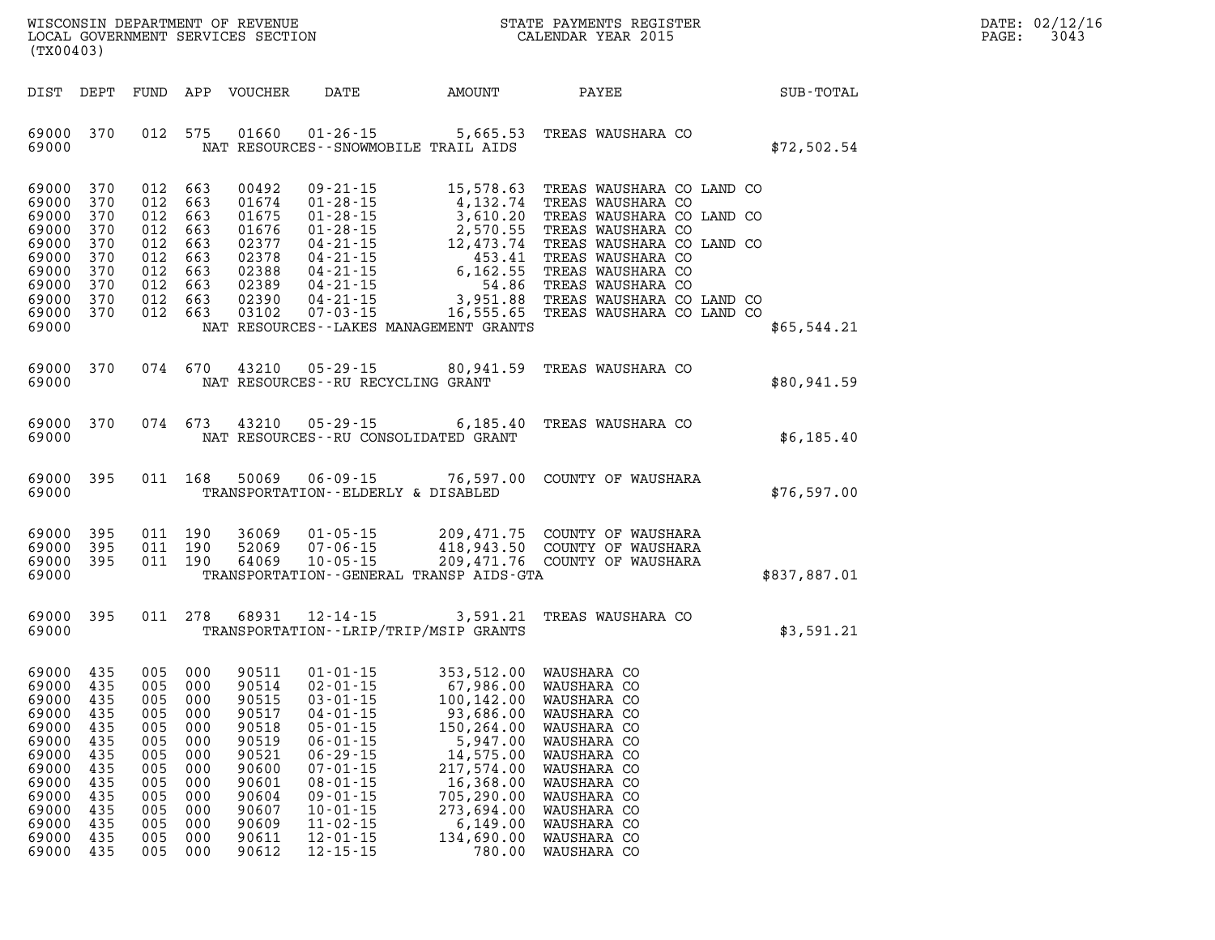| WISCONSIN DEPARTMENT OF REVENUE   | PAYMENTS REGISTER<br>3TATE | DATE: | 02/12/16 |
|-----------------------------------|----------------------------|-------|----------|
| LOCAL GOVERNMENT SERVICES SECTION | CALENDAR YEAR 2015         | PAGE  | 3043     |

| (TX00403)                                                                                                             |                                                                                  |                                                             |                                                                                                            | LOCAL GOVERNMENT SERVICES SECTION                                                                                 |                                                                                                                                                                                                                      |                                                                                                                                                                                                                         | CALENDAR YEAR 2015                                                                                                                                                                                                                                 |                 | PAGE: | 3043 |
|-----------------------------------------------------------------------------------------------------------------------|----------------------------------------------------------------------------------|-------------------------------------------------------------|------------------------------------------------------------------------------------------------------------|-------------------------------------------------------------------------------------------------------------------|----------------------------------------------------------------------------------------------------------------------------------------------------------------------------------------------------------------------|-------------------------------------------------------------------------------------------------------------------------------------------------------------------------------------------------------------------------|----------------------------------------------------------------------------------------------------------------------------------------------------------------------------------------------------------------------------------------------------|-----------------|-------|------|
|                                                                                                                       |                                                                                  |                                                             |                                                                                                            | DIST DEPT FUND APP VOUCHER                                                                                        |                                                                                                                                                                                                                      | DATE AMOUNT                                                                                                                                                                                                             |                                                                                                                                                                                                                                                    | PAYEE SUB-TOTAL |       |      |
| 69000                                                                                                                 | 69000 370                                                                        |                                                             | 012 575                                                                                                    | 01660                                                                                                             |                                                                                                                                                                                                                      | $01 - 26 - 15$ 5,665.53<br>NAT RESOURCES - - SNOWMOBILE TRAIL AIDS                                                                                                                                                      | TREAS WAUSHARA CO                                                                                                                                                                                                                                  | \$72,502.54     |       |      |
| 69000 370<br>69000<br>69000<br>69000<br>69000<br>69000<br>69000<br>69000<br>69000<br>69000 370<br>69000               | 370<br>370<br>370<br>370<br>370<br>370<br>370<br>370                             |                                                             | 012 663<br>012 663<br>012 663<br>012 663<br>012 663<br>012 663<br>012 663<br>012 663<br>012 663<br>012 663 | 00492<br>01674<br>01675<br>01676<br>02377<br>02378<br>02388<br>02389<br>02390<br>03102                            |                                                                                                                                                                                                                      | NAT RESOURCES - - LAKES MANAGEMENT GRANTS                                                                                                                                                                               | 09-21-15<br>01-28-15<br>4,132.74 TREAS WAUSHARA CO LAND CO<br>01-28-15<br>3,610.20 TREAS WAUSHARA CO LAND CO<br>01-28-15<br>2,570.55 TREAS WAUSHARA CO LAND CO<br>04-21-15<br>453.41 TREAS WAUSHARA CO LAND CO<br>04-21-15<br>6,162.55 TREAS WAUSH | \$65,544.21     |       |      |
| 69000                                                                                                                 | 69000 370                                                                        |                                                             | 074 670                                                                                                    |                                                                                                                   | NAT RESOURCES - - RU RECYCLING GRANT                                                                                                                                                                                 |                                                                                                                                                                                                                         | 43210 05-29-15 80,941.59 TREAS WAUSHARA CO                                                                                                                                                                                                         | \$80,941.59     |       |      |
| 69000                                                                                                                 | 69000 370                                                                        |                                                             | 074 673                                                                                                    |                                                                                                                   |                                                                                                                                                                                                                      | NAT RESOURCES -- RU CONSOLIDATED GRANT                                                                                                                                                                                  | 43210 05-29-15 6,185.40 TREAS WAUSHARA CO                                                                                                                                                                                                          | \$6,185.40      |       |      |
| 69000                                                                                                                 | 69000 395                                                                        |                                                             | 011 168                                                                                                    | 50069                                                                                                             | TRANSPORTATION--ELDERLY & DISABLED                                                                                                                                                                                   |                                                                                                                                                                                                                         | 06-09-15 76,597.00 COUNTY OF WAUSHARA                                                                                                                                                                                                              | \$76,597.00     |       |      |
| 69000 395<br>69000                                                                                                    | 69000 395<br>69000 395                                                           |                                                             | 011 190<br>011 190<br>011 190                                                                              | 36069<br>52069<br>64069                                                                                           | $07 - 06 - 15$<br>10-05-15                                                                                                                                                                                           | TRANSPORTATION--GENERAL TRANSP AIDS-GTA                                                                                                                                                                                 | 01-05-15 209,471.75 COUNTY OF WAUSHARA<br>07-06-15 418,943.50 COUNTY OF WAUSHARA<br>10-05-15 209,471.76 COUNTY OF WAUSHARA                                                                                                                         | \$837,887.01    |       |      |
| 69000                                                                                                                 | 69000 395                                                                        |                                                             | 011 278                                                                                                    | 68931                                                                                                             |                                                                                                                                                                                                                      | TRANSPORTATION - - LRIP/TRIP/MSIP GRANTS                                                                                                                                                                                | 12-14-15 3,591.21 TREAS WAUSHARA CO                                                                                                                                                                                                                | \$3,591.21      |       |      |
| 69000 435<br>69000<br>69000<br>69000<br>69000<br>69000<br>69000<br>69000<br>69000<br>69000<br>69000<br>69000<br>69000 | 435<br>435<br>435<br>435<br>435<br>435<br>435<br>435<br>435<br>435<br>435<br>435 | 005<br>005<br>005<br>005<br>005<br>005<br>005<br>005<br>005 | 005 000<br>005 000<br>005 000<br>005 000<br>000<br>000<br>000<br>000<br>000<br>000<br>000<br>000<br>000    | 90511<br>90514<br>90515<br>90517<br>90518<br>90519<br>90521<br>90600<br>90601<br>90604<br>90607<br>90609<br>90611 | $02 - 01 - 15$<br>$03 - 01 - 15$<br>$04 - 01 - 15$<br>$05 - 01 - 15$<br>$06 - 01 - 15$<br>$06 - 29 - 15$<br>$07 - 01 - 15$<br>$08 - 01 - 15$<br>$09 - 01 - 15$<br>$10 - 01 - 15$<br>$11 - 02 - 15$<br>$12 - 01 - 15$ | 01-01-15 353,512.00 WAUSHARA CO<br>67,986.00 WAUSHARA CO<br>100,142.00 WAUSHARA CO<br>93,686.00<br>150,264.00<br>5,947.00<br>14,575.00<br>217,574.00<br>16,368.00<br>705,290.00<br>273,694.00<br>6,149.00<br>134,690.00 | 100,142.00 WAUSHARA CO<br>WAUSHARA CO<br>WAUSHARA CO<br>WAUSHARA CO<br>WAUSHARA CO<br>WAUSHARA CO<br>WAUSHARA CO<br>WAUSHARA CO<br>WAUSHARA CO<br>WAUSHARA CO<br>WAUSHARA CO                                                                       |                 |       |      |

**69000 435 005 000 90612 12-15-15 780.00 WAUSHARA CO**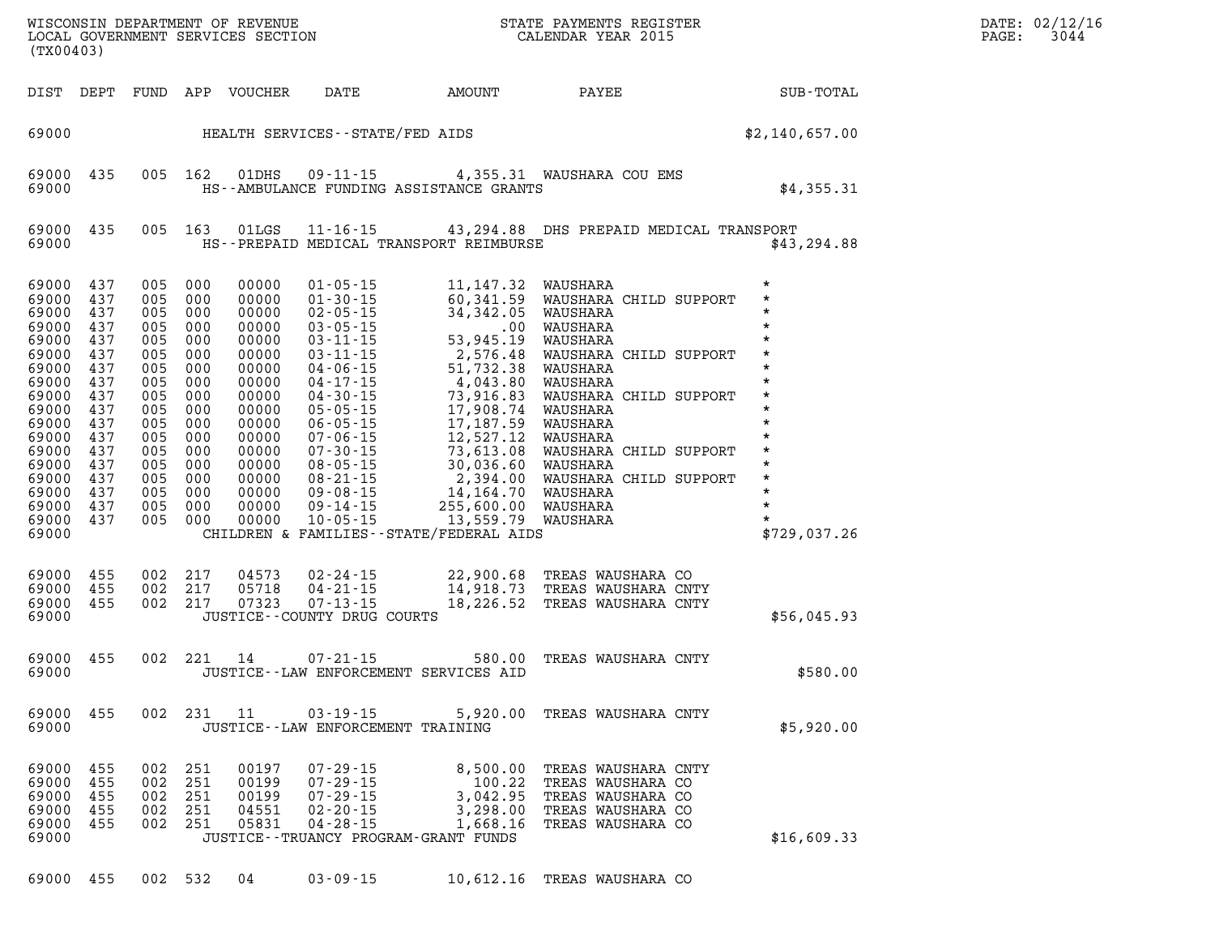| DATE: | 02/12/16 |
|-------|----------|
| PAGE: | 3044     |

| (TX00403)                                                                                                                                                                   |                                                                                                                     |                                                             |                                                                                                                                                                | LOCAL GOVERNMENT SERVICES SECTION                                                                                                                              |                                                                                        |                                                                                                     | WISCONSIN DEPARTMENT OF REVENUE<br>LOCAL GOVERNMENT SERVICES SECTION FOR THE STATE PAYMENTS REGISTER<br>CALENDAR YEAR 2015                                                                                                                                          |                                                                                                                                                                        | DATE: 02/12/16<br>3044<br>PAGE: |
|-----------------------------------------------------------------------------------------------------------------------------------------------------------------------------|---------------------------------------------------------------------------------------------------------------------|-------------------------------------------------------------|----------------------------------------------------------------------------------------------------------------------------------------------------------------|----------------------------------------------------------------------------------------------------------------------------------------------------------------|----------------------------------------------------------------------------------------|-----------------------------------------------------------------------------------------------------|---------------------------------------------------------------------------------------------------------------------------------------------------------------------------------------------------------------------------------------------------------------------|------------------------------------------------------------------------------------------------------------------------------------------------------------------------|---------------------------------|
|                                                                                                                                                                             |                                                                                                                     |                                                             |                                                                                                                                                                | DIST DEPT FUND APP VOUCHER                                                                                                                                     | DATE                                                                                   | AMOUNT                                                                                              | <b>PAYEE</b>                                                                                                                                                                                                                                                        | SUB-TOTAL                                                                                                                                                              |                                 |
| 69000                                                                                                                                                                       |                                                                                                                     |                                                             |                                                                                                                                                                |                                                                                                                                                                |                                                                                        |                                                                                                     | HEALTH SERVICES--STATE/FED AIDS                                                                                                                                                                                                                                     | \$2,140,657.00                                                                                                                                                         |                                 |
| 69000<br>69000                                                                                                                                                              | 435                                                                                                                 |                                                             | 005 162                                                                                                                                                        | 01DHS                                                                                                                                                          |                                                                                        | HS--AMBULANCE FUNDING ASSISTANCE GRANTS                                                             | 09-11-15 4,355.31 WAUSHARA COU EMS                                                                                                                                                                                                                                  | \$4,355.31                                                                                                                                                             |                                 |
| 69000<br>69000                                                                                                                                                              | 435                                                                                                                 |                                                             | 005 163                                                                                                                                                        | 01LGS                                                                                                                                                          |                                                                                        |                                                                                                     | 11-16-15 43,294.88 DHS PREPAID MEDICAL TRANSPORT<br>HS--PREPAID MEDICAL TRANSPORT REIMBURSE                                                                                                                                                                         | \$43,294.88                                                                                                                                                            |                                 |
| 69000<br>69000<br>69000<br>69000<br>69000<br>69000<br>69000<br>69000<br>69000<br>69000<br>69000<br>69000<br>69000<br>69000<br>69000<br>69000<br>69000<br>69000 437<br>69000 | 437<br>437<br>437<br>437<br>437<br>437<br>437<br>437<br>437<br>437<br>437<br>437<br>437<br>437<br>437<br>437<br>437 | 005<br>005<br>005<br>005<br>005<br>005<br>005<br>005<br>005 | 005 000<br>005 000<br>005 000<br>000<br>000<br>005 000<br>000<br>000<br>000<br>000<br>000<br>000<br>005 000<br>005 000<br>000<br>005 000<br>005 000<br>005 000 | 00000<br>00000<br>00000<br>00000<br>00000<br>00000<br>00000<br>00000<br>00000<br>00000<br>00000<br>00000<br>00000<br>00000<br>00000<br>00000<br>00000<br>00000 |                                                                                        | CHILDREN & FAMILIES--STATE/FEDERAL AIDS                                                             | 01-05-15 11,147.32 WAUSHARA<br>01-30-15 60,341.59 WAUSHARA CHILD SUPPORT<br>02-05-15 34,342.05 WAUSHARA<br>03-05-15 34,342.05 WAUSHARA<br>03-11-15 53,945.19 WAUSHARA<br>04-06-15 2,576.48 WAUSHARA CHILD SUPPORT<br>04-06-15 51,732.38 W<br>WAUSHARA CHILD SUPPORT | $\star$<br>$\star$<br>$\star$<br>$\star$<br>$\star$<br>$\star$<br>$\star$<br>$\star$<br>$\star$<br>$\star$<br>$\star$<br>$\star$<br>$\star$<br>$\star$<br>\$729,037.26 |                                 |
| 69000<br>69000<br>69000 455<br>69000                                                                                                                                        | 455<br>455                                                                                                          |                                                             | 002 217<br>002 217<br>002 217                                                                                                                                  | 04573<br>05718<br>07323                                                                                                                                        | JUSTICE -- COUNTY DRUG COURTS                                                          |                                                                                                     | 02-24-15 22,900.68 TREAS WAUSHARA CO<br>04-21-15 14,918.73 TREAS WAUSHARA CNTY<br>07-13-15 18,226.52 TREAS WAUSHARA CNTY                                                                                                                                            | \$56,045.93                                                                                                                                                            |                                 |
| 69000<br>69000                                                                                                                                                              | 455                                                                                                                 |                                                             |                                                                                                                                                                | 002 221 14                                                                                                                                                     | $07 - 21 - 15$                                                                         | 580.00<br>JUSTICE -- LAW ENFORCEMENT SERVICES AID                                                   | TREAS WAUSHARA CNTY                                                                                                                                                                                                                                                 | \$580.00                                                                                                                                                               |                                 |
| 69000<br>69000                                                                                                                                                              | 455                                                                                                                 | 002                                                         | 231                                                                                                                                                            | 11                                                                                                                                                             | $03 - 19 - 15$<br>JUSTICE - - LAW ENFORCEMENT TRAINING                                 | 5,920.00                                                                                            | TREAS WAUSHARA CNTY                                                                                                                                                                                                                                                 | \$5,920.00                                                                                                                                                             |                                 |
| 69000<br>69000<br>69000<br>69000<br>69000<br>69000                                                                                                                          | 455<br>455<br>455<br>455<br>455                                                                                     | 002<br>002<br>002<br>002                                    | 251<br>251<br>251<br>251<br>002 251                                                                                                                            | 00197<br>00199<br>00199<br>04551<br>05831                                                                                                                      | $07 - 29 - 15$<br>$07 - 29 - 15$<br>$07 - 29 - 15$<br>$02 - 20 - 15$<br>$04 - 28 - 15$ | 8,500.00<br>100.22<br>3,042.95<br>3,298.00<br>1,668.16<br>JUSTICE - - TRUANCY PROGRAM - GRANT FUNDS | TREAS WAUSHARA CNTY<br>TREAS WAUSHARA CO<br>TREAS WAUSHARA CO<br>TREAS WAUSHARA CO<br>TREAS WAUSHARA CO                                                                                                                                                             | \$16,609.33                                                                                                                                                            |                                 |
| 69000                                                                                                                                                                       | 455                                                                                                                 |                                                             | 002 532                                                                                                                                                        | 04                                                                                                                                                             | $03 - 09 - 15$                                                                         | 10,612.16                                                                                           | TREAS WAUSHARA CO                                                                                                                                                                                                                                                   |                                                                                                                                                                        |                                 |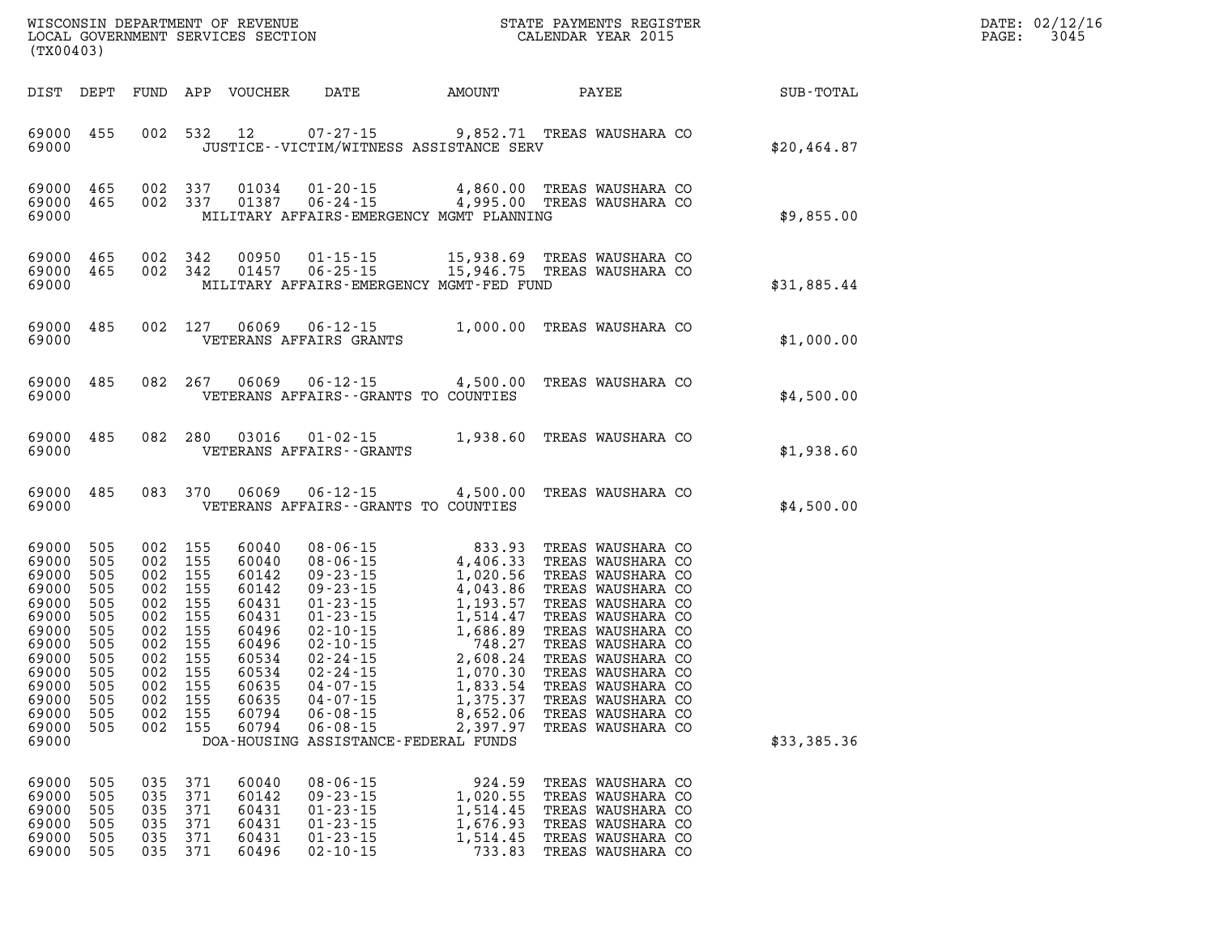| (TX00403)                                                                                                                                                                                                    |                                                                                                                                             |                                                                                                                   | WISCONSIN DEPARTMENT OF REVENUE (STATE PAYMENTS REGISTER LOCAL GOVERNMENT SERVICES SECTION                                                                      |                                                                  |                                                                                                                            | <b>THE REAL PROPERTY AND REAL PROPERTY.</b> | DATE: 02/12/16<br>$\mathtt{PAGE:}$<br>3045 |
|--------------------------------------------------------------------------------------------------------------------------------------------------------------------------------------------------------------|---------------------------------------------------------------------------------------------------------------------------------------------|-------------------------------------------------------------------------------------------------------------------|-----------------------------------------------------------------------------------------------------------------------------------------------------------------|------------------------------------------------------------------|----------------------------------------------------------------------------------------------------------------------------|---------------------------------------------|--------------------------------------------|
|                                                                                                                                                                                                              |                                                                                                                                             |                                                                                                                   | DIST DEPT FUND APP VOUCHER DATE AMOUNT PAYEE SUB-TOTAL                                                                                                          |                                                                  |                                                                                                                            |                                             |                                            |
| 69000 455<br>69000                                                                                                                                                                                           |                                                                                                                                             |                                                                                                                   | 002 532 12 07-27-15 9,852.71 TREAS WAUSHARA CO<br>JUSTICE -- VICTIM/WITNESS ASSISTANCE SERV                                                                     |                                                                  |                                                                                                                            | \$20,464.87                                 |                                            |
| 69000 465<br>69000 465<br>69000                                                                                                                                                                              |                                                                                                                                             |                                                                                                                   | 002 337 01034 01-20-15 4,860.00 TREAS WAUSHARA CO<br>002 337 01387 06-24-15 4,995.00 TREAS WAUSHARA CO<br>MILITARY AFFAIRS-EMERGENCY MGMT PLANNING              |                                                                  |                                                                                                                            | \$9,855.00                                  |                                            |
| 69000 465<br>69000 465<br>69000                                                                                                                                                                              |                                                                                                                                             |                                                                                                                   | 002 342 00950 01-15-15 15,938.69 TREAS WAUSHARA CO 002 342 01457 06-25-15 15,946.75 TREAS WAUSHARA CO<br>MILITARY AFFAIRS-EMERGENCY MGMT-FED FUND               |                                                                  |                                                                                                                            | \$31,885.44                                 |                                            |
| 69000 485<br>69000                                                                                                                                                                                           |                                                                                                                                             |                                                                                                                   | 002 $127$ 06069 06-12-15 1,000.00 TREAS WAUSHARA CO<br>VETERANS AFFAIRS GRANTS                                                                                  |                                                                  |                                                                                                                            | \$1,000.00                                  |                                            |
| 69000                                                                                                                                                                                                        |                                                                                                                                             |                                                                                                                   | 69000 485 082 267 06069 06-12-15 4,500.00 TREAS WAUSHARA CO<br>VETERANS AFFAIRS - - GRANTS TO COUNTIES                                                          |                                                                  |                                                                                                                            | \$4,500.00                                  |                                            |
| 69000                                                                                                                                                                                                        |                                                                                                                                             |                                                                                                                   | 69000 485 082 280 03016 01-02-15 1,938.60 TREAS WAUSHARA CO<br>VETERANS AFFAIRS - - GRANTS                                                                      |                                                                  |                                                                                                                            | \$1,938.60                                  |                                            |
| 69000                                                                                                                                                                                                        |                                                                                                                                             |                                                                                                                   | 69000 485 083 370 06069 06-12-15 4,500.00 TREAS WAUSHARA CO<br>VETERANS AFFAIRS - GRANTS TO COUNTIES                                                            |                                                                  |                                                                                                                            | \$4,500.00                                  |                                            |
| 69000<br>505<br>69000<br>505<br>69000<br>505<br>69000<br>505<br>505<br>69000<br>69000<br>505<br>69000<br>505<br>69000 505<br>505<br>69000<br>69000 505<br>69000 505<br>505<br>69000<br>69000<br>505<br>69000 | 002 155<br>002 155<br>002 155<br>002 155<br>002 155<br>002 155<br>002 155<br>002 155<br>002 155<br>002 155<br>002 155<br>002 155<br>002 155 | 60040<br>60040<br>60142<br>60142<br>60431<br>60431<br>60496<br>60496<br>60534<br>60534<br>60635<br>60794<br>60794 | 69000 505 002 155 60635 04-07-15 1,375.37 TREAS WAUSHARA CO<br>$06 - 08 - 15$<br>$06 - 08 - 15$<br>06-08-15<br>2,397.97<br>DOA-HOUSING ASSISTANCE-FEDERAL FUNDS | 8,652.06                                                         | TREAS WAUSHARA CO<br>TREAS WAUSHARA CO                                                                                     | \$33,385.36                                 |                                            |
| 69000<br>505<br>69000<br>505<br>69000<br>505<br>69000<br>505<br>69000<br>505<br>69000<br>505                                                                                                                 | 035 371<br>035 371<br>035 371<br>035 371<br>035 371<br>035 371                                                                              | 60040<br>60142<br>60431<br>60431<br>60431<br>60496                                                                | $08 - 06 - 15$<br>$09 - 23 - 15$<br>$01 - 23 - 15$<br>$01 - 23 - 15$<br>$01 - 23 - 15$<br>$02 - 10 - 15$                                                        | 924.59<br>1,020.55<br>1,514.45<br>1,676.93<br>1,514.45<br>733.83 | TREAS WAUSHARA CO<br>TREAS WAUSHARA CO<br>TREAS WAUSHARA CO<br>TREAS WAUSHARA CO<br>TREAS WAUSHARA CO<br>TREAS WAUSHARA CO |                                             |                                            |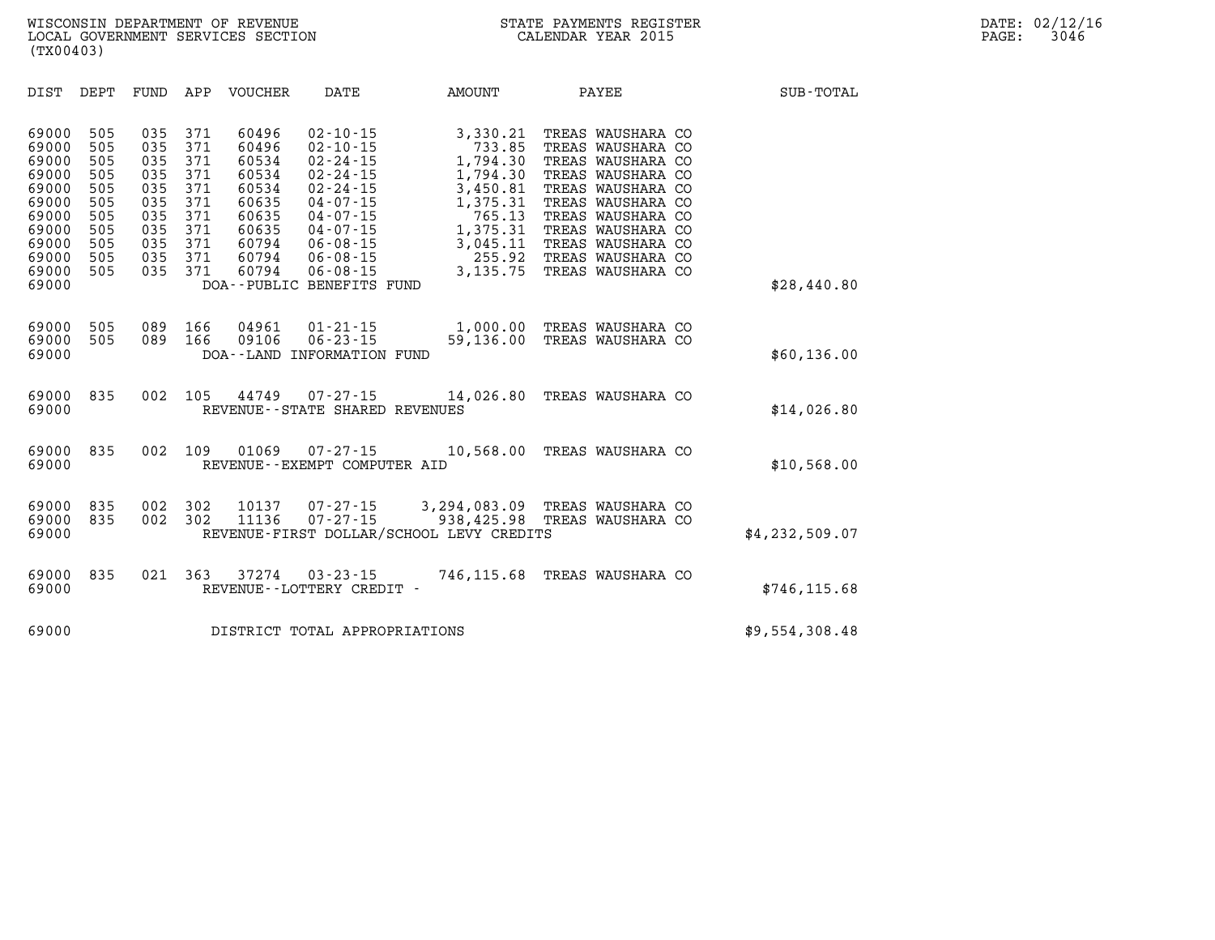| DIST                                                                                                     | DEPT                                                                      | FUND                                                                      | APP                                                                       | <b>VOUCHER</b>                                                                                  | DATE                                                                                                                                                                                                                            | <b>AMOUNT</b>                                                                                                                | PAYEE                                                                                                                                                                                                                               | <b>SUB-TOTAL</b> |
|----------------------------------------------------------------------------------------------------------|---------------------------------------------------------------------------|---------------------------------------------------------------------------|---------------------------------------------------------------------------|-------------------------------------------------------------------------------------------------|---------------------------------------------------------------------------------------------------------------------------------------------------------------------------------------------------------------------------------|------------------------------------------------------------------------------------------------------------------------------|-------------------------------------------------------------------------------------------------------------------------------------------------------------------------------------------------------------------------------------|------------------|
| 69000<br>69000<br>69000<br>69000<br>69000<br>69000<br>69000<br>69000<br>69000<br>69000<br>69000<br>69000 | 505<br>505<br>505<br>505<br>505<br>505<br>505<br>505<br>505<br>505<br>505 | 035<br>035<br>035<br>035<br>035<br>035<br>035<br>035<br>035<br>035<br>035 | 371<br>371<br>371<br>371<br>371<br>371<br>371<br>371<br>371<br>371<br>371 | 60496<br>60496<br>60534<br>60534<br>60534<br>60635<br>60635<br>60635<br>60794<br>60794<br>60794 | $02 - 10 - 15$<br>$02 - 10 - 15$<br>$02 - 24 - 15$<br>$02 - 24 - 15$<br>$02 - 24 - 15$<br>$04 - 07 - 15$<br>$04 - 07 - 15$<br>$04 - 07 - 15$<br>$06 - 08 - 15$<br>$06 - 08 - 15$<br>$06 - 08 - 15$<br>DOA--PUBLIC BENEFITS FUND | 3,330.21<br>733.85<br>1,794.30<br>1,794.30<br>3,450.81<br>1,375.31<br>765.13<br>1,375.31<br>3,045.11<br>255.92<br>3, 135. 75 | TREAS WAUSHARA CO<br>TREAS WAUSHARA CO<br>TREAS WAUSHARA CO<br>TREAS WAUSHARA CO<br>TREAS WAUSHARA CO<br>TREAS WAUSHARA CO<br>TREAS WAUSHARA CO<br>TREAS WAUSHARA CO<br>TREAS WAUSHARA CO<br>TREAS WAUSHARA CO<br>TREAS WAUSHARA CO | \$28,440.80      |
| 69000<br>69000<br>69000                                                                                  | 505<br>505                                                                | 089<br>089                                                                | 166<br>166                                                                | 04961<br>09106<br>DOA - - LAND                                                                  | $01 - 21 - 15$<br>$06 - 23 - 15$<br>INFORMATION FUND                                                                                                                                                                            | 1,000.00<br>59,136.00                                                                                                        | TREAS WAUSHARA CO<br>TREAS WAUSHARA CO                                                                                                                                                                                              | \$60,136.00      |
| 69000<br>69000                                                                                           | 835                                                                       | 002                                                                       | 105                                                                       | 44749                                                                                           | $07 - 27 - 15$<br>REVENUE - - STATE SHARED REVENUES                                                                                                                                                                             | 14,026.80                                                                                                                    | TREAS WAUSHARA CO                                                                                                                                                                                                                   | \$14,026.80      |
| 69000<br>69000                                                                                           | 835                                                                       | 002                                                                       | 109                                                                       | 01069                                                                                           | $07 - 27 - 15$<br>REVENUE - - EXEMPT COMPUTER AID                                                                                                                                                                               | 10,568.00                                                                                                                    | TREAS WAUSHARA CO                                                                                                                                                                                                                   | \$10,568.00      |
| 69000<br>69000<br>69000                                                                                  | 835<br>835                                                                | 002<br>002                                                                | 302<br>302                                                                | 10137<br>11136                                                                                  | $07 - 27 - 15$<br>$07 - 27 - 15$                                                                                                                                                                                                | 3,294,083.09<br>938,425.98<br>REVENUE-FIRST DOLLAR/SCHOOL LEVY CREDITS                                                       | TREAS WAUSHARA CO<br>TREAS WAUSHARA CO                                                                                                                                                                                              | \$4, 232, 509.07 |
| 69000<br>69000                                                                                           | 835                                                                       | 021                                                                       | 363                                                                       | 37274                                                                                           | $03 - 23 - 15$<br>REVENUE - - LOTTERY CREDIT -                                                                                                                                                                                  | 746,115.68                                                                                                                   | TREAS WAUSHARA CO                                                                                                                                                                                                                   | \$746, 115.68    |
| 69000                                                                                                    |                                                                           |                                                                           |                                                                           |                                                                                                 | DISTRICT TOTAL APPROPRIATIONS                                                                                                                                                                                                   |                                                                                                                              |                                                                                                                                                                                                                                     | \$9,554,308.48   |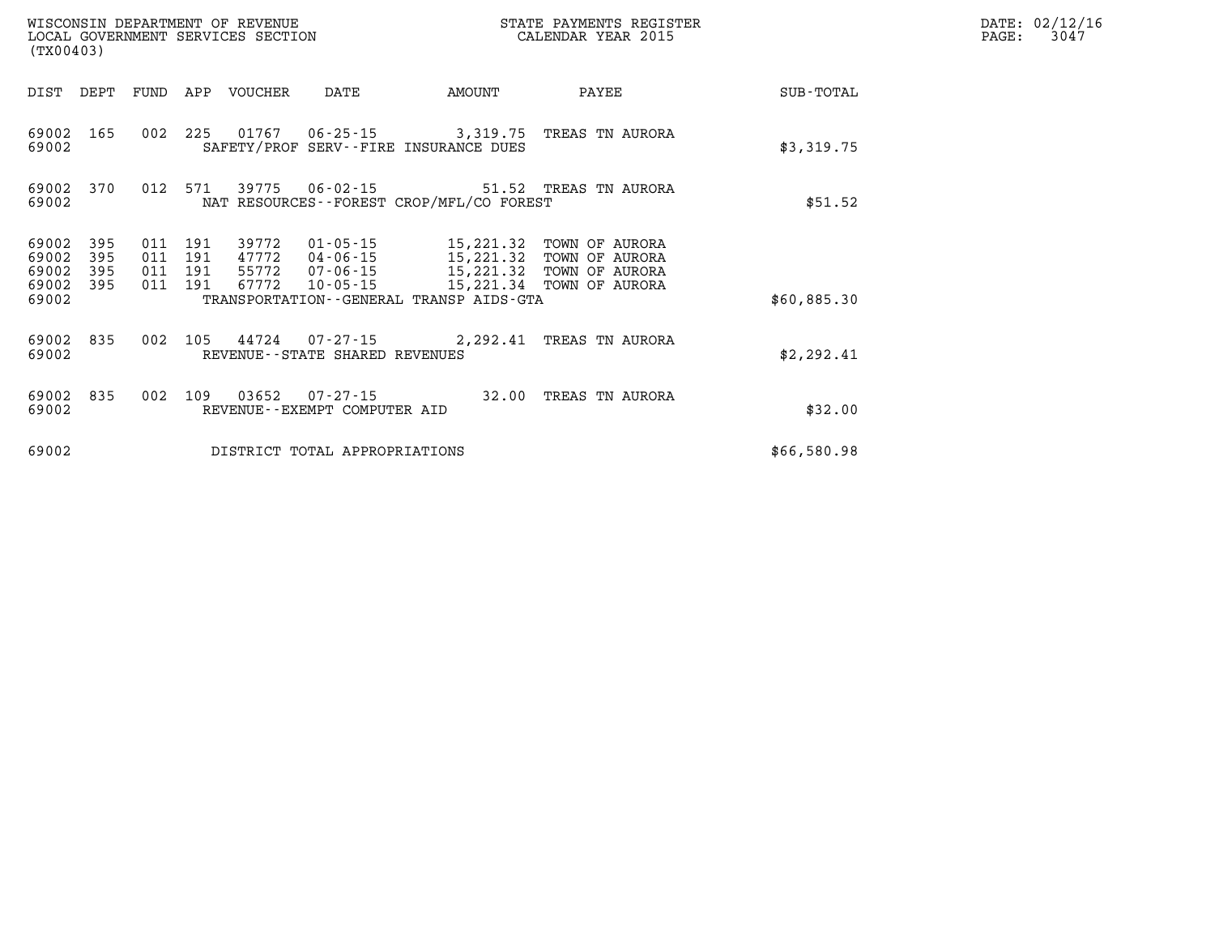| (TX00403)               |            |                    |     | WISCONSIN DEPARTMENT OF REVENUE<br>LOCAL GOVERNMENT SERVICES SECTION |                                |                                                                                                                               | STATE PAYMENTS REGISTER<br>CALENDAR YEAR 2015 |             | DATE: 02/12/16<br>3047<br>PAGE: |
|-------------------------|------------|--------------------|-----|----------------------------------------------------------------------|--------------------------------|-------------------------------------------------------------------------------------------------------------------------------|-----------------------------------------------|-------------|---------------------------------|
| DIST DEPT FUND          |            |                    |     | APP VOUCHER                                                          | DATE                           | AMOUNT                                                                                                                        | PAYEE                                         | SUB-TOTAL   |                                 |
| 69002 165<br>69002      |            | 002                | 225 |                                                                      |                                | SAFETY/PROF SERV--FIRE INSURANCE DUES                                                                                         | 01767   06-25-15   3,319.75   TREAS TN AURORA | \$3,319.75  |                                 |
| 69002                   | 69002 370  |                    |     |                                                                      | 012 571 39775 06-02-15         | NAT RESOURCES - - FOREST CROP/MFL/CO FOREST                                                                                   | 51.52 TREAS TN AURORA                         | \$51.52     |                                 |
| 69002<br>69002          | 395<br>395 | 011<br>011 191     | 191 | 39772                                                                | 01-05-15<br>47772   04-06-15   | 15,221.32<br>15,221.32                                                                                                        | TOWN OF AURORA<br>TOWN OF AURORA              |             |                                 |
| 69002<br>69002<br>69002 | 395<br>395 | 011 191<br>011 191 |     |                                                                      |                                | 4,772 07-06-15 15,221.32 TOWN OF AURORA<br>67772 10-05-15 15,221.34 TOWN OF AURORA<br>TRANSPORTATION--GENERAL TRANSP AIDS-GTA |                                               | \$60,885.30 |                                 |
| 69002 835<br>69002      |            | 002                | 105 |                                                                      | REVENUE--STATE SHARED REVENUES |                                                                                                                               | 44724 07-27-15 2,292.41 TREAS TN AURORA       | \$2,292.41  |                                 |
| 69002<br>69002          | 835        | 002                | 109 |                                                                      | REVENUE--EXEMPT COMPUTER AID   |                                                                                                                               | 32.00 TREAS TN AURORA                         | \$32.00     |                                 |
| 69002                   |            |                    |     |                                                                      | DISTRICT TOTAL APPROPRIATIONS  |                                                                                                                               |                                               | \$66,580.98 |                                 |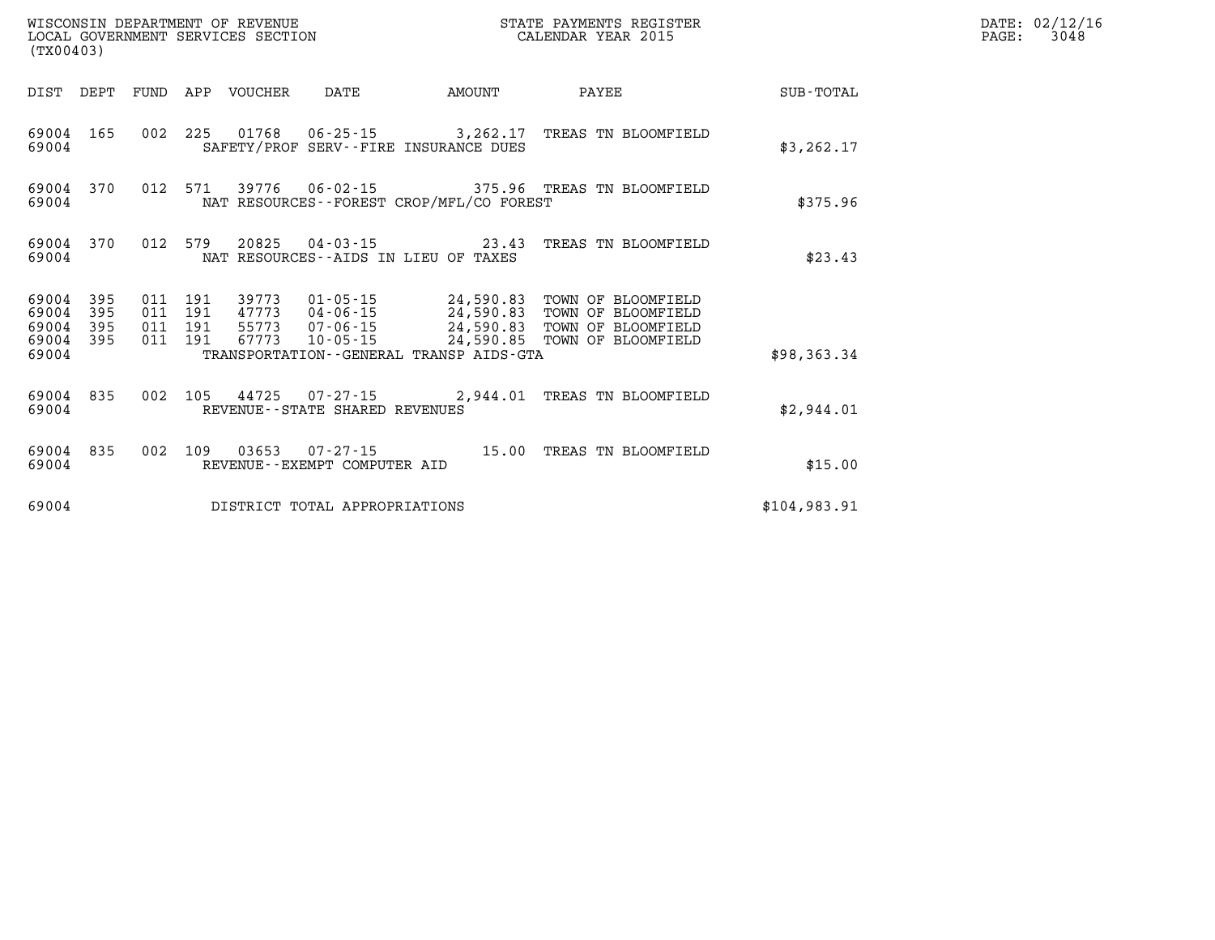| (TX00403)               |                   |         |     |                            | WISCONSIN DEPARTMENT OF REVENUE<br>LOCAL GOVERNMENT SERVICES SECTION |                                             | STATE PAYMENTS REGISTER<br>CALENDAR YEAR 2015                                                                                                                                                                                                 |              | DATE: 02/12/16<br>3048<br>$\mathtt{PAGE}$ : |
|-------------------------|-------------------|---------|-----|----------------------------|----------------------------------------------------------------------|---------------------------------------------|-----------------------------------------------------------------------------------------------------------------------------------------------------------------------------------------------------------------------------------------------|--------------|---------------------------------------------|
|                         |                   |         |     | DIST DEPT FUND APP VOUCHER | DATE                                                                 | AMOUNT                                      | PAYEE                                                                                                                                                                                                                                         | SUB-TOTAL    |                                             |
| 69004 165<br>69004      |                   |         |     |                            |                                                                      | SAFETY/PROF SERV--FIRE INSURANCE DUES       | 002 225 01768 06-25-15 3,262.17 TREAS TN BLOOMFIELD                                                                                                                                                                                           | \$3, 262.17  |                                             |
| 69004 370<br>69004      |                   |         |     |                            |                                                                      | NAT RESOURCES - - FOREST CROP/MFL/CO FOREST | 012 571 39776 06-02-15 375.96 TREAS TN BLOOMFIELD                                                                                                                                                                                             | \$375.96     |                                             |
| 69004 370<br>69004      |                   | 012     | 579 | 20825                      |                                                                      | NAT RESOURCES--AIDS IN LIEU OF TAXES        |                                                                                                                                                                                                                                               | \$23.43      |                                             |
| 69004<br>69004<br>69004 | 395<br>395<br>395 | 011 191 |     |                            |                                                                      |                                             | 39773  01-05-15  24,590.83  TOWN OF BLOOMFIELD<br>011 191 39773 04-06-15<br>011 191 55773 07-06-15 24,590.83 TOWN OF BLOOMFIELD<br>011 191 67773 10-05-15 24,590.85 TOWN OF BLOOMFIELD<br>011 191 67773 10-05-15 24,590.85 TOWN OF BLOOMFIELD |              |                                             |
| 69004 395<br>69004      |                   |         |     |                            |                                                                      | TRANSPORTATION--GENERAL TRANSP AIDS-GTA     |                                                                                                                                                                                                                                               | \$98,363.34  |                                             |
| 69004 835<br>69004      |                   |         |     |                            | REVENUE--STATE SHARED REVENUES                                       |                                             | 002 105 44725 07-27-15 2,944.01 TREAS TN BLOOMFIELD                                                                                                                                                                                           | \$2,944.01   |                                             |
| 69004 835<br>69004      |                   |         |     |                            | REVENUE--EXEMPT COMPUTER AID                                         |                                             | 002 109 03653 07-27-15 15.00 TREAS TN BLOOMFIELD                                                                                                                                                                                              | \$15.00      |                                             |
| 69004                   |                   |         |     |                            | DISTRICT TOTAL APPROPRIATIONS                                        |                                             |                                                                                                                                                                                                                                               | \$104,983.91 |                                             |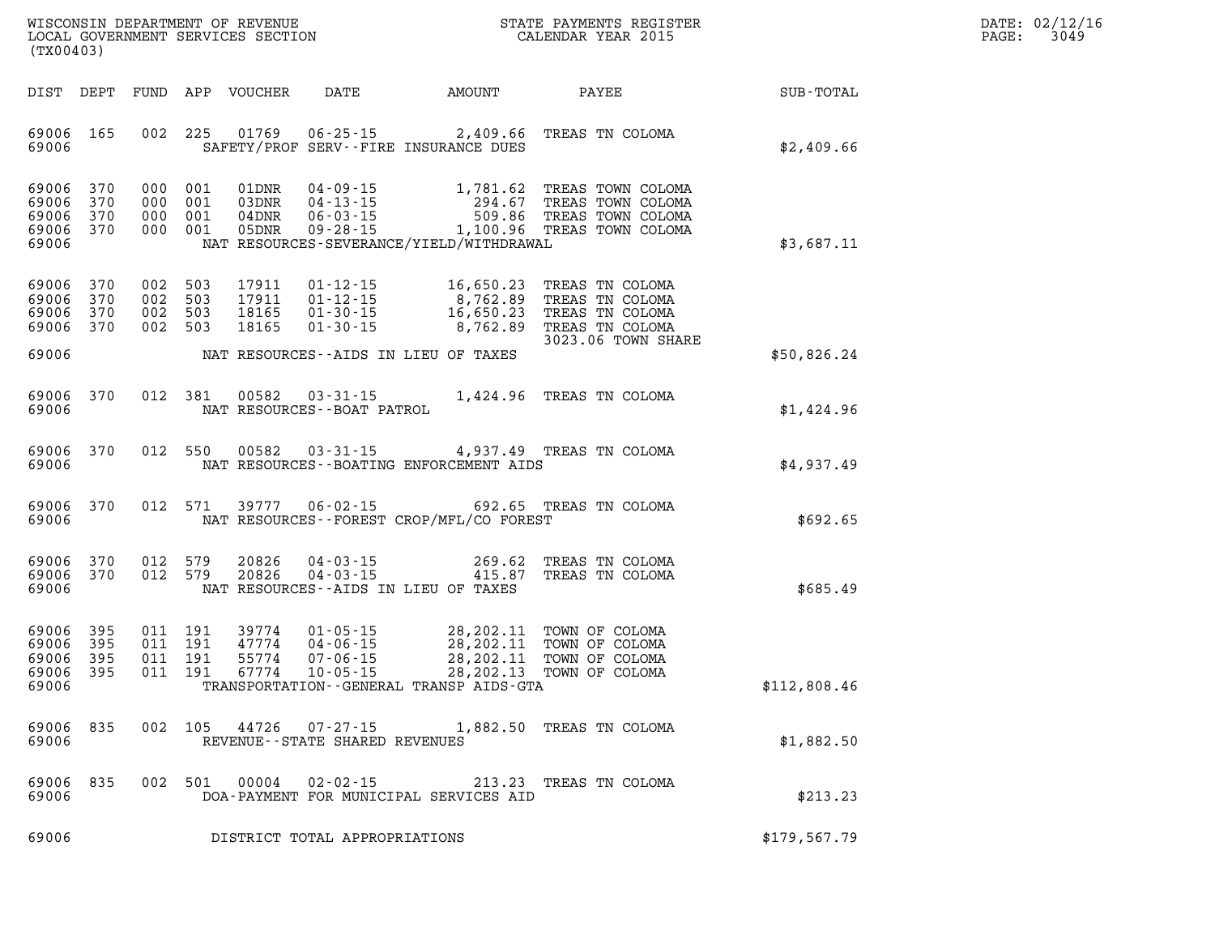| $\mathtt{DATE}$ : | 02/12/16 |
|-------------------|----------|
| PAGE:             | 3049     |

| (TX00403)                                     |                          |                                          |         |                                  |                                            |                                              | WISCONSIN DEPARTMENT OF REVENUE<br>LOCAL GOVERNMENT SERVICES SECTION<br>(TWOO402) CALENDAR YEAR 2015                                                                                                                                                                                                                                                                                                  |              | DATE: 02/12/1<br>PAGE:<br>3049 |
|-----------------------------------------------|--------------------------|------------------------------------------|---------|----------------------------------|--------------------------------------------|----------------------------------------------|-------------------------------------------------------------------------------------------------------------------------------------------------------------------------------------------------------------------------------------------------------------------------------------------------------------------------------------------------------------------------------------------------------|--------------|--------------------------------|
| DIST DEPT                                     |                          |                                          |         |                                  |                                            |                                              |                                                                                                                                                                                                                                                                                                                                                                                                       |              |                                |
| 69006 165<br>69006                            |                          |                                          |         |                                  |                                            | SAFETY/PROF SERV--FIRE INSURANCE DUES        | 002 225 01769 06-25-15 2,409.66 TREAS TN COLOMA                                                                                                                                                                                                                                                                                                                                                       | \$2,409.66   |                                |
| 69006<br>69006<br>69006<br>69006 370<br>69006 | 370<br>370<br>370        | 000 001<br>000 001                       | 000 001 | 04DNR<br>000 001 05DNR           |                                            | NAT RESOURCES-SEVERANCE/YIELD/WITHDRAWAL     | $\begin{array}{cccc} \texttt{01DNR} & \texttt{04-09-15} & \texttt{1,781.62} & \texttt{TREAS} & \texttt{TOWN} & \texttt{COLOMA} \\ \texttt{03DNR} & \texttt{04-13-15} & \texttt{294.67} & \texttt{TREAS} & \texttt{TOWN} & \texttt{COLOMA} \\ \texttt{04DNR} & \texttt{06-03-15} & \texttt{509.86} & \texttt{TREAS} & \texttt{TOWN} & \texttt{COLOMA} \\ \texttt{05DNR} & \texttt{09-28-15} & \texttt$ | \$3,687.11   |                                |
| 69006<br>69006<br>69006<br>69006              | 370<br>370<br>370<br>370 | 002 503<br>002 503<br>002 503<br>002 503 |         | 17911<br>17911<br>18165<br>18165 |                                            |                                              | $\begin{tabular}{lllllllllllll} 01-12-15 & 16,650.23 & \text{TREAS}} & \text{TN} & \text{COLOMA} \\ 01-12-15 & 8,762.89 & \text{TREAS}} & \text{TN} & \text{COLOMA} \\ 01-30-15 & 16,650.23 & \text{TREAS}} & \text{TN} & \text{COLOMA} \\ 01-30-15 & 8,762.89 & \text{TREAS}} & \text{TN} & \text{COLOMA} \\ \end{tabular}$<br>3023.06 TOWN SHARE                                                    |              |                                |
| 69006                                         |                          |                                          |         |                                  |                                            | NAT RESOURCES--AIDS IN LIEU OF TAXES         |                                                                                                                                                                                                                                                                                                                                                                                                       | \$50,826.24  |                                |
| 69006<br>69006                                | 370                      |                                          | 012 381 | 00582                            | NAT RESOURCES--BOAT PATROL                 |                                              | 03-31-15 1,424.96 TREAS TN COLOMA                                                                                                                                                                                                                                                                                                                                                                     | \$1,424.96   |                                |
| 69006<br>69006                                | 370                      |                                          |         | 012 550 00582                    |                                            | NAT RESOURCES--BOATING ENFORCEMENT AIDS      | 03-31-15 4,937.49 TREAS TN COLOMA                                                                                                                                                                                                                                                                                                                                                                     | \$4,937.49   |                                |
| 69006<br>69006                                | 370                      |                                          |         | 012 571 39777                    | $06 - 02 - 15$                             | NAT RESOURCES--FOREST CROP/MFL/CO FOREST     | 692.65 TREAS TN COLOMA                                                                                                                                                                                                                                                                                                                                                                                | \$692.65     |                                |
| 69006<br>69006 370<br>69006                   | 370                      | 012 579<br>012 579                       |         | 20826<br>20826                   | $04 - 03 - 15$                             | NAT RESOURCES--AIDS IN LIEU OF TAXES         | 04-03-15 269.62 TREAS TN COLOMA<br>04-03-15 415.87 TREAS TN COLOMA<br>415.87 TREAS TN COLOMA                                                                                                                                                                                                                                                                                                          | \$685.49     |                                |
| 69006<br>69006<br>69006<br>69006<br>69006     | 395<br>395<br>395<br>395 | 011 191<br>011 191<br>011 191            | 011 191 |                                  |                                            | TRANSPORTATION - - GENERAL TRANSP AIDS - GTA | 39774  01-05-15  28,202.11  TOWN OF COLOMA<br>47774  04-06-15  28,202.11  TOWN OF COLOMA<br>55774  07-06-15  28,202.11  TOWN OF COLOMA<br>67774  10-05-15  28,202.13  TOWN OF COLOMA                                                                                                                                                                                                                  | \$112,808.46 |                                |
| 69006<br>69006                                | 835                      |                                          |         | 002 105 44726                    | 07-27-15<br>REVENUE--STATE SHARED REVENUES |                                              | 1,882.50 TREAS TN COLOMA                                                                                                                                                                                                                                                                                                                                                                              | \$1,882.50   |                                |
| 69006<br>69006                                | 835                      |                                          | 002 501 | 00004                            | $02 - 02 - 15$                             | DOA-PAYMENT FOR MUNICIPAL SERVICES AID       | 213.23 TREAS TN COLOMA                                                                                                                                                                                                                                                                                                                                                                                | \$213.23     |                                |
| 69006                                         |                          |                                          |         |                                  | DISTRICT TOTAL APPROPRIATIONS              |                                              |                                                                                                                                                                                                                                                                                                                                                                                                       | \$179,567.79 |                                |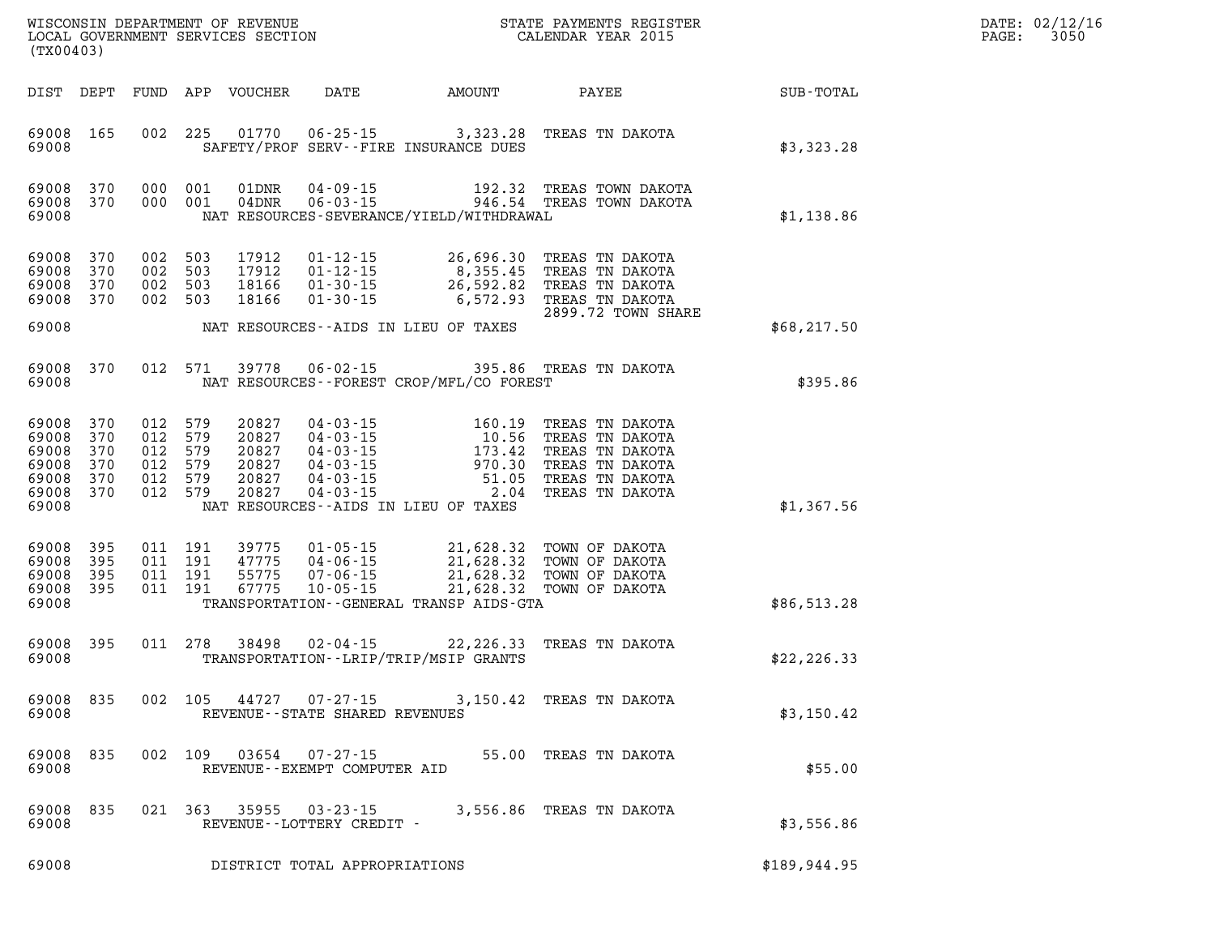| DATE: | 02/12/16 |
|-------|----------|
| PAGE: | 3050     |

|                                                    | (TX00403)                                    |     |                                                            |                                                    |                                                  |                                             |                                                                                                                                                                                                                                                                                                                                                                      | $\mathcal{R}$ | DATE: 02/12/1<br>3050<br>PAGE: |
|----------------------------------------------------|----------------------------------------------|-----|------------------------------------------------------------|----------------------------------------------------|--------------------------------------------------|---------------------------------------------|----------------------------------------------------------------------------------------------------------------------------------------------------------------------------------------------------------------------------------------------------------------------------------------------------------------------------------------------------------------------|---------------|--------------------------------|
|                                                    |                                              |     |                                                            | DIST DEPT FUND APP VOUCHER                         |                                                  | DATE AMOUNT                                 | PAYEE                                                                                                                                                                                                                                                                                                                                                                | SUB-TOTAL     |                                |
| 69008                                              | 69008 165                                    |     | 002 225                                                    |                                                    |                                                  | SAFETY/PROF SERV--FIRE INSURANCE DUES       | 01770  06-25-15  3,323.28  TREAS TN DAKOTA                                                                                                                                                                                                                                                                                                                           | \$3,323.28    |                                |
| 69008                                              | 69008 370<br>69008 370                       |     | 000 001<br>000 001                                         |                                                    |                                                  | NAT RESOURCES-SEVERANCE/YIELD/WITHDRAWAL    | $\begin{tabular}{llllll} 01\texttt{DNR} & 04\texttt{-}09\texttt{-}15 & 192.32 & \texttt{TREAS} & \texttt{TOWN} & \texttt{DAKOTA} \\ 04\texttt{DNR} & 06\texttt{-}03\texttt{-}15 & 946.54 & \texttt{TREAS} & \texttt{TOWN} & \texttt{DAKOTA} \end{tabular}$                                                                                                           | \$1,138.86    |                                |
| 69008<br>69008<br>69008<br>69008                   | 370<br>370<br>370<br>69008 370               |     | 002 503<br>002 503<br>002 503<br>002 503                   | 17912<br>17912<br>18166<br>18166                   | $01 - 30 - 15$                                   | NAT RESOURCES--AIDS IN LIEU OF TAXES        | 01-12-15 26,696.30 TREAS TN DAKOTA<br>01-12-15 8,355.45 TREAS TN DAKOTA<br>01-30-15 26,592.82 TREAS TN DAKOTA<br>$6,572.93$ TREAS TN DAKOTA<br>2899.72 TOWN SHARE                                                                                                                                                                                                    | \$68, 217.50  |                                |
| 69008                                              | 69008 370                                    |     | 012 571                                                    |                                                    |                                                  | NAT RESOURCES - - FOREST CROP/MFL/CO FOREST | 39778  06-02-15  395.86  TREAS TN DAKOTA                                                                                                                                                                                                                                                                                                                             | \$395.86      |                                |
| 69008<br>69008<br>69008<br>69008<br>69008<br>69008 | 370<br>370<br>370<br>370<br>370<br>69008 370 | 012 | 579<br>012 579<br>012 579<br>012 579<br>012 579<br>012 579 | 20827<br>20827<br>20827<br>20827<br>20827<br>20827 |                                                  | NAT RESOURCES--AIDS IN LIEU OF TAXES        | $\begin{tabular}{lllllllllllllllllllll} 04-03-15 & 160.19 & \text{TREAS TN DAKOTA} \\ 04-03-15 & 10.56 & \text{TREAS TN DAKOTA} \\ 04-03-15 & 173.42 & \text{TREAS TN DAKOTA} \\ 04-03-15 & 970.30 & \text{TREAS TN DAKOTA} \\ 04-03-15 & 51.05 & \text{TREAS TN DAKOTA} \\ 04-03-15 & \text{TREAS TN DAKOTA} \\ 04-03-15 & \text{TREAS TN DAKOTA} \\ \end{tabular}$ | \$1,367.56    |                                |
| 69008<br>69008<br>69008                            | 69008 395<br>395<br>395<br>69008 395         |     |                                                            |                                                    |                                                  | TRANSPORTATION--GENERAL TRANSP AIDS-GTA     |                                                                                                                                                                                                                                                                                                                                                                      | \$86,513.28   |                                |
| 69008                                              | 69008 395                                    |     | 011 278                                                    | 38498                                              |                                                  | TRANSPORTATION - - LRIP/TRIP/MSIP GRANTS    | 02-04-15 22, 226.33 TREAS TN DAKOTA                                                                                                                                                                                                                                                                                                                                  | \$22, 226.33  |                                |
| 69008                                              | 69008 835                                    |     | 002 105                                                    | 44727                                              | $07 - 27 - 15$<br>REVENUE--STATE SHARED REVENUES |                                             | 3,150.42 TREAS TN DAKOTA                                                                                                                                                                                                                                                                                                                                             | \$3,150.42    |                                |
| 69008                                              | 69008 835                                    |     | 002 109                                                    | 03654                                              | 07-27-15<br>REVENUE - - EXEMPT COMPUTER AID      |                                             | 55.00 TREAS TN DAKOTA                                                                                                                                                                                                                                                                                                                                                | \$55.00       |                                |
| 69008                                              | 69008 835                                    |     | 021 363                                                    | 35955                                              | $03 - 23 - 15$<br>REVENUE--LOTTERY CREDIT -      |                                             | 3,556.86 TREAS TN DAKOTA                                                                                                                                                                                                                                                                                                                                             | \$3,556.86    |                                |
| 69008                                              |                                              |     |                                                            |                                                    | DISTRICT TOTAL APPROPRIATIONS                    |                                             |                                                                                                                                                                                                                                                                                                                                                                      | \$189,944.95  |                                |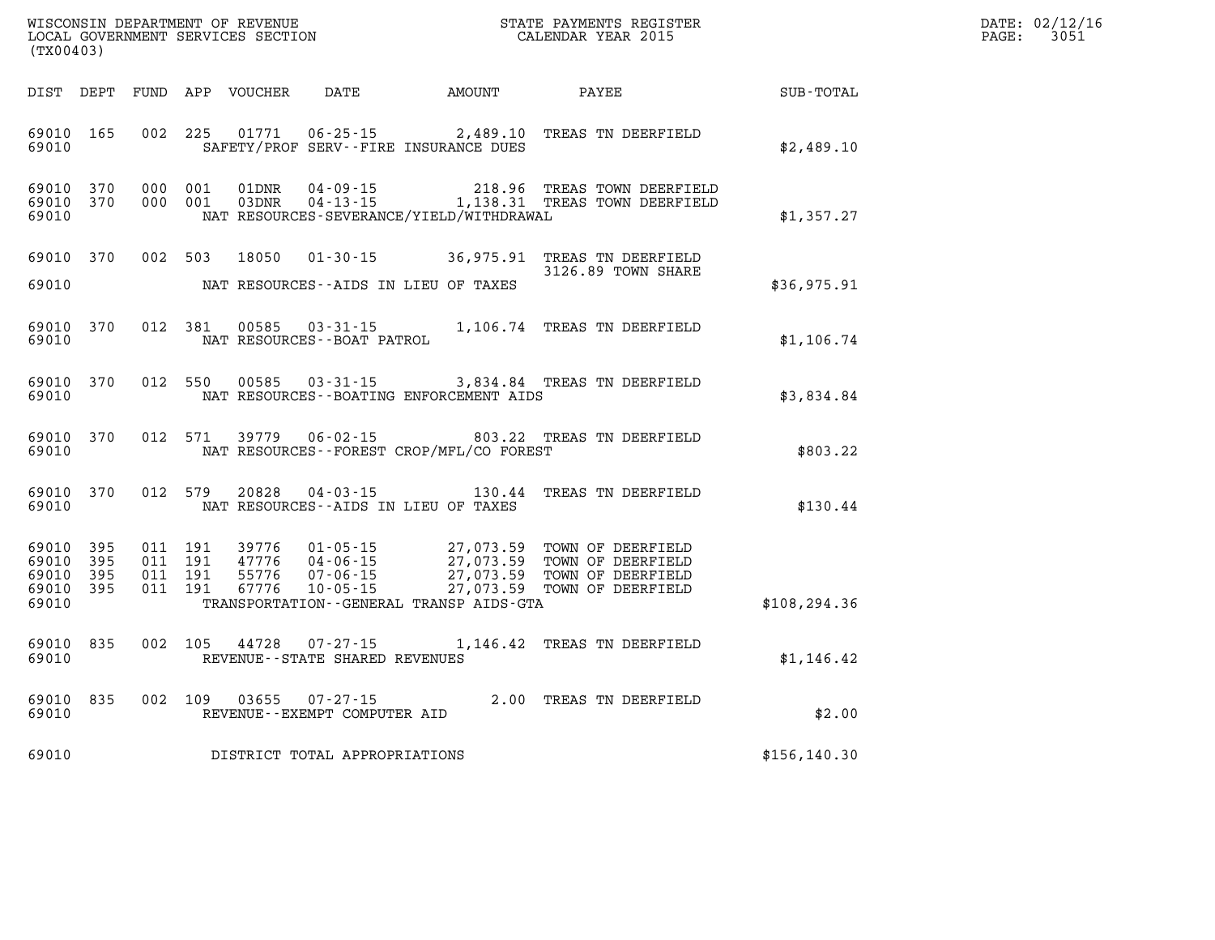| WISCONSIN DEPARTMENT OF REVENUE   | PAYMENTS REGISTER<br>3TATE | DATE: | 02/12/16 |
|-----------------------------------|----------------------------|-------|----------|
| LOCAL GOVERNMENT SERVICES SECTION | CALENDAR YEAR 2015         | PAGE  | 3051     |

| (TX00403)                                     |                       |         | LOCAL GOVERNMENT SERVICES SECTION |                                   |                                              | CALENDAR YEAR 2015                                                                                                                                                                                                   |               | PAGE: | 3051 |
|-----------------------------------------------|-----------------------|---------|-----------------------------------|-----------------------------------|----------------------------------------------|----------------------------------------------------------------------------------------------------------------------------------------------------------------------------------------------------------------------|---------------|-------|------|
|                                               |                       |         |                                   |                                   | DIST DEPT FUND APP VOUCHER DATE AMOUNT PAYEE |                                                                                                                                                                                                                      | SUB-TOTAL     |       |      |
| 69010                                         | 69010 165             |         |                                   |                                   | SAFETY/PROF SERV--FIRE INSURANCE DUES        | 002 225 01771 06-25-15 2,489.10 TREAS TN DEERFIELD                                                                                                                                                                   | \$2,489.10    |       |      |
| 69010 370<br>69010                            | 69010 370 000 001     | 000 001 |                                   |                                   | NAT RESOURCES-SEVERANCE/YIELD/WITHDRAWAL     | 01DNR  04-09-15  218.96 TREAS TOWN DEERFIELD<br>03DNR  04-13-15   1,138.31 TREAS TOWN DEERFIELD                                                                                                                      | \$1,357.27    |       |      |
| 69010                                         |                       |         |                                   |                                   | NAT RESOURCES--AIDS IN LIEU OF TAXES         | 69010 370 002 503 18050 01-30-15 36,975.91 TREAS TN DEERFIELD<br>3126.89 TOWN SHARE                                                                                                                                  | \$36,975.91   |       |      |
| 69010                                         |                       |         |                                   | NAT RESOURCES--BOAT PATROL        |                                              | 69010 370 012 381 00585 03-31-15 1,106.74 TREAS TN DEERFIELD                                                                                                                                                         | \$1,106.74    |       |      |
| 69010                                         | 69010 370             | 012 550 |                                   |                                   | NAT RESOURCES--BOATING ENFORCEMENT AIDS      | 00585  03-31-15  3,834.84  TREAS TN DEERFIELD                                                                                                                                                                        | \$3,834.84    |       |      |
| 69010                                         | 69010 370             |         |                                   |                                   | NAT RESOURCES - - FOREST CROP/MFL/CO FOREST  | 012 571 39779 06-02-15 803.22 TREAS TN DEERFIELD                                                                                                                                                                     | \$803.22      |       |      |
| 69010                                         | 69010 370             |         |                                   |                                   | NAT RESOURCES--AIDS IN LIEU OF TAXES         | 012 579 20828 04-03-15 130.44 TREAS TN DEERFIELD                                                                                                                                                                     | \$130.44      |       |      |
| 69010 395<br>69010<br>69010<br>69010<br>69010 | - 395<br>395<br>- 395 |         |                                   |                                   | TRANSPORTATION--GENERAL TRANSP AIDS-GTA      | 011 191 39776 01-05-15 27,073.59 TOWN OF DEERFIELD<br>011 191 47776 04-06-15 27,073.59 TOWN OF DEERFIELD<br>011 191 55776 07-06-15 27,073.59 TOWN OF DEERFIELD<br>011 191 67776 10-05-15 27,073.59 TOWN OF DEERFIELD | \$108, 294.36 |       |      |
| 69010                                         | 69010 835             |         |                                   | REVENUE - - STATE SHARED REVENUES |                                              | 002  105  44728  07-27-15   1,146.42  TREAS TN DEERFIELD                                                                                                                                                             | \$1,146.42    |       |      |
| 69010                                         | 69010 835             |         |                                   | REVENUE--EXEMPT COMPUTER AID      |                                              | 002 109 03655 07-27-15 2.00 TREAS TN DEERFIELD                                                                                                                                                                       | \$2.00        |       |      |
| 69010                                         |                       |         |                                   | DISTRICT TOTAL APPROPRIATIONS     |                                              |                                                                                                                                                                                                                      | \$156, 140.30 |       |      |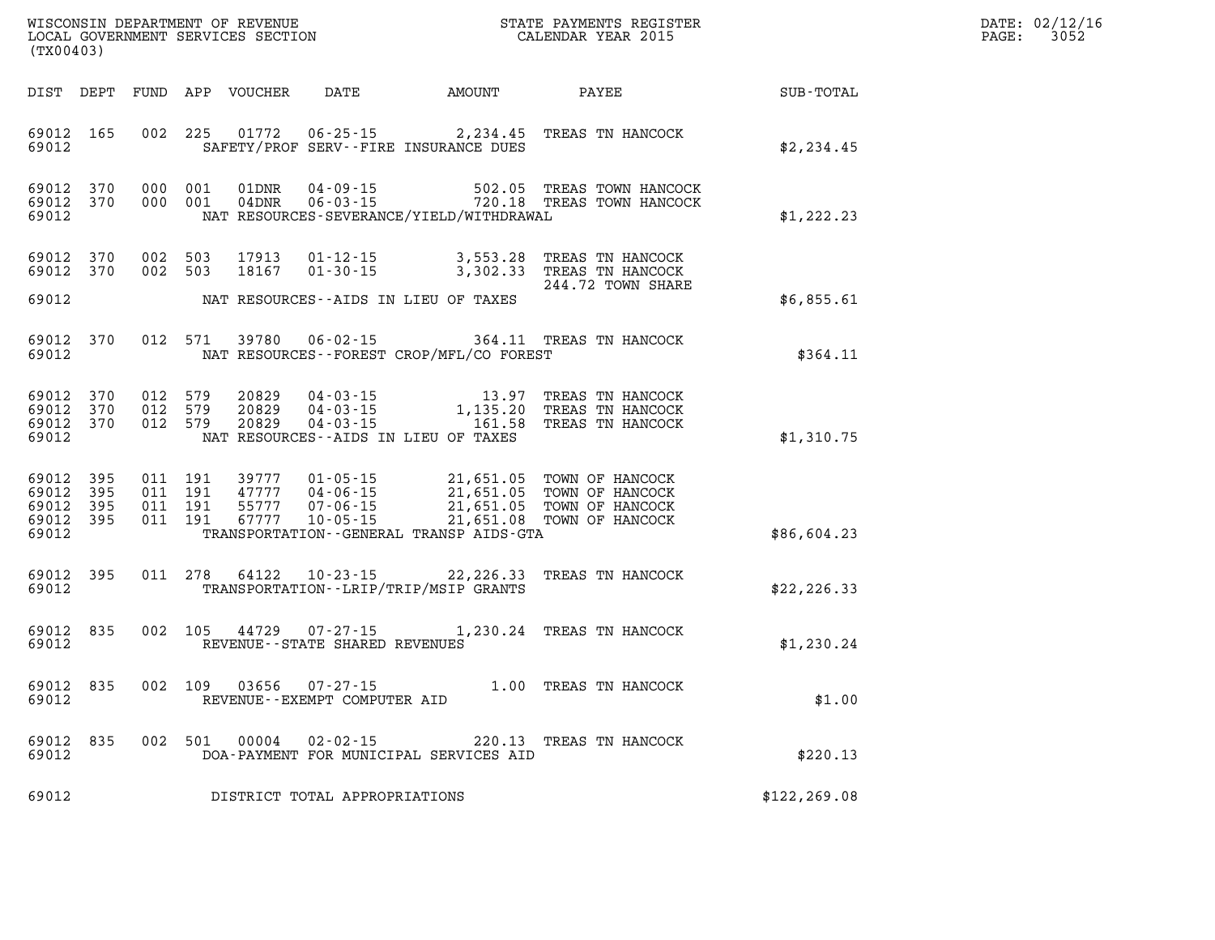| DATE: | 02/12/16 |
|-------|----------|
| PAGE: | 3052     |

| (TX00403)                                                       |                               |                                              |                                                                                        |                                          |                                                                                                                  |                  | DATE: 02/12/1<br>$\mathtt{PAGE:}$<br>3052 |
|-----------------------------------------------------------------|-------------------------------|----------------------------------------------|----------------------------------------------------------------------------------------|------------------------------------------|------------------------------------------------------------------------------------------------------------------|------------------|-------------------------------------------|
|                                                                 |                               | DIST DEPT FUND APP VOUCHER DATE AMOUNT PAYEE |                                                                                        |                                          |                                                                                                                  | <b>SUB-TOTAL</b> |                                           |
| 69012 165<br>69012                                              |                               |                                              |                                                                                        | SAFETY/PROF SERV--FIRE INSURANCE DUES    | 002 225 01772 06-25-15 2,234.45 TREAS TN HANCOCK                                                                 | \$2,234.45       |                                           |
| 69012<br>370<br>69012 370<br>69012                              | 000 001<br>000 001            | 01DNR<br>04DNR                               | $04 - 09 - 15$<br>04 - 09 - 15<br>06 - 03 - 15                                         | NAT RESOURCES-SEVERANCE/YIELD/WITHDRAWAL | 502.05 TREAS TOWN HANCOCK<br>720.18 TREAS TOWN HANCOCK                                                           | \$1,222.23       |                                           |
| 69012 370<br>69012 370<br>69012                                 | 002 503                       | 002 503<br>17913<br>18167                    |                                                                                        |                                          | 01-12-15 3,553.28 TREAS TN HANCOCK<br>01-30-15 3,302.33 TREAS TN HANCOCK<br>244.72 TOWN SHARE                    |                  |                                           |
|                                                                 |                               |                                              | NAT RESOURCES--AIDS IN LIEU OF TAXES                                                   |                                          |                                                                                                                  | \$6,855.61       |                                           |
| 69012<br>370<br>69012                                           |                               | 012 571<br>39780                             | $06 - 02 - 15$                                                                         | NAT RESOURCES--FOREST CROP/MFL/CO FOREST | 364.11 TREAS TN HANCOCK                                                                                          | \$364.11         |                                           |
| 69012 370<br>69012<br>370<br>69012 370<br>69012                 | 012 579<br>012 579<br>012 579 | 20829<br>20829<br>20829                      | 04 - 03 - 15<br>04 - 03 - 15<br>04 - 03 - 15<br>NAT RESOURCES -- AIDS IN LIEU OF TAXES |                                          | 13.97 TREAS TN HANCOCK<br>1,135.20 TREAS IN HANCOCK<br>161.58 TREAS TN HANCOCK                                   | \$1,310.75       |                                           |
| 69012 395<br>395<br>69012<br>395<br>69012<br>69012 395<br>69012 | 011 191<br>011 191<br>011 191 | 39777<br>47777<br>55777<br>011 191<br>67777  | $01 - 05 - 15$<br>04-06-15<br>$07 - 06 - 15$<br>$10 - 05 - 15$                         | TRANSPORTATION--GENERAL TRANSP AIDS-GTA  | 21,651.05 TOWN OF HANCOCK<br>21,651.05 TOWN OF HANCOCK<br>21,651.05 TOWN OF HANCOCK<br>21,651.08 TOWN OF HANCOCK | \$86,604.23      |                                           |
| 69012 395<br>69012                                              |                               |                                              |                                                                                        | TRANSPORTATION - - LRIP/TRIP/MSIP GRANTS | 011 278 64122 10-23-15 22,226.33 TREAS TN HANCOCK                                                                | \$22, 226.33     |                                           |
| 69012<br>835<br>69012                                           |                               |                                              | REVENUE--STATE SHARED REVENUES                                                         |                                          | 002 105 44729 07-27-15 1,230.24 TREAS TN HANCOCK                                                                 | \$1,230.24       |                                           |
| 835<br>69012<br>69012                                           |                               | 002 109 03656                                | $07 - 27 - 15$<br>REVENUE--EXEMPT COMPUTER AID                                         |                                          | 1.00 TREAS TN HANCOCK                                                                                            | \$1.00           |                                           |
| 835<br>69012<br>69012                                           |                               | 002 501<br>00004                             | $02 - 02 - 15$                                                                         | DOA-PAYMENT FOR MUNICIPAL SERVICES AID   | 220.13 TREAS TN HANCOCK                                                                                          | \$220.13         |                                           |
| 69012                                                           |                               | DISTRICT TOTAL APPROPRIATIONS                |                                                                                        |                                          |                                                                                                                  | \$122, 269.08    |                                           |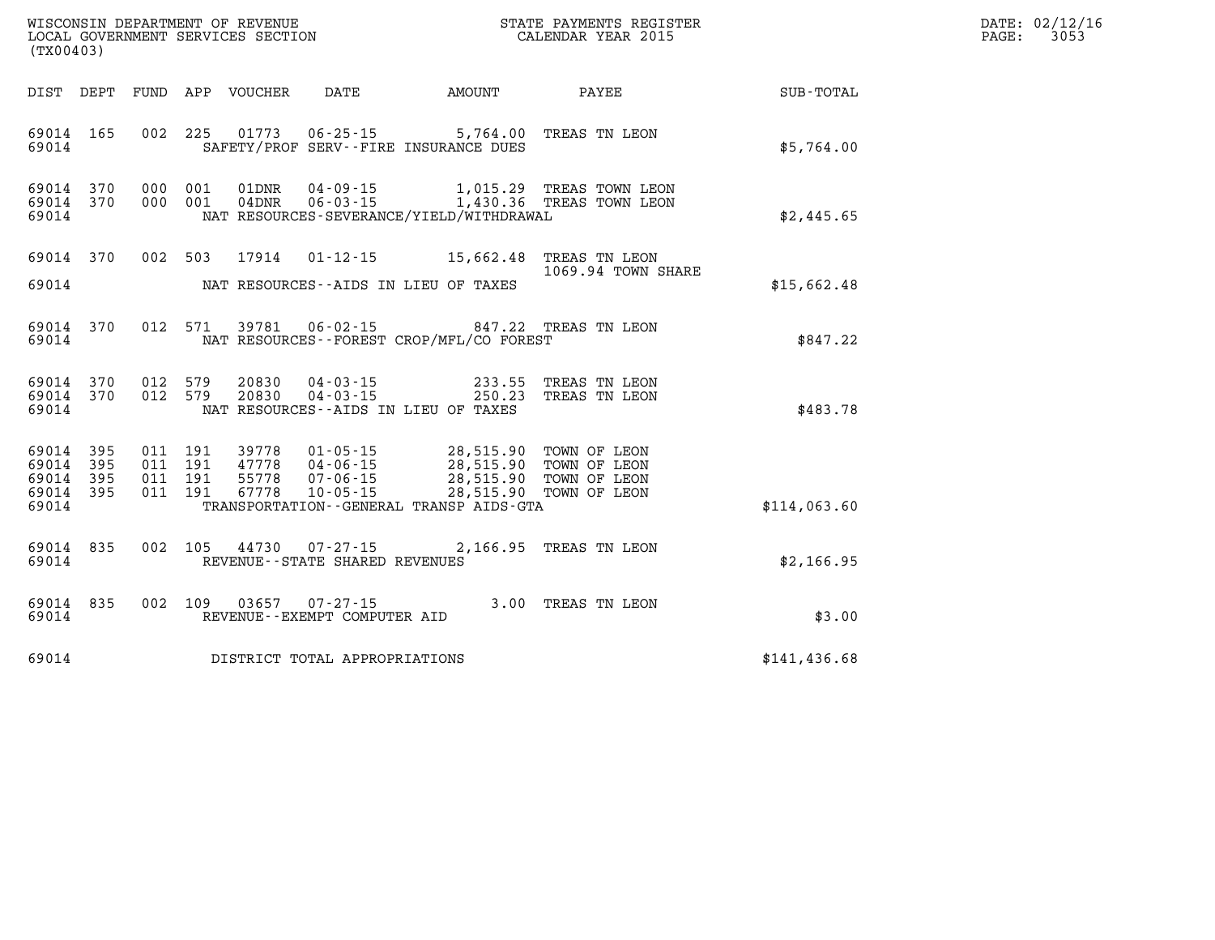| DATE: | 02/12/16 |
|-------|----------|
| PAGE: | 3053     |

| (TX00403)                        |                          |                          | WISCONSIN DEPARTMENT OF REVENUE<br>LOCAL GOVERNMENT SERVICES SECTION |                                  |                                                                              |                                                  | STATE PAYMENTS REGISTER<br>CALENDAR YEAR 2015                |               |
|----------------------------------|--------------------------|--------------------------|----------------------------------------------------------------------|----------------------------------|------------------------------------------------------------------------------|--------------------------------------------------|--------------------------------------------------------------|---------------|
| DIST                             | DEPT                     | FUND                     | APP                                                                  | VOUCHER                          | DATE                                                                         | AMOUNT                                           | <b>PAYEE</b>                                                 | SUB-TOTAL     |
| 69014<br>69014                   | 165                      | 002                      | 225                                                                  | 01773                            | $06 - 25 - 15$<br>SAFETY/PROF SERV--FIRE INSURANCE DUES                      | 5,764.00                                         | TREAS TN LEON                                                | \$5,764.00    |
| 69014<br>69014<br>69014          | 370<br>370               | 000<br>000               | 001<br>001                                                           | 01DNR<br>04DNR                   | $04 - 09 - 15$<br>$06 - 03 - 15$<br>NAT RESOURCES-SEVERANCE/YIELD/WITHDRAWAL | 1,015.29<br>1,430.36                             | TREAS TOWN LEON<br>TREAS TOWN LEON                           | \$2,445.65    |
| 69014                            | 370                      | 002                      | 503                                                                  | 17914                            | $01 - 12 - 15$                                                               | 15,662.48                                        | TREAS TN LEON<br>1069.94 TOWN SHARE                          |               |
| 69014                            |                          |                          |                                                                      |                                  | NAT RESOURCES--AIDS IN LIEU OF TAXES                                         |                                                  |                                                              | \$15,662.48   |
| 69014<br>69014                   | 370                      | 012                      | 571                                                                  | 39781                            | 06-02-15<br>NAT RESOURCES -- FOREST CROP/MFL/CO FOREST                       |                                                  | 847.22 TREAS TN LEON                                         | \$847.22      |
| 69014<br>69014<br>69014          | 370<br>370               | 012<br>012               | 579<br>579                                                           | 20830<br>20830                   | $04 - 03 - 15$<br>$04 - 03 - 15$<br>NAT RESOURCES -- AIDS IN LIEU OF TAXES   | 233.55<br>250.23                                 | TREAS TN LEON<br>TREAS TN LEON                               | \$483.78      |
| 69014<br>69014<br>69014<br>69014 | 395<br>395<br>395<br>395 | 011<br>011<br>011<br>011 | 191<br>191<br>191<br>191                                             | 39778<br>47778<br>55778<br>67778 | $01 - 05 - 15$<br>04-06-15<br>$07 - 06 - 15$<br>$10 - 05 - 15$               | 28,515.90<br>28,515.90<br>28,515.90<br>28,515.90 | TOWN OF LEON<br>TOWN OF LEON<br>TOWN OF LEON<br>TOWN OF LEON |               |
| 69014                            |                          |                          |                                                                      |                                  | TRANSPORTATION--GENERAL TRANSP AIDS-GTA                                      |                                                  |                                                              | \$114,063.60  |
| 69014<br>69014                   | 835                      | 002                      | 105                                                                  | 44730                            | $07 - 27 - 15$<br>REVENUE - - STATE SHARED REVENUES                          | 2,166.95                                         | TREAS TN LEON                                                | \$2,166.95    |
| 69014<br>69014                   | 835                      | 002                      | 109                                                                  | 03657                            | $07 - 27 - 15$<br>REVENUE--EXEMPT COMPUTER AID                               | 3.00                                             | TREAS TN LEON                                                | \$3.00        |
| 69014                            |                          |                          |                                                                      |                                  | DISTRICT TOTAL APPROPRIATIONS                                                |                                                  |                                                              | \$141, 436.68 |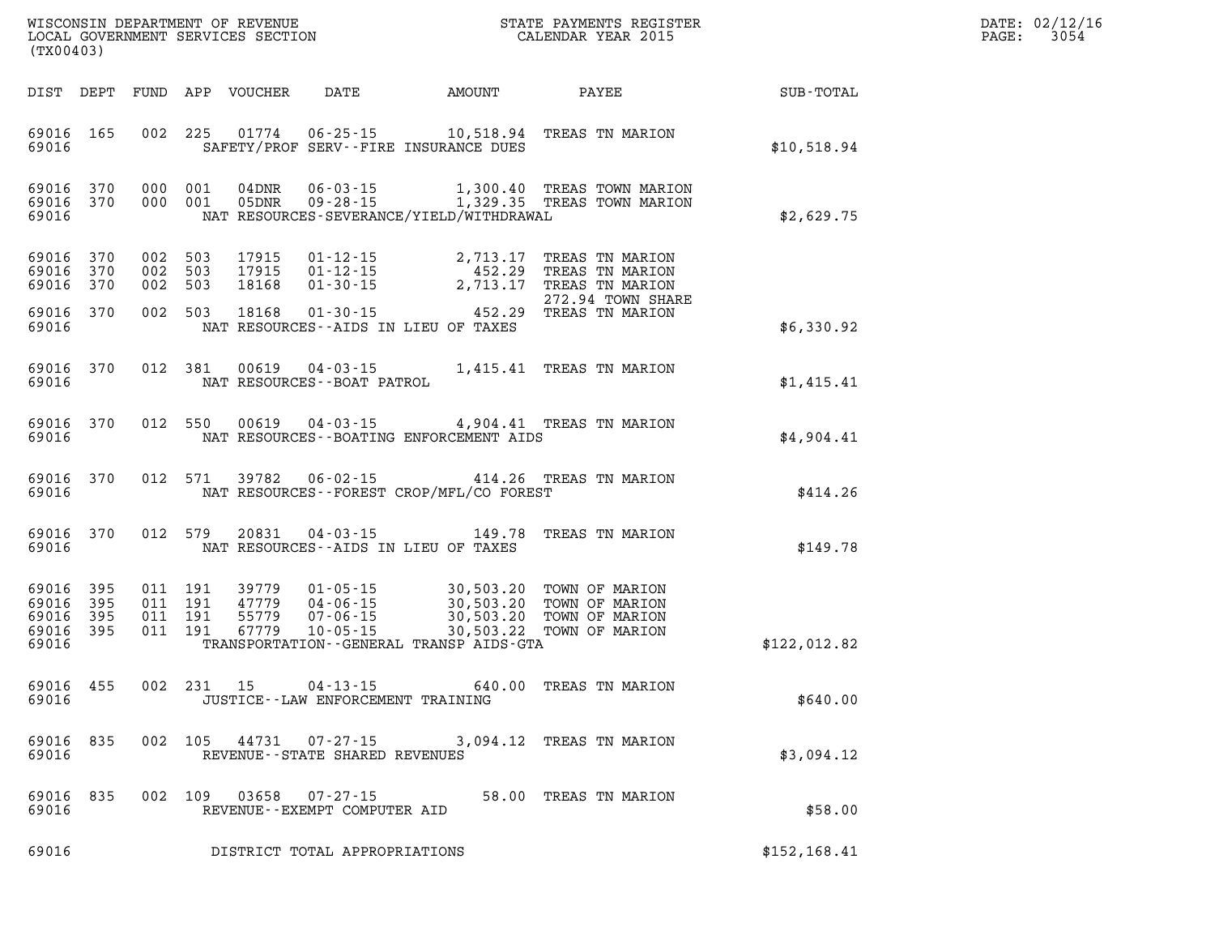| DATE: | 02/12/16 |
|-------|----------|
| PAGE: | 3054     |

| LOCAL GOVERNMENT SERVICES SECTION<br>(TX00403)                     |                                          |                                  |                                                          |                                          | CALENDAR YEAR 2015                                                                                                                      |                                | PAGE: | 3054 |
|--------------------------------------------------------------------|------------------------------------------|----------------------------------|----------------------------------------------------------|------------------------------------------|-----------------------------------------------------------------------------------------------------------------------------------------|--------------------------------|-------|------|
| DIST DEPT                                                          | FUND APP VOUCHER                         |                                  |                                                          |                                          |                                                                                                                                         | DATE AMOUNT PAYEE NE SUB-TOTAL |       |      |
| 69016 165<br>69016                                                 |                                          |                                  |                                                          | SAFETY/PROF SERV--FIRE INSURANCE DUES    | 002 225 01774 06-25-15 10,518.94 TREAS TN MARION                                                                                        | \$10,518.94                    |       |      |
| 69016<br>370<br>69016 370<br>69016                                 | 000 001<br>000 001                       |                                  |                                                          | NAT RESOURCES-SEVERANCE/YIELD/WITHDRAWAL | 04DNR  06-03-15   1,300.40 TREAS TOWN MARION<br>05DNR  09-28-15   1,329.35 TREAS TOWN MARION                                            | \$2,629.75                     |       |      |
| 69016<br>370<br>69016<br>370<br>69016<br>370                       | 002 503<br>002 503<br>002 503            | 17915<br>17915<br>18168          |                                                          |                                          | 01-12-15 2,713.17 TREAS TN MARION<br>01-12-15 452.29 TREAS TN MARION<br>01-30-15 2,713.17 TREAS TN MARION<br>272.94 TOWN SHARE          |                                |       |      |
| 69016<br>370<br>69016                                              | 002 503                                  | 18168                            |                                                          | NAT RESOURCES--AIDS IN LIEU OF TAXES     | 01-30-15 452.29 TREAS TN MARION                                                                                                         | \$6,330.92                     |       |      |
| 69016<br>370<br>69016                                              | 012 381                                  | 00619                            | NAT RESOURCES - - BOAT PATROL                            |                                          | 04-03-15   1,415.41 TREAS TN MARION                                                                                                     | \$1,415.41                     |       |      |
| 69016<br>370<br>69016                                              | 012 550                                  |                                  |                                                          | NAT RESOURCES--BOATING ENFORCEMENT AIDS  | 00619  04-03-15  4,904.41  TREAS TN MARION                                                                                              | \$4,904.41                     |       |      |
| 69016<br>370<br>69016                                              | 012 571                                  | 39782                            |                                                          | NAT RESOURCES--FOREST CROP/MFL/CO FOREST | 06-02-15 414.26 TREAS TN MARION                                                                                                         | \$414.26                       |       |      |
| 69016<br>370<br>69016                                              | 012 579                                  | 20831                            |                                                          | NAT RESOURCES--AIDS IN LIEU OF TAXES     | 04-03-15 149.78 TREAS TN MARION                                                                                                         | \$149.78                       |       |      |
| 69016<br>395<br>69016<br>395<br>69016<br>395<br>69016 395<br>69016 | 011 191<br>011 191<br>011 191<br>011 191 | 39779<br>47779<br>55779<br>67779 | $10 - 05 - 15$                                           | TRANSPORTATION--GENERAL TRANSP AIDS-GTA  | 01-05-15 30,503.20 TOWN OF MARION<br>04-06-15 30,503.20 TOWN OF MARION<br>07-06-15 30,503.20 TOWN OF MARION<br>30,503.22 TOWN OF MARION | \$122,012.82                   |       |      |
| 69016<br>455<br>69016                                              | 002 231 15                               |                                  | $04 - 13 - 15$<br>JUSTICE - - LAW ENFORCEMENT TRAINING   |                                          | 640.00 TREAS TN MARION                                                                                                                  | \$640.00                       |       |      |
| 69016 835<br>69016                                                 |                                          |                                  | 002 105 44731 07-27-15<br>REVENUE--STATE SHARED REVENUES |                                          | 3,094.12 TREAS TN MARION                                                                                                                | \$3,094.12                     |       |      |
| 69016 835<br>69016                                                 |                                          |                                  | 002 109 03658 07-27-15<br>REVENUE--EXEMPT COMPUTER AID   |                                          | 58.00 TREAS TN MARION                                                                                                                   | \$58.00                        |       |      |
| 69016                                                              |                                          |                                  | DISTRICT TOTAL APPROPRIATIONS                            |                                          |                                                                                                                                         | \$152,168.41                   |       |      |

WISCONSIN DEPARTMENT OF REVENUE **STATE PAYMENTS REGISTER**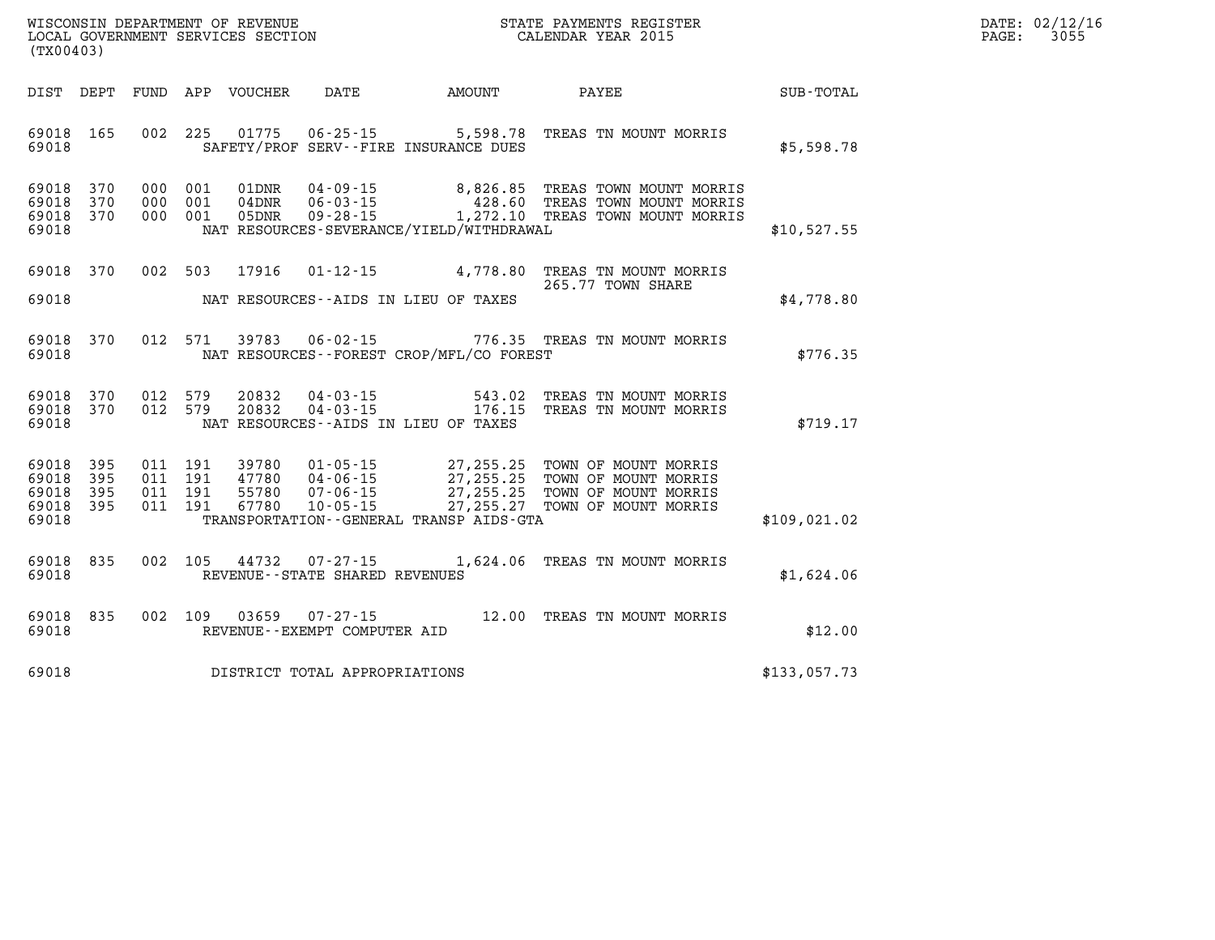| $\mathtt{DATE}$ : | 02/12/16 |
|-------------------|----------|
| PAGE:             | 3055     |

|                                                           | (TX00403) |  |                               |       |                                   |                                              | D<br>$P\zeta$                                                                                                                                                                                                                                                                                                                                        |              |  |
|-----------------------------------------------------------|-----------|--|-------------------------------|-------|-----------------------------------|----------------------------------------------|------------------------------------------------------------------------------------------------------------------------------------------------------------------------------------------------------------------------------------------------------------------------------------------------------------------------------------------------------|--------------|--|
| DIST DEPT                                                 |           |  |                               |       |                                   |                                              |                                                                                                                                                                                                                                                                                                                                                      |              |  |
| 69018 165<br>69018                                        |           |  | 002 225                       |       |                                   | SAFETY/PROF SERV--FIRE INSURANCE DUES        | 01775  06-25-15  5,598.78  TREAS  TN MOUNT MORRIS                                                                                                                                                                                                                                                                                                    | \$5,598.78   |  |
| 69018 370<br>69018 370<br>69018 370<br>69018              |           |  | 000 001<br>000 001<br>000 001 |       |                                   | NAT RESOURCES-SEVERANCE/YIELD/WITHDRAWAL     |                                                                                                                                                                                                                                                                                                                                                      | \$10,527.55  |  |
| 69018 370<br>69018                                        |           |  | 002 503                       | 17916 |                                   | NAT RESOURCES--AIDS IN LIEU OF TAXES         | 01-12-15 4,778.80 TREAS TN MOUNT MORRIS<br>265.77 TOWN SHARE                                                                                                                                                                                                                                                                                         | \$4,778.80   |  |
| 69018 370<br>69018                                        |           |  | 012 571                       |       |                                   | NAT RESOURCES - - FOREST CROP/MFL/CO FOREST  | 39783  06-02-15  776.35  TREAS TN MOUNT MORRIS                                                                                                                                                                                                                                                                                                       | \$776.35     |  |
| 69018 370<br>69018 370<br>69018                           |           |  | 012 579<br>012 579            |       |                                   | NAT RESOURCES--AIDS IN LIEU OF TAXES         | 20832  04-03-15  543.02  TREAS TN MOUNT MORRIS<br>20832  04-03-15  176.15  TREAS TN MOUNT MORRIS                                                                                                                                                                                                                                                     | \$719.17     |  |
| 69018 395<br>69018 395<br>69018 395<br>69018 395<br>69018 |           |  |                               |       |                                   | TRANSPORTATION - - GENERAL TRANSP AIDS - GTA | $\begin{array}{cccc} 011 & 191 & 39780 & 01\cdot 05\cdot 15 & 27,255.25 & \text{TOWN OF MOUNT MORRIS} \\ 011 & 191 & 47780 & 04\cdot 06\cdot 15 & 27,255.25 & \text{TOWN OF MOUNT MORRIS} \\ 011 & 191 & 55780 & 07\cdot 06\cdot 15 & 27,255.25 & \text{TOWN OF MOUNT MORRIS} \\ 011 & 191 & 67780 & 10\cdot 05\cdot 15 & 27,255.27 & \text{TOWN OF$ | \$109,021.02 |  |
| 69018 835<br>69018                                        |           |  | 002 105                       |       | REVENUE - - STATE SHARED REVENUES |                                              | 44732 07-27-15 1,624.06 TREAS TN MOUNT MORRIS                                                                                                                                                                                                                                                                                                        | \$1,624.06   |  |
| 69018 835<br>69018                                        |           |  | 002 109                       |       | REVENUE--EXEMPT COMPUTER AID      |                                              | 03659  07-27-15  12.00  TREAS TN MOUNT MORRIS                                                                                                                                                                                                                                                                                                        | \$12.00      |  |
| 69018                                                     |           |  |                               |       | DISTRICT TOTAL APPROPRIATIONS     |                                              |                                                                                                                                                                                                                                                                                                                                                      | \$133,057.73 |  |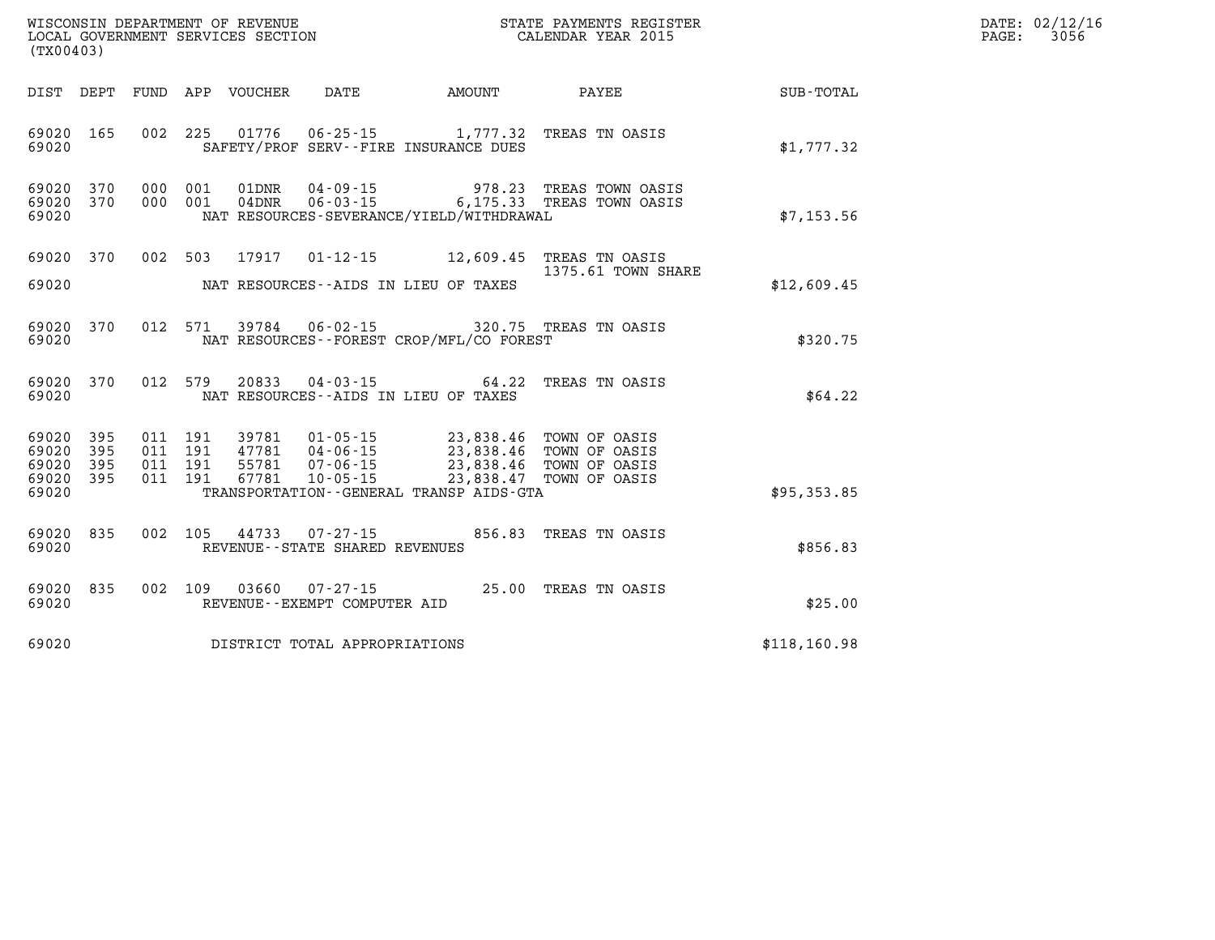| WISCONSIN DEPARTMENT OF REVENUE      | PAYMENTS REGISTER<br>3TATE | DATE: | 02/12/16 |
|--------------------------------------|----------------------------|-------|----------|
| GOVERNMENT SERVICES SECTION<br>LOCAL | CALENDAR YEAR 2015         | PAGE  | 3056     |

| LOCAL GOVERNMENT SERVICES SECTION<br>(TX00403) |                            |  |                    | CALENDAR YEAR 2015                                       |                                                                                                                                                                                                                                                                                                                                                                                        | PAGE:                                                                                  | 3056          |  |  |
|------------------------------------------------|----------------------------|--|--------------------|----------------------------------------------------------|----------------------------------------------------------------------------------------------------------------------------------------------------------------------------------------------------------------------------------------------------------------------------------------------------------------------------------------------------------------------------------------|----------------------------------------------------------------------------------------|---------------|--|--|
|                                                |                            |  |                    |                                                          |                                                                                                                                                                                                                                                                                                                                                                                        |                                                                                        |               |  |  |
|                                                |                            |  |                    |                                                          |                                                                                                                                                                                                                                                                                                                                                                                        | DIST DEPT FUND APP VOUCHER DATE AMOUNT PAYEE SUB-TOTAL                                 |               |  |  |
| 69020 165<br>69020                             |                            |  |                    |                                                          | 002 225 01776 06-25-15 1,777.32 TREAS TN OASIS<br>SAFETY/PROF SERV--FIRE INSURANCE DUES                                                                                                                                                                                                                                                                                                |                                                                                        | \$1,777.32    |  |  |
| 69020 370<br>69020 370<br>69020                |                            |  | 000 001<br>000 001 |                                                          | NAT RESOURCES-SEVERANCE/YIELD/WITHDRAWAL                                                                                                                                                                                                                                                                                                                                               | 01DNR  04-09-15  978.23 TREAS TOWN OASIS<br>04DNR  06-03-15  6,175.33 TREAS TOWN OASIS | \$7,153.56    |  |  |
| 69020 370                                      |                            |  |                    |                                                          | 002 503 17917 01-12-15 12,609.45 TREAS TN OASIS                                                                                                                                                                                                                                                                                                                                        |                                                                                        |               |  |  |
| 69020                                          |                            |  |                    |                                                          | NAT RESOURCES--AIDS IN LIEU OF TAXES                                                                                                                                                                                                                                                                                                                                                   | 1375.61 TOWN SHARE                                                                     | \$12,609.45   |  |  |
|                                                |                            |  |                    |                                                          |                                                                                                                                                                                                                                                                                                                                                                                        |                                                                                        |               |  |  |
| 69020 370<br>69020                             |                            |  |                    |                                                          | 012 571 39784 06-02-15 320.75 TREAS TN OASIS<br>NAT RESOURCES--FOREST CROP/MFL/CO FOREST                                                                                                                                                                                                                                                                                               |                                                                                        | \$320.75      |  |  |
|                                                |                            |  |                    |                                                          |                                                                                                                                                                                                                                                                                                                                                                                        |                                                                                        |               |  |  |
| 69020 370<br>69020                             |                            |  |                    |                                                          | NAT RESOURCES--AIDS IN LIEU OF TAXES                                                                                                                                                                                                                                                                                                                                                   | 012 579 20833 04-03-15 64.22 TREAS TN OASIS                                            | \$64.22       |  |  |
| 69020<br>69020<br>69020<br>69020<br>69020      | 395<br>395<br>395<br>- 395 |  |                    |                                                          | $\begin{array}{cccc} 011 & 191 & 39781 & 01\cdot 05\cdot 15 & 23\, ,838\, .46 & \text{TOWN OF OASIS} \\ 011 & 191 & 47781 & 04\cdot 06\cdot 15 & 23\, ,838\, .46 & \text{TOWN OF OASIS} \\ 011 & 191 & 55781 & 07\cdot 06\cdot 15 & 23\, ,838\, .46 & \text{TOWN OF OASIS} \\ 011 & 191 & 67781 & 10\cdot 05\cdot 15 & 23\, ,838\, .4$<br>TRANSPORTATION - - GENERAL TRANSP AIDS - GTA |                                                                                        | \$95,353.85   |  |  |
| 69020 835<br>69020                             |                            |  |                    | 002 105 44733 07-27-15<br>REVENUE--STATE SHARED REVENUES |                                                                                                                                                                                                                                                                                                                                                                                        | 856.83 TREAS TN OASIS                                                                  | \$856.83      |  |  |
| 69020 835<br>69020                             |                            |  | 002 109            | REVENUE--EXEMPT COMPUTER AID                             | 03660  07-27-15  25.00 TREAS TN OASIS                                                                                                                                                                                                                                                                                                                                                  |                                                                                        | \$25.00       |  |  |
|                                                |                            |  |                    | 69020 DISTRICT TOTAL APPROPRIATIONS                      |                                                                                                                                                                                                                                                                                                                                                                                        |                                                                                        | \$118, 160.98 |  |  |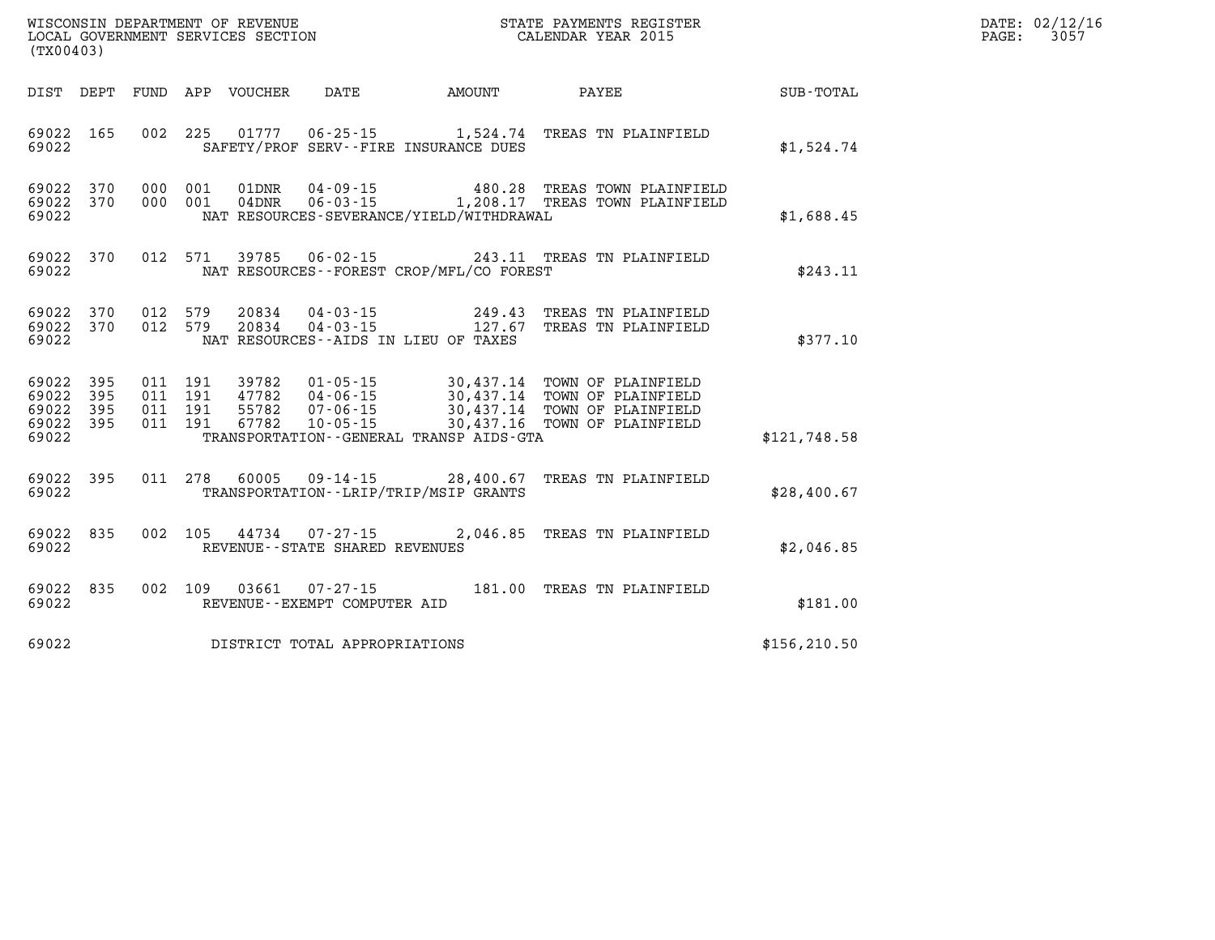| DATE: | 02/12/16 |
|-------|----------|
| PAGE: | 3057     |

| (TX00403)                                 |                          |                          | WISCONSIN DEPARTMENT OF REVENUE<br>LOCAL GOVERNMENT SERVICES SECTION |                                                                                    |                                                            | STATE PAYMENTS REGISTER<br>CALENDAR YEAR 2015                                                                      |               |
|-------------------------------------------|--------------------------|--------------------------|----------------------------------------------------------------------|------------------------------------------------------------------------------------|------------------------------------------------------------|--------------------------------------------------------------------------------------------------------------------|---------------|
| DIST                                      | DEPT                     | FUND                     | APP<br>VOUCHER                                                       | DATE                                                                               | AMOUNT                                                     | PAYEE                                                                                                              | SUB-TOTAL     |
| 69022<br>69022                            | 165                      | 002                      | 225<br>01777                                                         | $06 - 25 - 15$                                                                     | SAFETY/PROF SERV--FIRE INSURANCE DUES                      | 1,524.74 TREAS TN PLAINFIELD                                                                                       | \$1,524.74    |
| 69022<br>69022<br>69022                   | 370<br>370               | 000<br>000               | 001<br>01DNR<br>001<br>04DNR                                         | $04 - 09 - 15$<br>$06 - 03 - 15$                                                   | NAT RESOURCES-SEVERANCE/YIELD/WITHDRAWAL                   | 480.28 TREAS TOWN PLAINFIELD<br>1,208.17 TREAS TOWN PLAINFIELD                                                     | \$1,688.45    |
| 69022<br>69022                            | 370                      | 012                      | 571<br>39785                                                         | $06 - 02 - 15$                                                                     | NAT RESOURCES - - FOREST CROP/MFL/CO FOREST                | 243.11 TREAS TN PLAINFIELD                                                                                         | \$243.11      |
| 69022<br>69022<br>69022                   | 370<br>370               | 012<br>012               | 579<br>20834<br>579<br>20834                                         | $04 - 03 - 15$<br>$04 - 03 - 15$                                                   | 249.43<br>127.67<br>NAT RESOURCES -- AIDS IN LIEU OF TAXES | TREAS TN PLAINFIELD<br>TREAS TN PLAINFIELD                                                                         | \$377.10      |
| 69022<br>69022<br>69022<br>69022<br>69022 | 395<br>395<br>395<br>395 | 011<br>011<br>011<br>011 | 191<br>39782<br>191<br>47782<br>55782<br>191<br>67782<br>191         | $01 - 05 - 15$<br>04 - 06 - 15<br>07 - 06 - 15<br>$07 - 06 - 15$<br>$10 - 05 - 15$ | 30,437.16<br>TRANSPORTATION--GENERAL TRANSP AIDS-GTA       | 30,437.14 TOWN OF PLAINFIELD<br>30,437.14 TOWN OF PLAINFIELD<br>30,437.14 TOWN OF PLAINFIELD<br>TOWN OF PLAINFIELD | \$121,748.58  |
| 69022<br>69022                            | 395                      | 011                      | 278<br>60005                                                         | $09 - 14 - 15$                                                                     | 28,400.67<br>TRANSPORTATION - - LRIP/TRIP/MSIP GRANTS      | TREAS TN PLAINFIELD                                                                                                | \$28,400.67   |
| 69022<br>69022                            | 835                      | 002                      | 105<br>44734                                                         | $07 - 27 - 15$<br>REVENUE - - STATE SHARED REVENUES                                | 2,046.85                                                   | TREAS TN PLAINFIELD                                                                                                | \$2,046.85    |
| 69022<br>69022                            | 835                      | 002                      | 109<br>03661                                                         | $07 - 27 - 15$<br>REVENUE--EXEMPT COMPUTER AID                                     | 181.00                                                     | TREAS TN PLAINFIELD                                                                                                | \$181.00      |
| 69022                                     |                          |                          |                                                                      | DISTRICT TOTAL APPROPRIATIONS                                                      |                                                            |                                                                                                                    | \$156, 210.50 |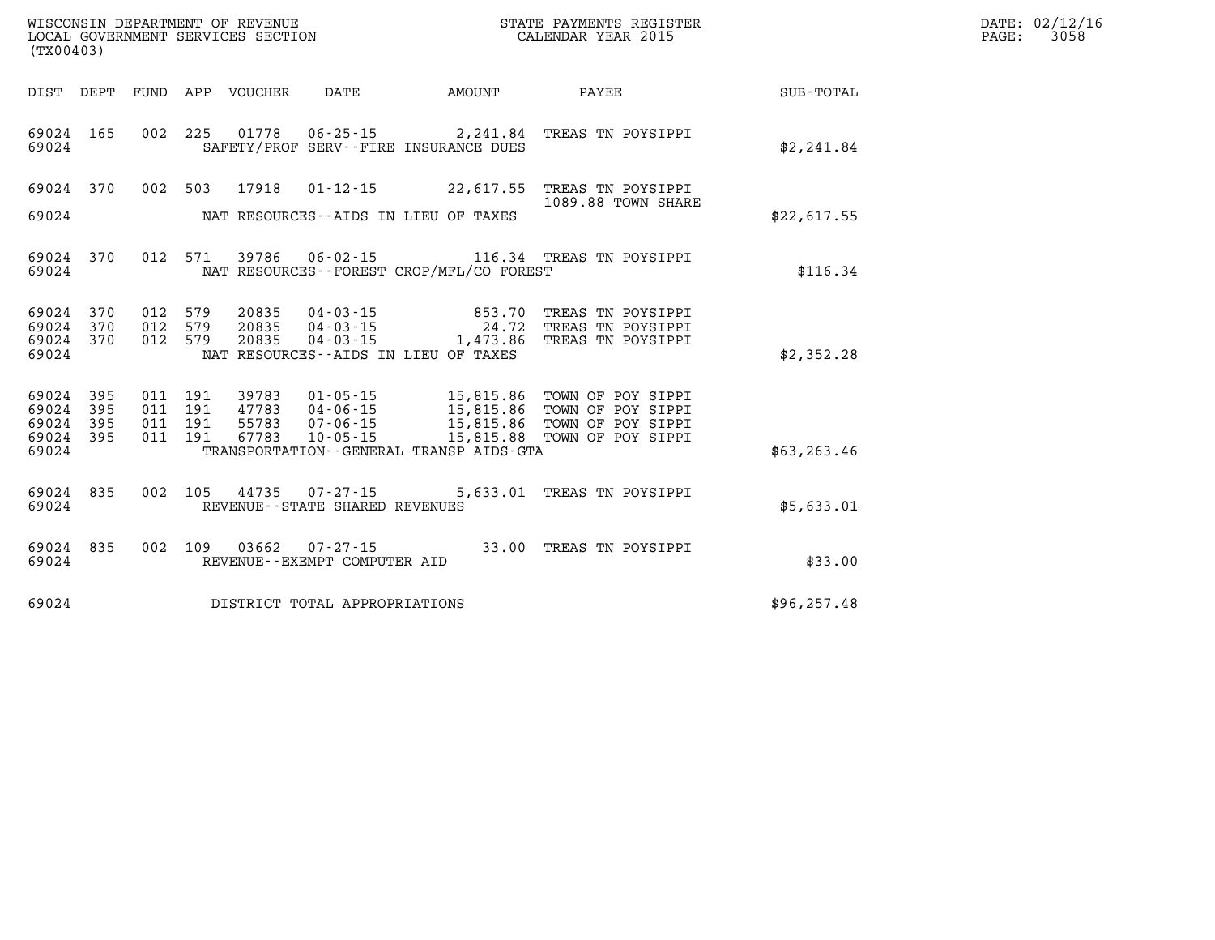| (TX00403)                       |                        |                    |  |               |                                                                       |                                                                                                                                                                                                  |              | DATE: 02/12/16<br>3058<br>$\mathtt{PAGE}$ : |
|---------------------------------|------------------------|--------------------|--|---------------|-----------------------------------------------------------------------|--------------------------------------------------------------------------------------------------------------------------------------------------------------------------------------------------|--------------|---------------------------------------------|
|                                 |                        |                    |  |               | DIST DEPT FUND APP VOUCHER DATE AMOUNT                                | PAYEE SUB-TOTAL                                                                                                                                                                                  |              |                                             |
| 69024 165<br>69024              |                        |                    |  |               | SAFETY/PROF SERV--FIRE INSURANCE DUES                                 | 002 225 01778 06-25-15 2,241.84 TREAS TN POYSIPPI                                                                                                                                                | \$2,241.84   |                                             |
|                                 |                        |                    |  |               |                                                                       | 69024 370 002 503 17918 01-12-15 22,617.55 TREAS TN POYSIPPI<br>1089.88 TOWN SHARE                                                                                                               |              |                                             |
|                                 |                        |                    |  |               | 69024 NAT RESOURCES--AIDS IN LIEU OF TAXES                            |                                                                                                                                                                                                  | \$22,617.55  |                                             |
| 69024                           |                        |                    |  |               | NAT RESOURCES--FOREST CROP/MFL/CO FOREST                              | 69024 370 012 571 39786 06-02-15 116.34 TREAS TN POYSIPPI                                                                                                                                        | \$116.34     |                                             |
|                                 | 69024 370<br>69024 370 |                    |  |               |                                                                       | 012 579 20835 04-03-15 853.70 TREAS TN POYSIPPI<br>012 579 20835 04-03-15 24.72 TREAS TN POYSIPPI<br>012 579 20835 04-03-15 1,473.86 TREAS TN POYSIPPI                                           |              |                                             |
| 69024                           | 69024 370              |                    |  |               | NAT RESOURCES--AIDS IN LIEU OF TAXES                                  |                                                                                                                                                                                                  | \$2,352.28   |                                             |
| 69024<br>69024                  | 395<br>395             | 011 191<br>011 191 |  |               |                                                                       | 39783  01-05-15  15,815.86  TOWN OF POY SIPPI<br>47783  04-06-15  15,815.86  TOWN OF POY SIPPI<br>55783  07-06-15  15,815.86  TOWN OF POY SIPPI<br>67783  10-05-15  15,815.88  TOWN OF POY SIPPI |              |                                             |
| 69024 395<br>69024 395<br>69024 |                        | 011 191            |  | 011 191 67783 | TRANSPORTATION - - GENERAL TRANSP AIDS - GTA                          |                                                                                                                                                                                                  | \$63, 263.46 |                                             |
|                                 |                        |                    |  |               |                                                                       |                                                                                                                                                                                                  |              |                                             |
|                                 | 69024                  |                    |  |               | 69024 835 002 105 44735 07-27-15<br>REVENUE - - STATE SHARED REVENUES | 5,633.01 TREAS TN POYSIPPI                                                                                                                                                                       | \$5,633.01   |                                             |
| 69024                           |                        |                    |  |               | REVENUE--EXEMPT COMPUTER AID                                          | 69024 835 002 109 03662 07-27-15 33.00 TREAS TN POYSIPPI                                                                                                                                         | \$33.00      |                                             |
| 69024                           |                        |                    |  |               | DISTRICT TOTAL APPROPRIATIONS                                         |                                                                                                                                                                                                  | \$96, 257.48 |                                             |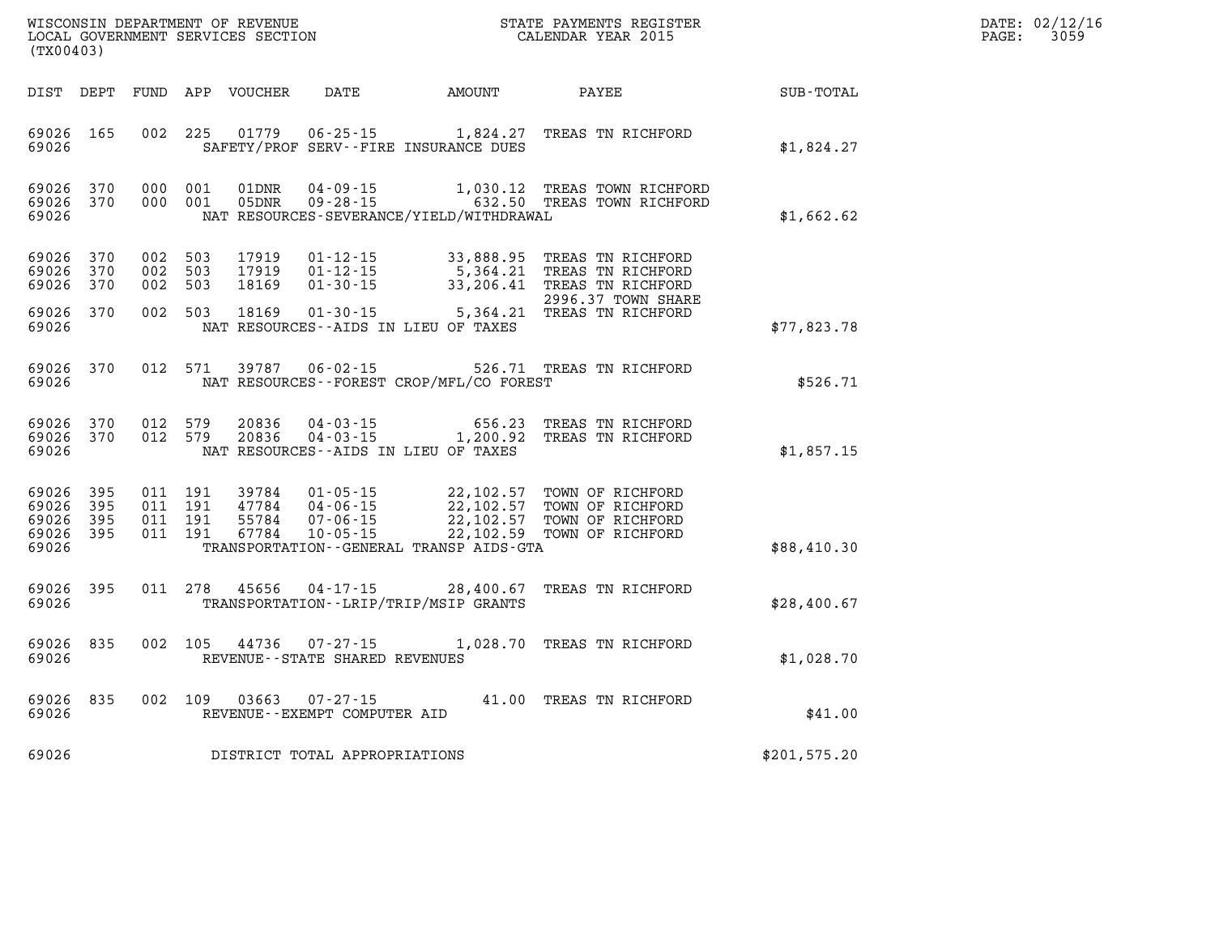| $\mathtt{DATE}$ : | 02/12/16 |
|-------------------|----------|
| PAGE:             | 3059     |

| WISCONSIN DEPARTMENT OF REVENUE<br>(TX00403)                                             | LOCAL GOVERNMENT SERVICES SECTION                                                                                                    |                                                  | STATE PAYMENTS REGISTER<br>CALENDAR YEAR 2015                                     |              |
|------------------------------------------------------------------------------------------|--------------------------------------------------------------------------------------------------------------------------------------|--------------------------------------------------|-----------------------------------------------------------------------------------|--------------|
| DIST<br>FUND<br>DEPT                                                                     | APP<br>VOUCHER<br>DATE                                                                                                               | AMOUNT                                           | PAYEE                                                                             | SUB-TOTAL    |
| 69026<br>165<br>002<br>69026                                                             | 225<br>01779<br>$06 - 25 - 15$<br>SAFETY/PROF SERV--FIRE INSURANCE DUES                                                              | 1,824.27                                         | TREAS TN RICHFORD                                                                 | \$1,824.27   |
| 69026<br>370<br>000<br>69026<br>370<br>000<br>69026                                      | 001<br>01DNR<br>$04 - 09 - 15$<br>001<br>05DNR<br>$09 - 28 - 15$<br>NAT RESOURCES-SEVERANCE/YIELD/WITHDRAWAL                         | 1,030.12<br>632.50                               | TREAS TOWN RICHFORD<br>TREAS TOWN RICHFORD                                        | \$1,662.62   |
| 370<br>002<br>69026<br>69026<br>370<br>002<br>69026<br>370<br>002                        | 503<br>17919<br>$01 - 12 - 15$<br>503<br>17919<br>$01 - 12 - 15$<br>503<br>18169<br>$01 - 30 - 15$                                   | 33,888.95<br>5,364.21<br>33,206.41               | TREAS TN RICHFORD<br>TREAS TN RICHFORD<br>TREAS TN RICHFORD<br>2996.37 TOWN SHARE |              |
| 69026<br>370<br>002<br>69026                                                             | 503<br>18169<br>$01 - 30 - 15$<br>NAT RESOURCES -- AIDS IN LIEU OF TAXES                                                             | 5,364.21                                         | TREAS TN RICHFORD                                                                 | \$77,823.78  |
| 370<br>012<br>69026<br>69026                                                             | 571<br>39787<br>$06 - 02 - 15$<br>NAT RESOURCES--FOREST CROP/MFL/CO FOREST                                                           |                                                  | 526.71 TREAS TN RICHFORD                                                          | \$526.71     |
| 69026<br>370<br>012<br>69026<br>370<br>012<br>69026                                      | 579<br>20836<br>$04 - 03 - 15$<br>579<br>20836<br>$04 - 03 - 15$<br>NAT RESOURCES--AIDS IN LIEU OF TAXES                             | 656.23<br>1,200.92                               | TREAS TN RICHFORD<br>TREAS TN RICHFORD                                            | \$1,857.15   |
| 69026<br>395<br>011<br>69026<br>395<br>011<br>011<br>69026<br>395<br>69026<br>395<br>011 | 191<br>39784<br>$01 - 05 - 15$<br>191<br>47784<br>$04 - 06 - 15$<br>191<br>55784<br>$07 - 06 - 15$<br>$10 - 05 - 15$<br>191<br>67784 | 22,102.57<br>22,102.57<br>22,102.57<br>22,102.59 | TOWN OF RICHFORD<br>TOWN OF RICHFORD<br>TOWN OF RICHFORD<br>TOWN OF RICHFORD      |              |
| 69026                                                                                    | TRANSPORTATION--GENERAL TRANSP AIDS-GTA                                                                                              |                                                  |                                                                                   | \$88,410.30  |
| 395<br>011<br>69026<br>69026                                                             | 278<br>45656<br>$04 - 17 - 15$<br>TRANSPORTATION - - LRIP/TRIP/MSIP GRANTS                                                           | 28,400.67                                        | TREAS TN RICHFORD                                                                 | \$28,400.67  |
| 002<br>69026<br>835<br>69026                                                             | 105<br>44736<br>$07 - 27 - 15$<br>REVENUE - - STATE SHARED REVENUES                                                                  | 1,028.70                                         | TREAS TN RICHFORD                                                                 | \$1,028.70   |
| 69026<br>835<br>002<br>69026                                                             | 109<br>03663<br>$07 - 27 - 15$<br>REVENUE - - EXEMPT COMPUTER AID                                                                    | 41.00                                            | TREAS TN RICHFORD                                                                 | \$41.00      |
| 69026                                                                                    | DISTRICT TOTAL APPROPRIATIONS                                                                                                        |                                                  |                                                                                   | \$201,575.20 |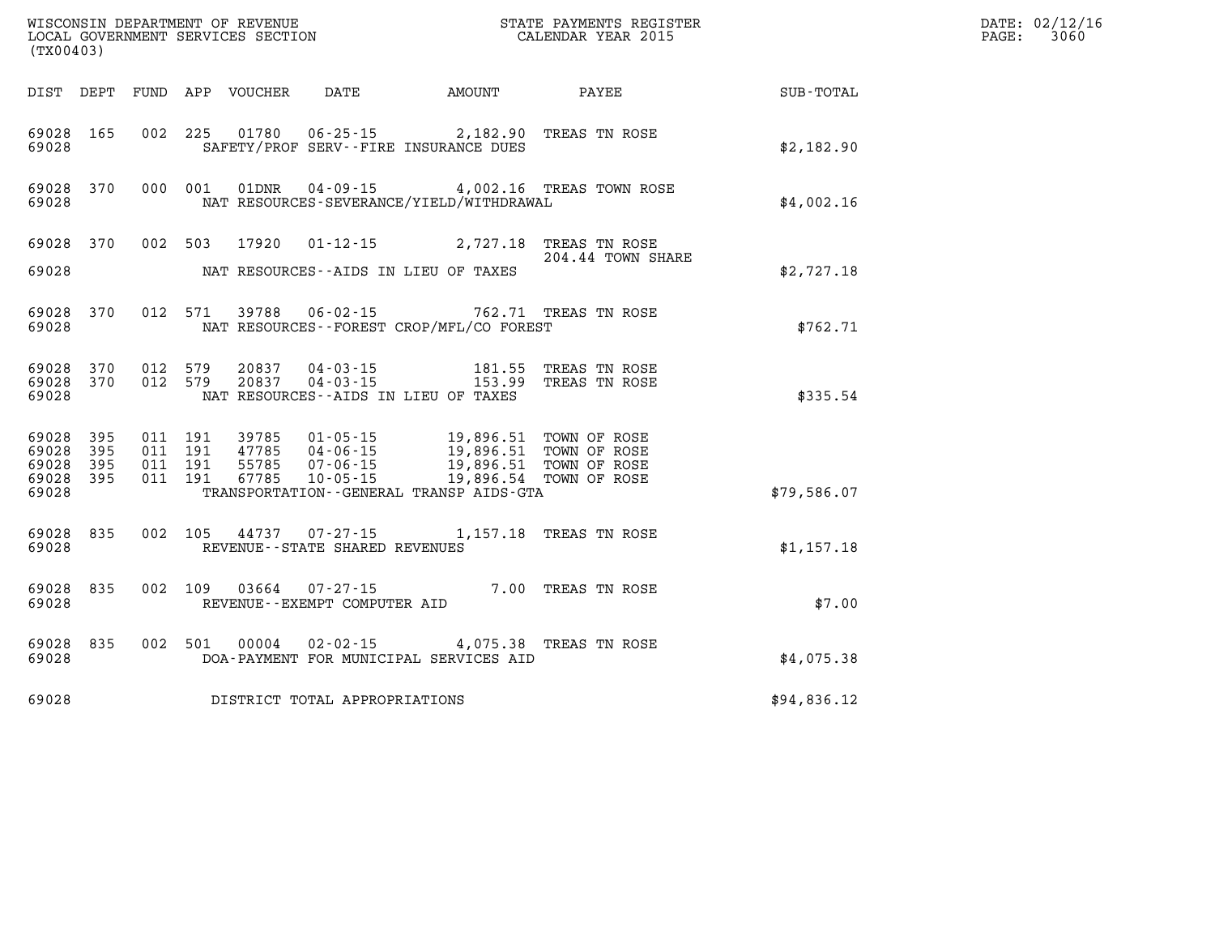| (TX00403)                                         |            |                                          |                            |                                                  |                                                                                                                                                                                                                              |                                           | DATE: 02/12/16<br>PAGE:<br>3060 |  |
|---------------------------------------------------|------------|------------------------------------------|----------------------------|--------------------------------------------------|------------------------------------------------------------------------------------------------------------------------------------------------------------------------------------------------------------------------------|-------------------------------------------|---------------------------------|--|
|                                                   |            |                                          | DIST DEPT FUND APP VOUCHER | DATE                                             | AMOUNT                                                                                                                                                                                                                       | PAYEE                                     | SUB-TOTAL                       |  |
| 69028 165<br>69028                                |            | 002 225                                  |                            |                                                  | 01780  06-25-15  2,182.90<br>SAFETY/PROF SERV--FIRE INSURANCE DUES                                                                                                                                                           | TREAS TN ROSE                             | \$2,182.90                      |  |
| 69028 370<br>69028                                |            | 000 001                                  |                            |                                                  | NAT RESOURCES-SEVERANCE/YIELD/WITHDRAWAL                                                                                                                                                                                     | 01DNR  04-09-15  4,002.16 TREAS TOWN ROSE | \$4,002.16                      |  |
| 69028 370                                         |            | 002 503                                  | 17920                      |                                                  | 01-12-15 2,727.18 TREAS TN ROSE                                                                                                                                                                                              |                                           |                                 |  |
| 69028                                             |            |                                          |                            |                                                  | NAT RESOURCES--AIDS IN LIEU OF TAXES                                                                                                                                                                                         | 204.44 TOWN SHARE                         | \$2,727.18                      |  |
| 69028                                             | 69028 370  |                                          |                            | 012 571 39788 06-02-15                           | NAT RESOURCES - - FOREST CROP/MFL/CO FOREST                                                                                                                                                                                  | 762.71 TREAS TN ROSE                      | \$762.71                        |  |
| 69028 370<br>69028                                | 69028 370  | 012 579<br>012 579                       | 20837<br>20837             |                                                  | 04 - 03 - 15 181.55<br>04 - 03 - 15 153.99<br>181.55<br>NAT RESOURCES -- AIDS IN LIEU OF TAXES                                                                                                                               | TREAS TN ROSE<br>TREAS TN ROSE            | \$335.54                        |  |
| 69028 395<br>69028<br>69028<br>69028 395<br>69028 | 395<br>395 | 011 191<br>011 191<br>011 191<br>011 191 |                            |                                                  | 39785  01-05-15  19,896.51  TOWN OF ROSE<br>47785  04-06-15  19,896.51  TOWN OF ROSE<br>55785  07-06-15  19,896.51  TOWN OF ROSE<br>67785  10-05-15  19,896.54  TOWN OF ROSE<br>TRANSPORTATION - - GENERAL TRANSP AIDS - GTA |                                           | \$79,586.07                     |  |
| 69028 835<br>69028                                |            | 002 105                                  | 44737                      | $07 - 27 - 15$<br>REVENUE--STATE SHARED REVENUES |                                                                                                                                                                                                                              | 1,157.18 TREAS TN ROSE                    | \$1,157.18                      |  |
| 69028 835<br>69028                                |            | 002 109                                  | 03664                      | 07-27-15<br>REVENUE--EXEMPT COMPUTER AID         | 7.00 TREAS TN ROSE                                                                                                                                                                                                           |                                           | \$7.00                          |  |
| 69028 835<br>69028                                |            | 002 501                                  | 00004                      | $02 - 02 - 15$                                   | DOA-PAYMENT FOR MUNICIPAL SERVICES AID                                                                                                                                                                                       | 4,075.38 TREAS TN ROSE                    | \$4,075.38                      |  |
| 69028                                             |            |                                          |                            | DISTRICT TOTAL APPROPRIATIONS                    |                                                                                                                                                                                                                              |                                           | \$94,836.12                     |  |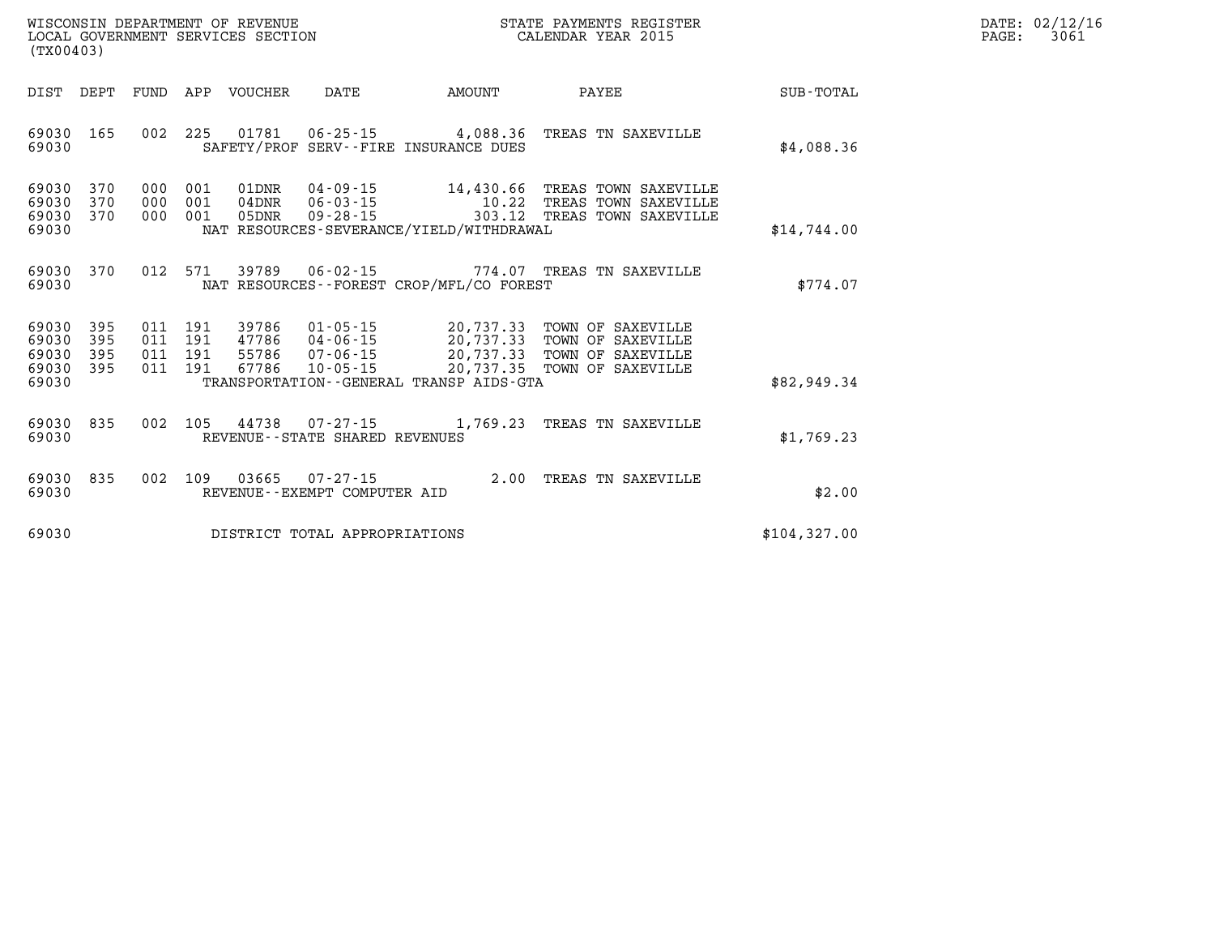| $\mathtt{DATE}$ : | 02/12/16 |
|-------------------|----------|
| PAGE:             | 3061     |

| WISCONSIN DEPARTMENT OF REVENUE<br>LOCAL GOVERNMENT SERVICES SECTION<br>(TX00403)                 |                                                                                                                                                                                 |                                                  | STATE PAYMENTS REGISTER<br>CALENDAR YEAR 2015                                    |                  |
|---------------------------------------------------------------------------------------------------|---------------------------------------------------------------------------------------------------------------------------------------------------------------------------------|--------------------------------------------------|----------------------------------------------------------------------------------|------------------|
| DIST<br>DEPT<br>FUND                                                                              | APP<br><b>VOUCHER</b><br>DATE                                                                                                                                                   | AMOUNT                                           | PAYEE                                                                            | <b>SUB-TOTAL</b> |
| 002<br>69030<br>165<br>69030                                                                      | 225<br>01781<br>$06 - 25 - 15$<br>SAFETY/PROF                                                                                                                                   | 4,088.36<br>SERV--FIRE INSURANCE DUES            | TREAS TN SAXEVILLE                                                               | \$4,088.36       |
| 69030<br>370<br>000<br>69030<br>370<br>000<br>69030<br>370<br>000<br>69030                        | 001<br>01DNR<br>$04 - 09 - 15$<br>001<br>$06 - 03 - 15$<br>$04$ DNR<br>$09 - 28 - 15$<br>001<br>05DNR<br>NAT RESOURCES-SEVERANCE/YIELD/WITHDRAWAL                               | 14,430.66<br>10.22<br>303.12                     | TREAS TOWN SAXEVILLE<br>TREAS TOWN SAXEVILLE<br>TREAS TOWN SAXEVILLE             | \$14,744.00      |
| 012<br>370<br>69030<br>69030                                                                      | 571<br>39789<br>$06 - 02 - 15$<br>NAT RESOURCES - - FOREST CROP/MFL/CO FOREST                                                                                                   | 774.07                                           | TREAS TN SAXEVILLE                                                               | \$774.07         |
| 69030<br>395<br>011<br>395<br>69030<br>011<br>395<br>69030<br>011<br>69030<br>395<br>011<br>69030 | 191<br>39786<br>$01 - 05 - 15$<br>191<br>47786<br>$04 - 06 - 15$<br>191<br>55786<br>$07 - 06 - 15$<br>191<br>67786<br>$10 - 05 - 15$<br>TRANSPORTATION--GENERAL TRANSP AIDS-GTA | 20,737.33<br>20,737.33<br>20,737.33<br>20,737.35 | TOWN OF SAXEVILLE<br>TOWN OF SAXEVILLE<br>TOWN OF SAXEVILLE<br>TOWN OF SAXEVILLE | \$82,949.34      |
| 69030<br>835<br>002<br>69030                                                                      | 105<br>44738<br>$07 - 27 - 15$<br>REVENUE - - STATE SHARED REVENUES                                                                                                             | 1,769.23                                         | TREAS TN SAXEVILLE                                                               | \$1,769.23       |
| 69030<br>835<br>002<br>69030                                                                      | 109<br>03665<br>$07 - 27 - 15$<br>REVENUE - - EXEMPT COMPUTER AID                                                                                                               | 2.00                                             | TREAS TN SAXEVILLE                                                               | \$2.00           |
| 69030                                                                                             | DISTRICT TOTAL APPROPRIATIONS                                                                                                                                                   |                                                  |                                                                                  | \$104, 327.00    |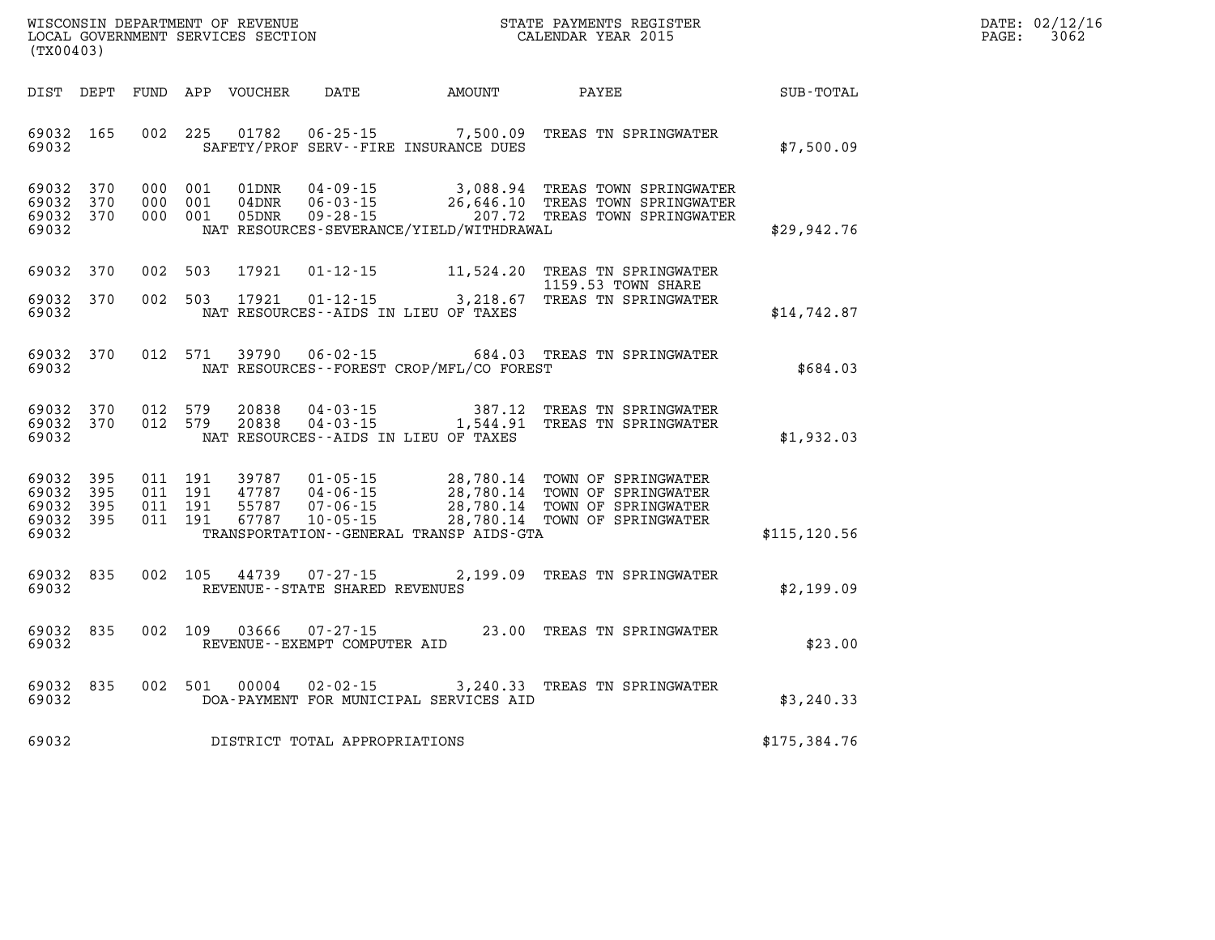| $\mathtt{DATE}$ : | 02/12/16 |
|-------------------|----------|
| PAGE:             | 3062     |

| DIST                                      | DEPT                     | FUND                     | APP                      | VOUCHER                          | DATE                                                                 | AMOUNT                                                                                           | PAYEE                                                                                    | SUB-TOTAL     |
|-------------------------------------------|--------------------------|--------------------------|--------------------------|----------------------------------|----------------------------------------------------------------------|--------------------------------------------------------------------------------------------------|------------------------------------------------------------------------------------------|---------------|
| 69032<br>69032                            | 165                      | 002                      | 225                      | 01782                            |                                                                      | $06 - 25 - 15$ 7,500.09<br>SAFETY/PROF SERV--FIRE INSURANCE DUES                                 | TREAS TN SPRINGWATER                                                                     | \$7,500.09    |
| 69032<br>69032<br>69032<br>69032          | 370<br>370<br>370        | 000<br>000<br>000        | 001<br>001<br>001        | 01DNR<br>$04$ DNR<br>05DNR       | $04 - 09 - 15$<br>$06 - 03 - 15$<br>$09 - 28 - 15$                   | 3,088.94<br>26,646.10<br>207.72<br>NAT RESOURCES-SEVERANCE/YIELD/WITHDRAWAL                      | TREAS TOWN SPRINGWATER<br>TREAS TOWN SPRINGWATER<br>TREAS TOWN SPRINGWATER               | \$29,942.76   |
| 69032                                     | 370                      | 002                      | 503                      | 17921                            | $01 - 12 - 15$                                                       | 11,524.20                                                                                        | TREAS TN SPRINGWATER<br>1159.53 TOWN SHARE                                               |               |
| 69032<br>69032                            | 370                      | 002                      | 503                      | 17921                            | $01 - 12 - 15$                                                       | 3,218.67<br>NAT RESOURCES -- AIDS IN LIEU OF TAXES                                               | TREAS TN SPRINGWATER                                                                     | \$14,742.87   |
| 69032<br>69032                            | 370                      | 012                      | 571                      | 39790                            | $06 - 02 - 15$                                                       | 684.03<br>NAT RESOURCES - - FOREST CROP/MFL/CO FOREST                                            | TREAS TN SPRINGWATER                                                                     | \$684.03      |
| 69032<br>69032<br>69032                   | 370<br>370               | 012<br>012               | 579<br>579               | 20838<br>20838                   | $04 - 03 - 15$<br>$04 - 03 - 15$                                     | 387.12<br>1,544.91<br>NAT RESOURCES--AIDS IN LIEU OF TAXES                                       | TREAS TN SPRINGWATER<br>TREAS TN SPRINGWATER                                             | \$1,932.03    |
| 69032<br>69032<br>69032<br>69032<br>69032 | 395<br>395<br>395<br>395 | 011<br>011<br>011<br>011 | 191<br>191<br>191<br>191 | 39787<br>47787<br>55787<br>67787 | $01 - 05 - 15$<br>$04 - 06 - 15$<br>$07 - 06 - 15$<br>$10 - 05 - 15$ | 28,780.14<br>28,780.14<br>28,780.14<br>28,780.14<br>TRANSPORTATION - - GENERAL TRANSP AIDS - GTA | TOWN OF SPRINGWATER<br>TOWN OF SPRINGWATER<br>TOWN OF SPRINGWATER<br>TOWN OF SPRINGWATER | \$115, 120.56 |
| 69032<br>69032                            | 835                      | 002                      | 105                      | 44739                            | $07 - 27 - 15$<br>REVENUE - - STATE SHARED REVENUES                  | 2,199.09                                                                                         | TREAS TN SPRINGWATER                                                                     | \$2,199.09    |
| 69032<br>69032                            | 835                      | 002                      | 109                      | 03666                            | $07 - 27 - 15$<br>REVENUE - - EXEMPT COMPUTER AID                    | 23.00                                                                                            | TREAS TN SPRINGWATER                                                                     | \$23.00       |
| 69032<br>69032                            | 835                      | 002                      | 501                      | 00004                            | $02 - 02 - 15$                                                       | 3,240.33<br>DOA-PAYMENT FOR MUNICIPAL SERVICES AID                                               | TREAS TN SPRINGWATER                                                                     | \$3, 240.33   |
| 69032                                     |                          |                          |                          |                                  | DISTRICT TOTAL APPROPRIATIONS                                        |                                                                                                  |                                                                                          | \$175,384.76  |

LOCAL GOVERNMENT SERVICES SECTION

**(TX00403)**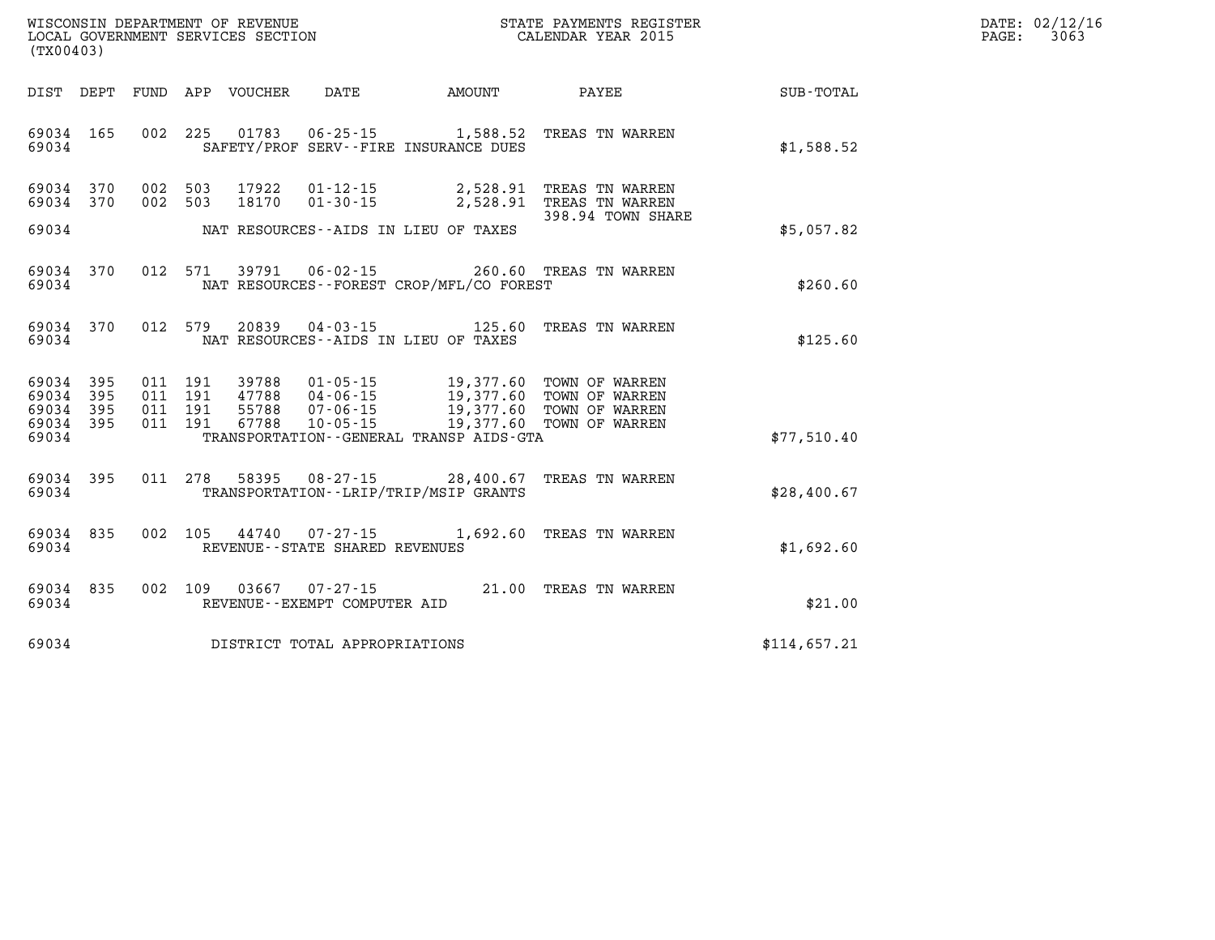| WISCONSIN DEPARTMENT OF REVENUE      | PAYMENTS REGISTER<br>3TATE | DATE: | 02/12/16 |
|--------------------------------------|----------------------------|-------|----------|
| GOVERNMENT SERVICES SECTION<br>LOCAL | CALENDAR YEAR 2015         | PAGE  | 3063     |

| (TX00403)                           |                    |         | LOCAL GOVERNMENT SERVICES SECTION |                                     | CALENDAR YEAR 2015                                                                                                                                                                                                                                                                                                                                                                                 |                                                                                                                         |                                                              | PAGE: | 3063 |
|-------------------------------------|--------------------|---------|-----------------------------------|-------------------------------------|----------------------------------------------------------------------------------------------------------------------------------------------------------------------------------------------------------------------------------------------------------------------------------------------------------------------------------------------------------------------------------------------------|-------------------------------------------------------------------------------------------------------------------------|--------------------------------------------------------------|-------|------|
|                                     |                    |         |                                   |                                     |                                                                                                                                                                                                                                                                                                                                                                                                    |                                                                                                                         | DIST DEPT FUND APP VOUCHER DATE AMOUNT PAYEE PAYEE SUB-TOTAL |       |      |
| 69034                               | 69034 165          |         |                                   |                                     | SAFETY/PROF SERV--FIRE INSURANCE DUES                                                                                                                                                                                                                                                                                                                                                              | 002 225 01783 06-25-15 1,588.52 TREAS TN WARREN                                                                         | \$1,588.52                                                   |       |      |
| 69034 370<br>69034 370              |                    |         |                                   |                                     | 69034 NAT RESOURCES--AIDS IN LIEU OF TAXES                                                                                                                                                                                                                                                                                                                                                         | 002 503 17922 01-12-15 2,528.91 TREAS TN WARREN<br>002 503 18170 01-30-15 2,528.91 TREAS TN WARREN<br>398.94 TOWN SHARE | \$5,057.82                                                   |       |      |
|                                     | 69034 370          | 69034   |                                   |                                     | NAT RESOURCES -- FOREST CROP/MFL/CO FOREST                                                                                                                                                                                                                                                                                                                                                         | 012 571 39791 06-02-15 260.60 TREAS TN WARREN                                                                           | \$260.60                                                     |       |      |
| 69034                               | 69034 370          |         |                                   |                                     | NAT RESOURCES--AIDS IN LIEU OF TAXES                                                                                                                                                                                                                                                                                                                                                               | 012 579 20839 04-03-15 125.60 TREAS TN WARREN                                                                           | \$125.60                                                     |       |      |
| 69034 395<br>69034 395<br>69034 395 | 69034 395<br>69034 | 011 191 |                                   |                                     | $\begin{array}{cccc} 011 & 191 & 39788 & 01\cdot 05\cdot 15 & 19\text{, }377\text{.}60 & \text{TOWN OF WARREN} \\ 011 & 191 & 47788 & 04\cdot 06\cdot 15 & 19\text{, }377\text{.}60 & \text{TOWN OF WARREN} \\ 011 & 191 & 55788 & 07\cdot 06\cdot 15 & 19\text{, }377\text{.}60 & \text{TOWN OF WARREN} \\ 011 & 191 & 67788 & 10\cdot 05\cdot 1$<br>TRANSPORTATION - - GENERAL TRANSP AIDS - GTA |                                                                                                                         | \$77,510.40                                                  |       |      |
| 69034                               | 69034 395          |         |                                   |                                     | TRANSPORTATION--LRIP/TRIP/MSIP GRANTS                                                                                                                                                                                                                                                                                                                                                              | 011 278 58395 08-27-15 28,400.67 TREAS TN WARREN                                                                        | \$28,400.67                                                  |       |      |
| 69034                               | 69034 835          |         |                                   | REVENUE--STATE SHARED REVENUES      |                                                                                                                                                                                                                                                                                                                                                                                                    | 002 105 44740 07-27-15 1,692.60 TREAS TN WARREN                                                                         | \$1,692.60                                                   |       |      |
|                                     | 69034 835<br>69034 |         |                                   | REVENUE--EXEMPT COMPUTER AID        |                                                                                                                                                                                                                                                                                                                                                                                                    | 002 109 03667 07-27-15 21.00 TREAS TN WARREN                                                                            | \$21.00                                                      |       |      |
|                                     |                    |         |                                   | 69034 DISTRICT TOTAL APPROPRIATIONS |                                                                                                                                                                                                                                                                                                                                                                                                    |                                                                                                                         | \$114,657.21                                                 |       |      |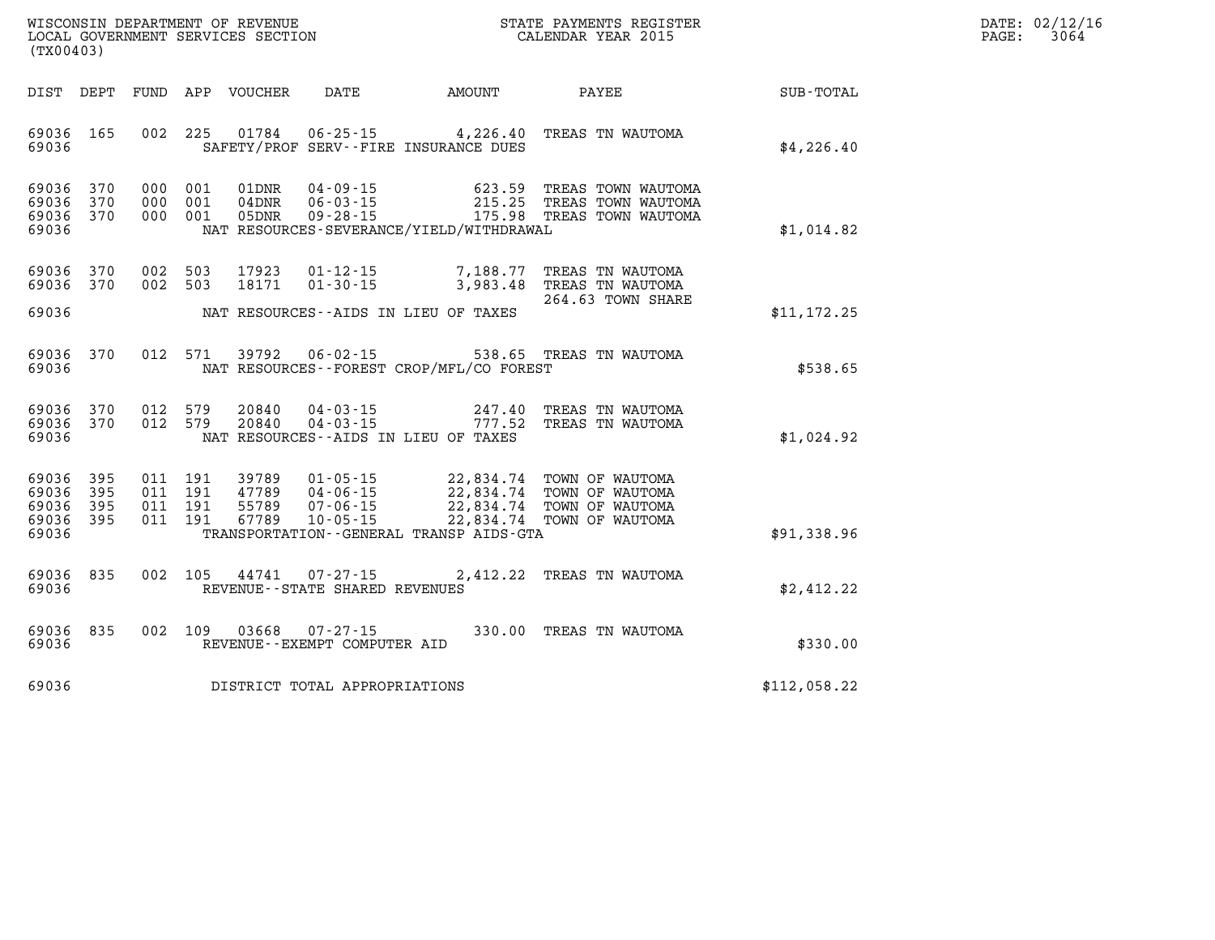| $\mathtt{DATE}$ : | 02/12/16 |
|-------------------|----------|
| PAGE:             | 3064     |

| (TX00403)                                 |                          |                          |                          | WISCONSIN DEPARTMENT OF REVENUE<br>LOCAL GOVERNMENT SERVICES SECTION |                                                                      | STATE PAYMENTS REGISTER<br>CALENDAR YEAR 2015                                                    |                                                                          |              |  |
|-------------------------------------------|--------------------------|--------------------------|--------------------------|----------------------------------------------------------------------|----------------------------------------------------------------------|--------------------------------------------------------------------------------------------------|--------------------------------------------------------------------------|--------------|--|
| DIST                                      | DEPT                     | <b>FUND</b>              | APP                      | VOUCHER                                                              | DATE                                                                 | AMOUNT                                                                                           | PAYEE                                                                    | SUB-TOTAL    |  |
| 69036<br>69036                            | 165                      | 002                      | 225                      | 01784                                                                | $06 - 25 - 15$                                                       | 4,226.40<br>SAFETY/PROF SERV--FIRE INSURANCE DUES                                                | TREAS TN WAUTOMA                                                         | \$4,226.40   |  |
| 69036<br>69036<br>69036<br>69036          | 370<br>370<br>370        | 000<br>000<br>000        | 001<br>001<br>001        | 01DNR<br>04DNR<br>05DNR                                              | $04 - 09 - 15$<br>$06 - 03 - 15$<br>$09 - 28 - 15$                   | 623.59<br>215.25<br>175.98<br>NAT RESOURCES-SEVERANCE/YIELD/WITHDRAWAL                           | TREAS TOWN WAUTOMA<br>TREAS TOWN WAUTOMA<br>TREAS TOWN WAUTOMA           | \$1,014.82   |  |
| 69036<br>69036                            | 370<br>370               | 002<br>002               | 503<br>503               | 17923<br>18171                                                       | $01 - 12 - 15$<br>$01 - 30 - 15$                                     | 7,188.77<br>3,983.48                                                                             | TREAS TN WAUTOMA<br>TREAS TN WAUTOMA<br>264.63 TOWN SHARE                |              |  |
| 69036                                     |                          |                          |                          |                                                                      |                                                                      | NAT RESOURCES -- AIDS IN LIEU OF TAXES                                                           |                                                                          | \$11, 172.25 |  |
| 69036<br>69036                            | 370                      | 012                      | 571                      | 39792                                                                | $06 - 02 - 15$                                                       | 538.65<br>NAT RESOURCES - - FOREST CROP/MFL/CO FOREST                                            | TREAS TN WAUTOMA                                                         | \$538.65     |  |
| 69036<br>69036<br>69036                   | 370<br>370               | 012<br>012               | 579<br>579               | 20840<br>20840                                                       | $04 - 03 - 15$<br>$04 - 03 - 15$                                     | 247.40<br>777.52<br>NAT RESOURCES--AIDS IN LIEU OF TAXES                                         | TREAS TN WAUTOMA<br>TREAS TN WAUTOMA                                     | \$1,024.92   |  |
| 69036<br>69036<br>69036<br>69036<br>69036 | 395<br>395<br>395<br>395 | 011<br>011<br>011<br>011 | 191<br>191<br>191<br>191 | 39789<br>47789<br>55789<br>67789                                     | $01 - 05 - 15$<br>$04 - 06 - 15$<br>$07 - 06 - 15$<br>$10 - 05 - 15$ | 22,834.74<br>22,834.74<br>22,834.74<br>22,834.74<br>TRANSPORTATION - - GENERAL TRANSP AIDS - GTA | TOWN OF WAUTOMA<br>TOWN OF WAUTOMA<br>TOWN OF WAUTOMA<br>TOWN OF WAUTOMA | \$91,338.96  |  |
| 69036<br>69036                            | 835                      | 002                      | 105                      | 44741                                                                | $07 - 27 - 15$<br>REVENUE - - STATE SHARED REVENUES                  | 2,412.22                                                                                         | TREAS TN WAUTOMA                                                         | \$2,412.22   |  |
| 69036<br>69036                            | 835                      | 002                      | 109                      | 03668                                                                | $07 - 27 - 15$<br>REVENUE - - EXEMPT COMPUTER AID                    | 330.00                                                                                           | TREAS TN WAUTOMA                                                         | \$330.00     |  |
| 69036                                     |                          |                          |                          |                                                                      | DISTRICT TOTAL APPROPRIATIONS                                        |                                                                                                  |                                                                          | \$112,058.22 |  |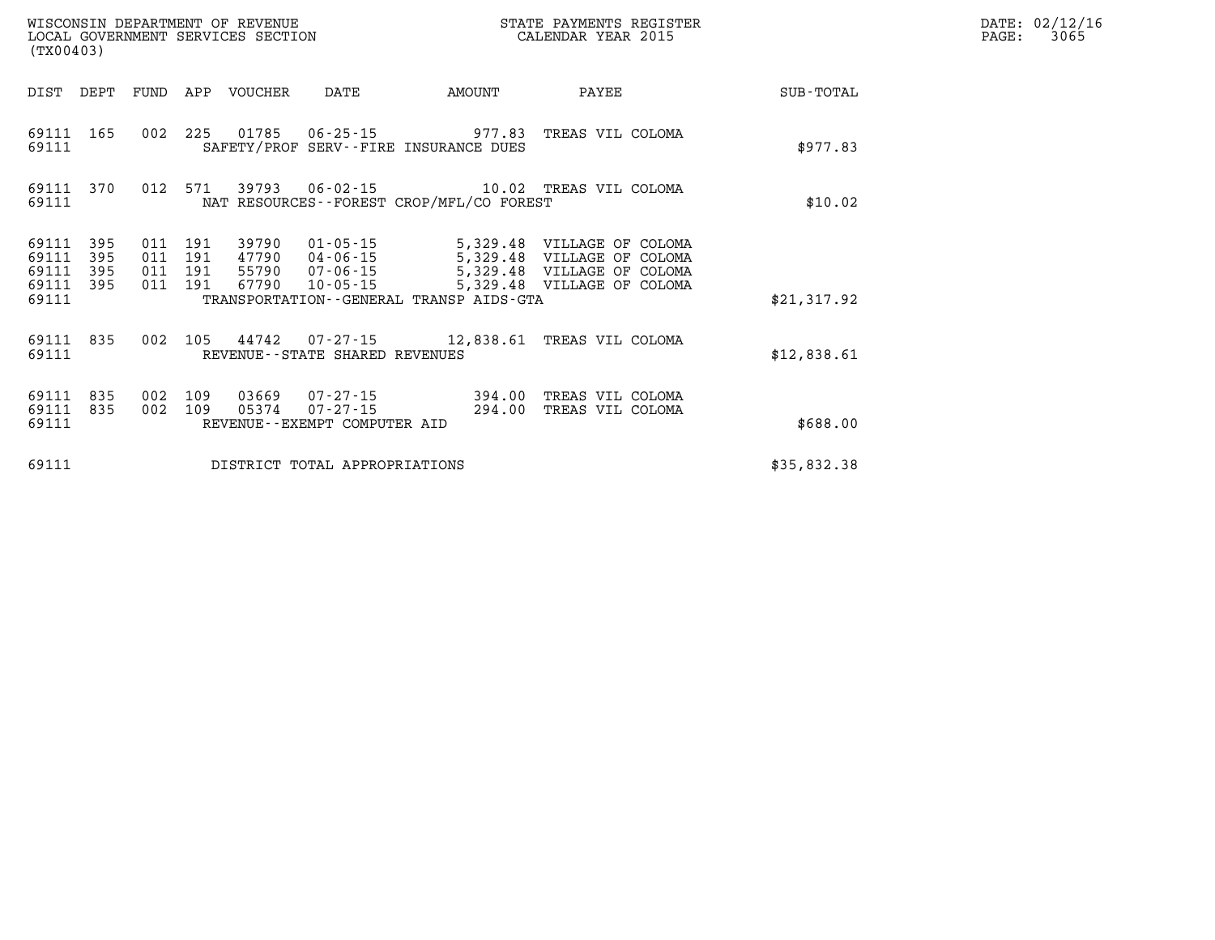| (TX00403)                                 |                          |                          |                          | WISCONSIN DEPARTMENT OF REVENUE<br>LOCAL GOVERNMENT SERVICES SECTION |                                                                      |                                          | STATE PAYMENTS REGISTER<br>CALENDAR YEAR 2015                                                                                 |                  |
|-------------------------------------------|--------------------------|--------------------------|--------------------------|----------------------------------------------------------------------|----------------------------------------------------------------------|------------------------------------------|-------------------------------------------------------------------------------------------------------------------------------|------------------|
| DIST                                      | DEPT                     | FUND                     | APP                      | VOUCHER                                                              | DATE                                                                 | AMOUNT                                   | PAYEE                                                                                                                         | <b>SUB-TOTAL</b> |
| 69111<br>69111                            | 165                      | 002                      | 225                      |                                                                      |                                                                      | SAFETY/PROF SERV--FIRE INSURANCE DUES    | 01785  06-25-15  977.83  TREAS VIL COLOMA                                                                                     | \$977.83         |
| 69111<br>69111                            | 370                      | 012                      | 571                      |                                                                      |                                                                      | NAT RESOURCES--FOREST CROP/MFL/CO FOREST |                                                                                                                               | \$10.02          |
| 69111<br>69111<br>69111<br>69111<br>69111 | 395<br>395<br>395<br>395 | 011<br>011<br>011<br>011 | 191<br>191<br>191<br>191 | 39790<br>55790<br>67790                                              | $47790$ $04 - 06 - 15$<br>$07 - 06 - 15$<br>10-05-15                 | TRANSPORTATION--GENERAL TRANSP AIDS-GTA  | 01-05-15 5,329.48 VILLAGE OF COLOMA<br>5,329.48 VILLAGE OF COLOMA<br>5,329.48 VILLAGE OF COLOMA<br>5,329.48 VILLAGE OF COLOMA | \$21,317.92      |
| 69111<br>69111                            | 835                      | 002                      | 105                      |                                                                      | REVENUE--STATE SHARED REVENUES                                       |                                          | 44742  07-27-15  12,838.61  TREAS VIL COLOMA                                                                                  | \$12,838.61      |
| 69111<br>69111<br>69111                   | 835<br>835               | 002<br>002               | 109<br>109               | 05374                                                                | 03669  07-27-15<br>$07 - 27 - 15$<br>REVENUE - - EXEMPT COMPUTER AID | 394.00<br>294.00                         | TREAS VIL COLOMA<br>TREAS VIL COLOMA                                                                                          | \$688.00         |
| 69111                                     | \$35,832.38              |                          |                          |                                                                      |                                                                      |                                          |                                                                                                                               |                  |

**DATE: 02/12/16<br>PAGE: 3065**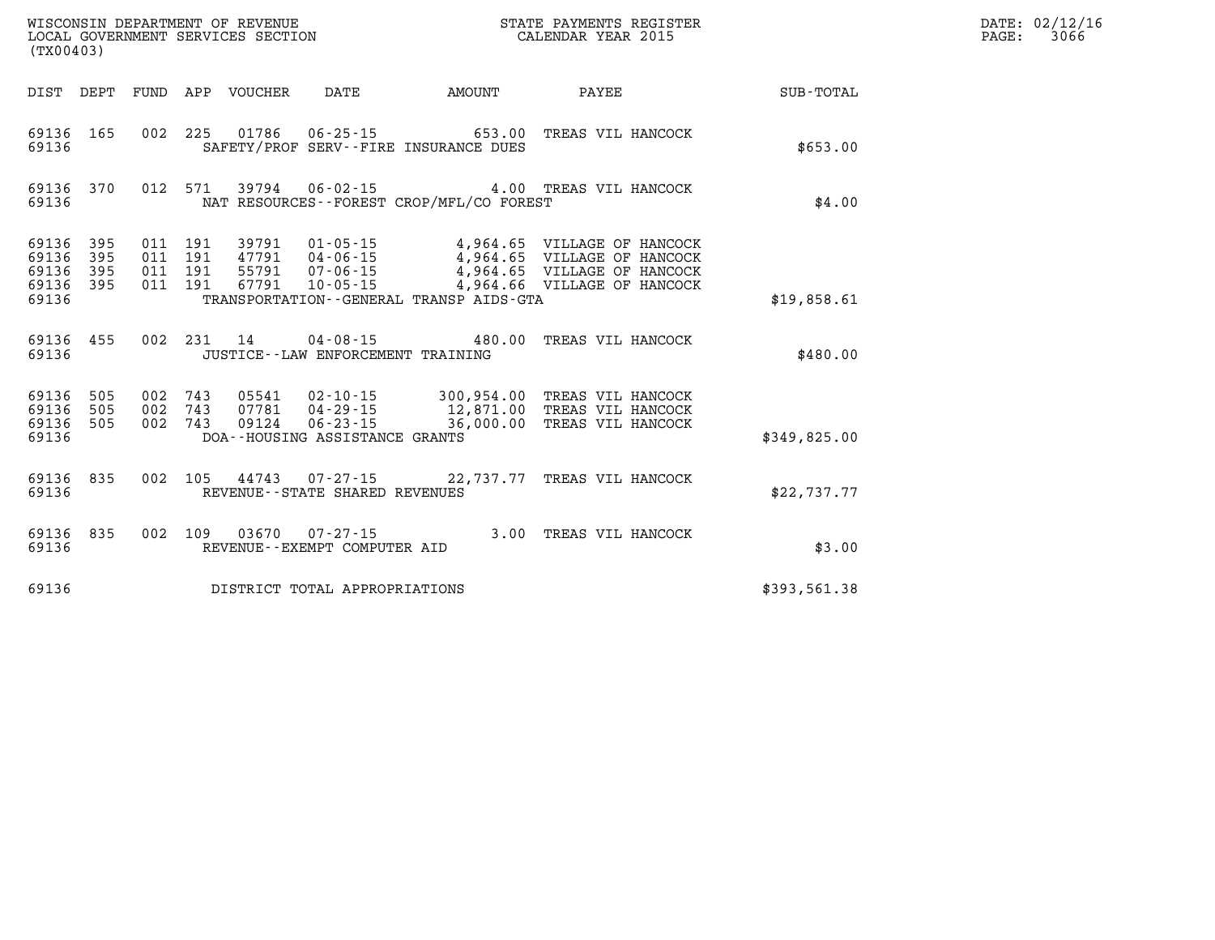| (TX00403)                        |                          |                          |                          | WISCONSIN DEPARTMENT OF REVENUE<br>LOCAL GOVERNMENT SERVICES SECTION |                                                                                      |                                                 | STATE PAYMENTS REGISTER<br>CALENDAR YEAR 2015                                                                            |              |
|----------------------------------|--------------------------|--------------------------|--------------------------|----------------------------------------------------------------------|--------------------------------------------------------------------------------------|-------------------------------------------------|--------------------------------------------------------------------------------------------------------------------------|--------------|
| DIST                             | DEPT                     | FUND                     | APP                      | VOUCHER                                                              | <b>DATE</b>                                                                          | AMOUNT                                          | PAYEE                                                                                                                    | SUB-TOTAL    |
| 69136<br>69136                   | 165                      | 002                      | 225                      | 01786                                                                | $06 - 25 - 15$                                                                       | 653.00<br>SAFETY/PROF SERV--FIRE INSURANCE DUES | TREAS VIL HANCOCK                                                                                                        | \$653.00     |
| 69136<br>69136                   | 370                      | 012                      | 571                      | 39794                                                                | $06 - 02 - 15$                                                                       | NAT RESOURCES - - FOREST CROP/MFL/CO FOREST     | 4.00 TREAS VIL HANCOCK                                                                                                   | \$4.00       |
| 69136<br>69136<br>69136<br>69136 | 395<br>395<br>395<br>395 | 011<br>011<br>011<br>011 | 191<br>191<br>191<br>191 | 39791<br>47791<br>55791<br>67791                                     | $01 - 05 - 15$<br>04-06-15<br>$07 - 06 - 15$<br>$10 - 05 - 15$                       |                                                 | 4,964.65 VILLAGE OF HANCOCK<br>4,964.65 VILLAGE OF HANCOCK<br>4,964.65 VILLAGE OF HANCOCK<br>4,964.66 VILLAGE OF HANCOCK |              |
| 69136                            |                          |                          |                          |                                                                      |                                                                                      | TRANSPORTATION--GENERAL TRANSP AIDS-GTA         |                                                                                                                          | \$19,858.61  |
| 69136<br>69136                   | 455                      | 002                      | 231                      | 14                                                                   | $04 - 08 - 15$                                                                       | 480.00<br>JUSTICE - - LAW ENFORCEMENT TRAINING  | TREAS VIL HANCOCK                                                                                                        | \$480.00     |
| 69136<br>69136<br>69136<br>69136 | 505<br>505<br>505        | 002<br>002<br>002        | 743<br>743<br>743        | 05541<br>07781<br>09124                                              | $02 - 10 - 15$<br>$04 - 29 - 15$<br>$06 - 23 - 15$<br>DOA--HOUSING ASSISTANCE GRANTS | 12,871.00<br>36,000.00                          | 300,954.00 TREAS VIL HANCOCK<br>TREAS VIL HANCOCK<br>TREAS VIL HANCOCK                                                   | \$349,825.00 |
| 69136<br>69136                   | 835                      | 002                      | 105                      | 44743                                                                | $07 - 27 - 15$<br>REVENUE - - STATE SHARED REVENUES                                  |                                                 | 22,737.77 TREAS VIL HANCOCK                                                                                              | \$22,737.77  |
| 69136<br>69136                   | 835                      | 002                      | 109                      | 03670                                                                | $07 - 27 - 15$<br>REVENUE - - EXEMPT COMPUTER AID                                    | 3.00                                            | TREAS VIL HANCOCK                                                                                                        | \$3.00       |
| 69136                            |                          |                          |                          |                                                                      | DISTRICT TOTAL APPROPRIATIONS                                                        |                                                 |                                                                                                                          | \$393,561.38 |

**DATE: 02/12/16<br>PAGE: 3066**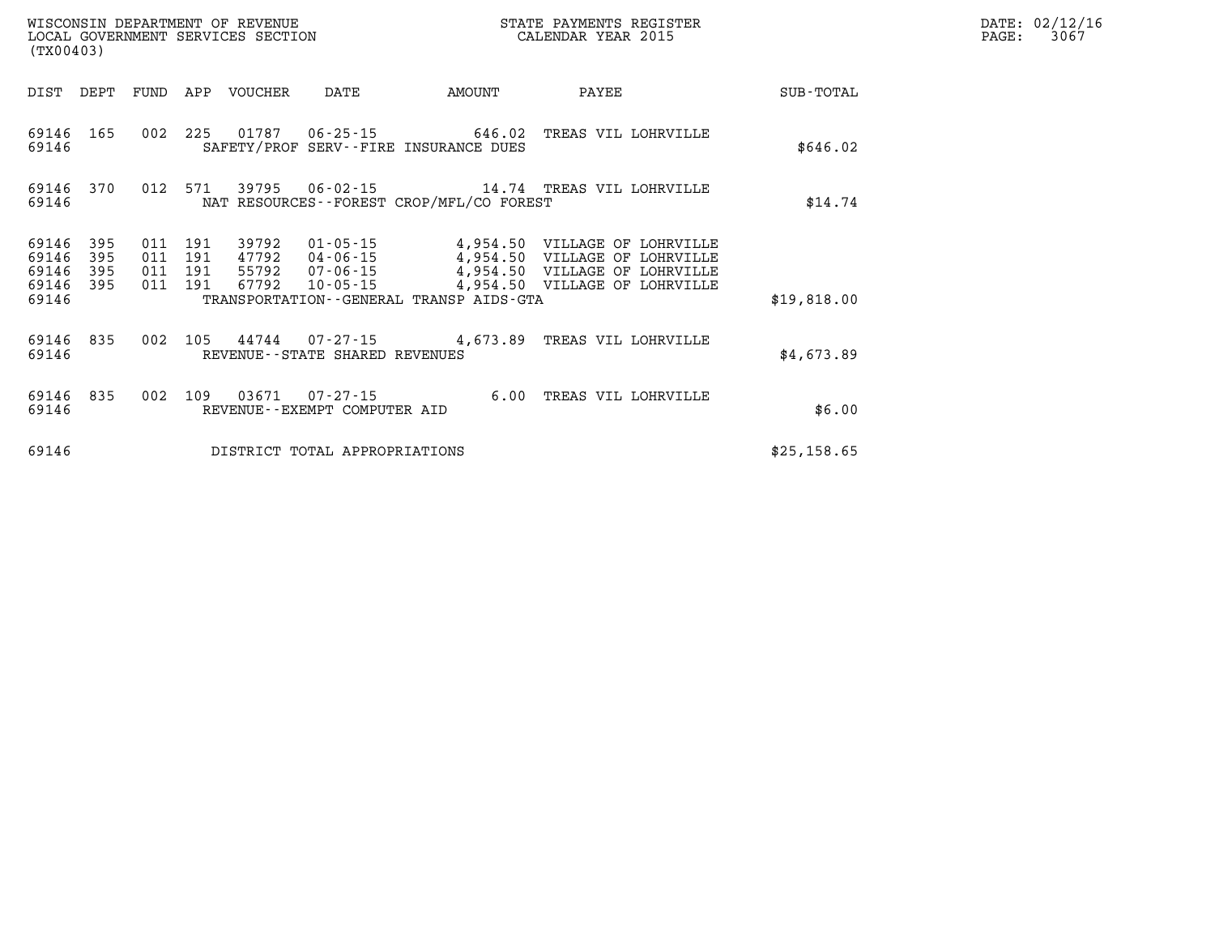| WISCONSIN DEPARTMENT OF REVENUE<br>LOCAL GOVERNMENT SERVICES SECTION<br>(TX00403) |            |  |         |                                 |                                |                                                                        | STATE PAYMENTS REGISTER<br>CALENDAR YEAR 2015                                                                |             | DATE: 02/12/16<br>$\mathtt{PAGE:}$<br>3067 |
|-----------------------------------------------------------------------------------|------------|--|---------|---------------------------------|--------------------------------|------------------------------------------------------------------------|--------------------------------------------------------------------------------------------------------------|-------------|--------------------------------------------|
|                                                                                   |            |  |         | DIST DEPT FUND APP VOUCHER DATE |                                | <b>AMOUNT</b>                                                          | <b>PAYEE</b>                                                                                                 | SUB-TOTAL   |                                            |
| 69146 165<br>69146                                                                |            |  |         |                                 |                                | 002 225 01787 06-25-15 646.02<br>SAFETY/PROF SERV--FIRE INSURANCE DUES | TREAS VIL LOHRVILLE                                                                                          | \$646.02    |                                            |
| 69146                                                                             |            |  |         |                                 |                                | NAT RESOURCES--FOREST CROP/MFL/CO FOREST                               | 69146 370 012 571 39795 06-02-15 14.74 TREAS VIL LOHRVILLE                                                   | \$14.74     |                                            |
| 69146<br>69146                                                                    | 395<br>395 |  | 011 191 |                                 |                                |                                                                        | 39792  01-05-15  4,954.50  VILLAGE OF LOHRVILLE<br>011  191  47792  04-06-15  4,954.50  VILLAGE OF LOHRVILLE |             |                                            |
| 69146<br>69146 395<br>69146                                                       | 395        |  | 011 191 | 67792                           |                                | TRANSPORTATION--GENERAL TRANSP AIDS-GTA                                | 011 191 55792 07-06-15 4,954.50 VILLAGE OF LOHRVILLE                                                         | \$19,818.00 |                                            |
| 69146 835<br>69146                                                                |            |  |         |                                 | REVENUE--STATE SHARED REVENUES |                                                                        | 002 105 44744 07-27-15 4,673.89 TREAS VIL LOHRVILLE                                                          | \$4,673.89  |                                            |
| 69146 835<br>69146                                                                |            |  |         |                                 | REVENUE--EXEMPT COMPUTER AID   |                                                                        | 002 109 03671 07-27-15 6.00 TREAS VIL LOHRVILLE                                                              | \$6.00      |                                            |
| 69146                                                                             |            |  |         |                                 | DISTRICT TOTAL APPROPRIATIONS  |                                                                        |                                                                                                              | \$25,158.65 |                                            |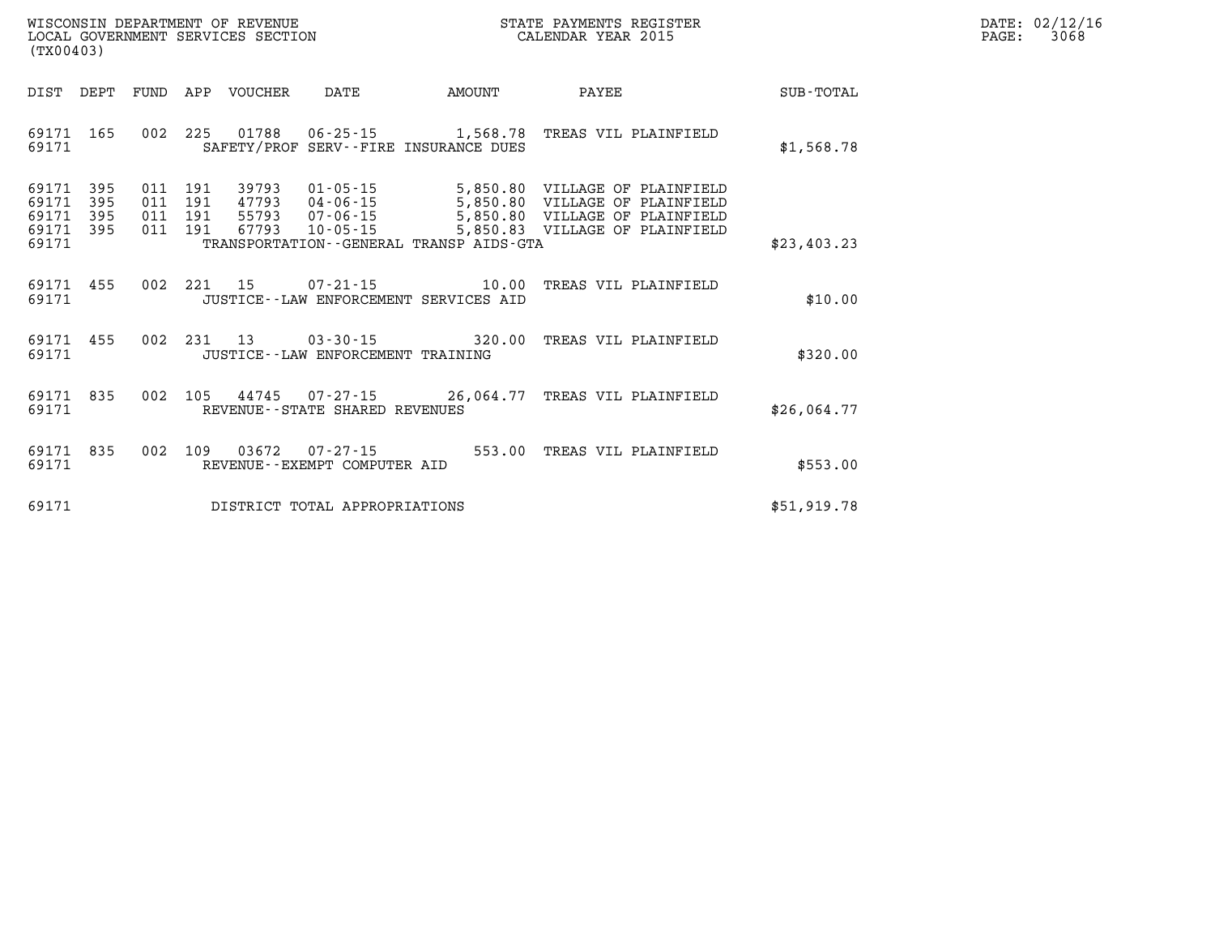| $\mathtt{DATE}$ : | 02/12/16 |
|-------------------|----------|
| PAGE:             | 3068     |

| WISCONSIN DEPARTMENT OF REVENUE<br>LOCAL GOVERNMENT SERVICES SECTION<br>(TX00403)                 |                                                                                                                                                                                 |                                              | STATE PAYMENTS REGISTER<br>CALENDAR YEAR 2015                                                    |             |
|---------------------------------------------------------------------------------------------------|---------------------------------------------------------------------------------------------------------------------------------------------------------------------------------|----------------------------------------------|--------------------------------------------------------------------------------------------------|-------------|
| DEPT<br>FUND<br>DIST                                                                              | APP<br>VOUCHER<br>DATE                                                                                                                                                          | AMOUNT                                       | PAYEE                                                                                            | SUB-TOTAL   |
| 002<br>69171<br>165<br>69171                                                                      | 225<br>01788   06-25-15   1,568.78<br>SAFETY/PROF SERV--FIRE INSURANCE DUES                                                                                                     |                                              | TREAS VIL PLAINFIELD                                                                             | \$1,568.78  |
| 69171<br>395<br>011<br>395<br>011<br>69171<br>395<br>011<br>69171<br>395<br>011<br>69171<br>69171 | 191<br>39793<br>$01 - 05 - 15$<br>191<br>47793<br>$04 - 06 - 15$<br>191<br>55793<br>$07 - 06 - 15$<br>191<br>67793<br>$10 - 05 - 15$<br>TRANSPORTATION--GENERAL TRANSP AIDS-GTA | 5,850.80<br>5,850.80<br>5,850.80<br>5,850.83 | VILLAGE OF PLAINFIELD<br>VILLAGE OF PLAINFIELD<br>VILLAGE OF PLAINFIELD<br>VILLAGE OF PLAINFIELD | \$23,403.23 |
| 002<br>69171<br>455<br>69171                                                                      | 2.21<br>15<br>07-21-15<br>JUSTICE -- LAW ENFORCEMENT SERVICES AID                                                                                                               | 10.00                                        | TREAS VIL PLAINFIELD                                                                             | \$10.00     |
| 455<br>002<br>69171<br>69171                                                                      | 231<br>13<br>$03 - 30 - 15$<br>JUSTICE - - LAW ENFORCEMENT TRAINING                                                                                                             | 320.00                                       | TREAS VIL PLAINFIELD                                                                             | \$320.00    |
| 69171<br>835<br>002<br>69171                                                                      | 105<br>44745<br>07-27-15<br>REVENUE--STATE SHARED REVENUES                                                                                                                      |                                              | 26,064.77 TREAS VIL PLAINFIELD                                                                   | \$26,064.77 |
| 835<br>002<br>69171<br>69171                                                                      | 109<br>03672<br>$07 - 27 - 15$<br>REVENUE - - EXEMPT COMPUTER AID                                                                                                               | 553.00                                       | TREAS VIL PLAINFIELD                                                                             | \$553.00    |
| 69171                                                                                             | DISTRICT TOTAL APPROPRIATIONS                                                                                                                                                   |                                              |                                                                                                  | \$51,919.78 |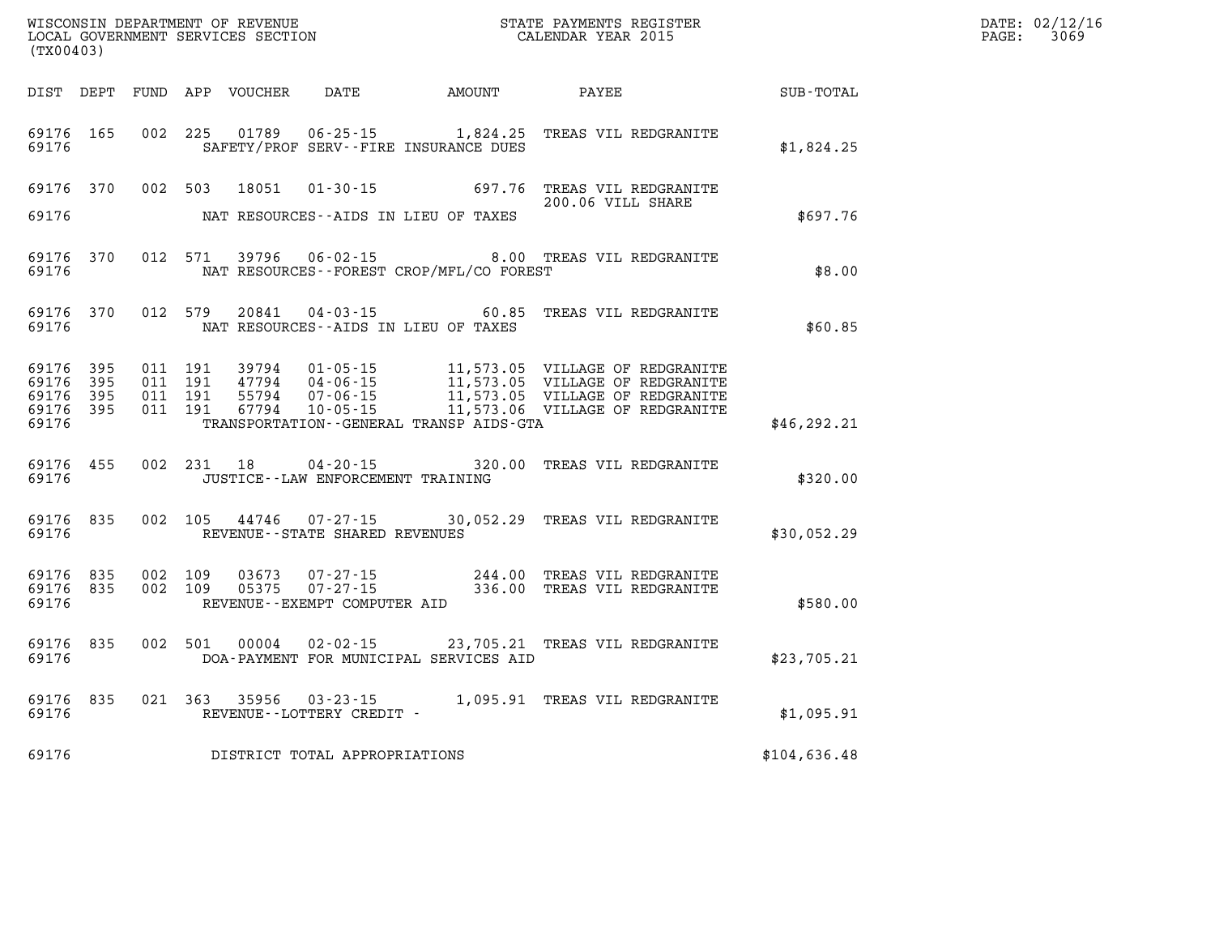| (TX00403)                                     |                     |                                          | WISCONSIN DEPARTMENT OF REVENUE<br>LOCAL GOVERNMENT SERVICES SECTION |                                          |                                              | STATE PAYMENTS REGISTER<br>CALENDAR YEAR 2015                                                                                                                                                                                |              | DATE: 02/12/16<br>PAGE: 3069 |
|-----------------------------------------------|---------------------|------------------------------------------|----------------------------------------------------------------------|------------------------------------------|----------------------------------------------|------------------------------------------------------------------------------------------------------------------------------------------------------------------------------------------------------------------------------|--------------|------------------------------|
|                                               |                     |                                          |                                                                      |                                          | DIST DEPT FUND APP VOUCHER DATE AMOUNT PAYEE |                                                                                                                                                                                                                              | SUB-TOTAL    |                              |
| 69176 165<br>69176                            |                     |                                          | 002 225 01789                                                        |                                          | SAFETY/PROF SERV--FIRE INSURANCE DUES        | 06-25-15 1,824.25 TREAS VIL REDGRANITE                                                                                                                                                                                       | \$1,824.25   |                              |
| 69176                                         |                     |                                          |                                                                      | NAT RESOURCES--AIDS IN LIEU OF TAXES     |                                              | 69176 370 002 503 18051 01-30-15 697.76 TREAS VIL REDGRANITE<br>200.06 VILL SHARE                                                                                                                                            | \$697.76     |                              |
| 69176                                         | 69176 370           |                                          |                                                                      |                                          | NAT RESOURCES - - FOREST CROP/MFL/CO FOREST  | 012 571 39796 06-02-15 8.00 TREAS VIL REDGRANITE                                                                                                                                                                             | \$8.00       |                              |
| 69176                                         | 69176 370           |                                          | 012 579 20841                                                        | NAT RESOURCES--AIDS IN LIEU OF TAXES     |                                              | 04-03-15 60.85 TREAS VIL REDGRANITE                                                                                                                                                                                          | \$60.85      |                              |
| 69176 395<br>69176<br>69176<br>69176<br>69176 | 395<br>395<br>- 395 | 011 191<br>011 191<br>011 191<br>011 191 |                                                                      |                                          | TRANSPORTATION - - GENERAL TRANSP AIDS - GTA | 99794  01-05-15   11,573.05    VILLAGE OF REDGRANITE<br>47794  04-06-15   11,573.05    VILLAGE OF REDGRANITE<br>55794  07-06-15   11,573.05    VILLAGE OF REDGRANITE<br>67794  10-05-15   11,573.06    VILLAGE OF REDGRANITE | \$46, 292.21 |                              |
| 69176 455<br>69176                            |                     |                                          |                                                                      | JUSTICE - - LAW ENFORCEMENT TRAINING     |                                              | 002 231 18 04-20-15 320.00 TREAS VIL REDGRANITE                                                                                                                                                                              | \$320.00     |                              |
| 69176                                         | 69176 835           |                                          |                                                                      | REVENUE--STATE SHARED REVENUES           |                                              | 002 105 44746 07-27-15 30,052.29 TREAS VIL REDGRANITE                                                                                                                                                                        | \$30,052.29  |                              |
| 69176 835<br>69176 835<br>69176               |                     | 002 109<br>002 109                       | 03673<br>05375                                                       | 07-27-15<br>REVENUE--EXEMPT COMPUTER AID |                                              | 244.00 TREAS VIL REDGRANITE<br>07-27-15 336.00 TREAS VIL REDGRANITE                                                                                                                                                          | \$580.00     |                              |
| 69176 835<br>69176                            |                     |                                          |                                                                      |                                          | DOA-PAYMENT FOR MUNICIPAL SERVICES AID       | 002 501 00004 02-02-15 23,705.21 TREAS VIL REDGRANITE                                                                                                                                                                        | \$23,705.21  |                              |
| 69176                                         | 69176 835           |                                          |                                                                      | REVENUE--LOTTERY CREDIT -                |                                              | 021 363 35956 03-23-15 1,095.91 TREAS VIL REDGRANITE                                                                                                                                                                         | \$1,095.91   |                              |
| 69176                                         |                     |                                          |                                                                      | DISTRICT TOTAL APPROPRIATIONS            |                                              |                                                                                                                                                                                                                              | \$104,636.48 |                              |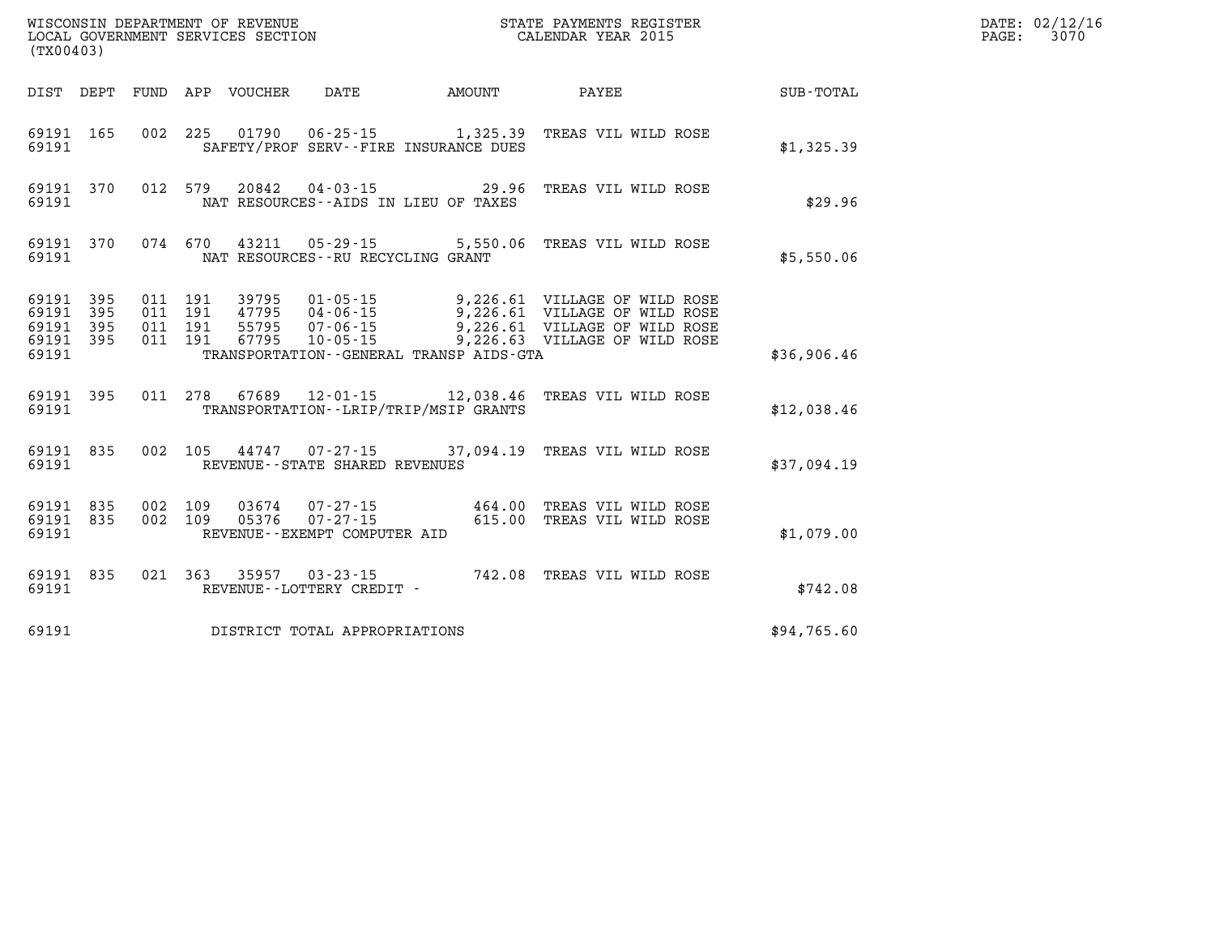| (TX00403)                                |                        |                                          |                                 | WISCONSIN DEPARTMENT OF REVENUE<br>LOCAL GOVERNMENT SERVICES SECTION |                                              | STATE PAYMENTS REGISTER<br>CALENDAR YEAR 2015                                                                                                                  |             | DATE: 02/12/16<br>3070<br>$\mathtt{PAGE}$ : |
|------------------------------------------|------------------------|------------------------------------------|---------------------------------|----------------------------------------------------------------------|----------------------------------------------|----------------------------------------------------------------------------------------------------------------------------------------------------------------|-------------|---------------------------------------------|
|                                          |                        |                                          | DIST DEPT FUND APP VOUCHER DATE |                                                                      | <b>AMOUNT</b>                                | <b>PAYEE</b>                                                                                                                                                   | SUB-TOTAL   |                                             |
| 69191                                    | 69191 165              |                                          |                                 |                                                                      | SAFETY/PROF SERV--FIRE INSURANCE DUES        | 002 225 01790 06-25-15 1,325.39 TREAS VIL WILD ROSE                                                                                                            | \$1,325.39  |                                             |
| 69191                                    | 69191 370              |                                          |                                 |                                                                      | NAT RESOURCES--AIDS IN LIEU OF TAXES         | 012 579 20842 04-03-15 29.96 TREAS VIL WILD ROSE                                                                                                               | \$29.96     |                                             |
| 69191                                    | 69191 370              | 074 670                                  | 43211                           | NAT RESOURCES - - RU RECYCLING GRANT                                 |                                              | 05-29-15   5,550.06 TREAS VIL WILD ROSE                                                                                                                        | \$5,550.06  |                                             |
| 69191 395<br>69191 395<br>69191<br>69191 | 395<br>69191 395       | 011 191<br>011 191<br>011 191<br>011 191 | 67795                           | $10 - 05 - 15$                                                       | TRANSPORTATION - - GENERAL TRANSP AIDS - GTA | 9,226.61 VILLAGE OF WILD ROSE<br>47795 04-06-15 9,226.61 VILLAGE OF WILD ROSE<br>55795 07-06-15 9,226.61 VILLAGE OF WILD ROSE<br>9,226.63 VILLAGE OF WILD ROSE | \$36,906.46 |                                             |
| 69191                                    | 69191 395              |                                          |                                 |                                                                      | TRANSPORTATION - - LRIP/TRIP/MSIP GRANTS     | 011  278  67689  12-01-15  12,038.46  TREAS VIL WILD ROSE                                                                                                      | \$12,038.46 |                                             |
| 69191                                    | 69191 835              |                                          |                                 | REVENUE - - STATE SHARED REVENUES                                    |                                              | 002 105 44747 07-27-15 37,094.19 TREAS VIL WILD ROSE                                                                                                           | \$37,094.19 |                                             |
| 69191                                    | 69191 835<br>69191 835 | 002 109<br>002 109                       |                                 | REVENUE--EXEMPT COMPUTER AID                                         | 03674  07-27-15  464.00                      | TREAS VIL WILD ROSE<br>05376  07-27-15  615.00  TREAS VIL WILD ROSE                                                                                            | \$1,079.00  |                                             |
| 69191                                    | 69191 835              |                                          |                                 | REVENUE--LOTTERY CREDIT -                                            |                                              | 021  363  35957  03-23-15  742.08  TREAS VIL WILD ROSE                                                                                                         | \$742.08    |                                             |
| 69191                                    |                        |                                          |                                 | DISTRICT TOTAL APPROPRIATIONS                                        |                                              |                                                                                                                                                                | \$94,765.60 |                                             |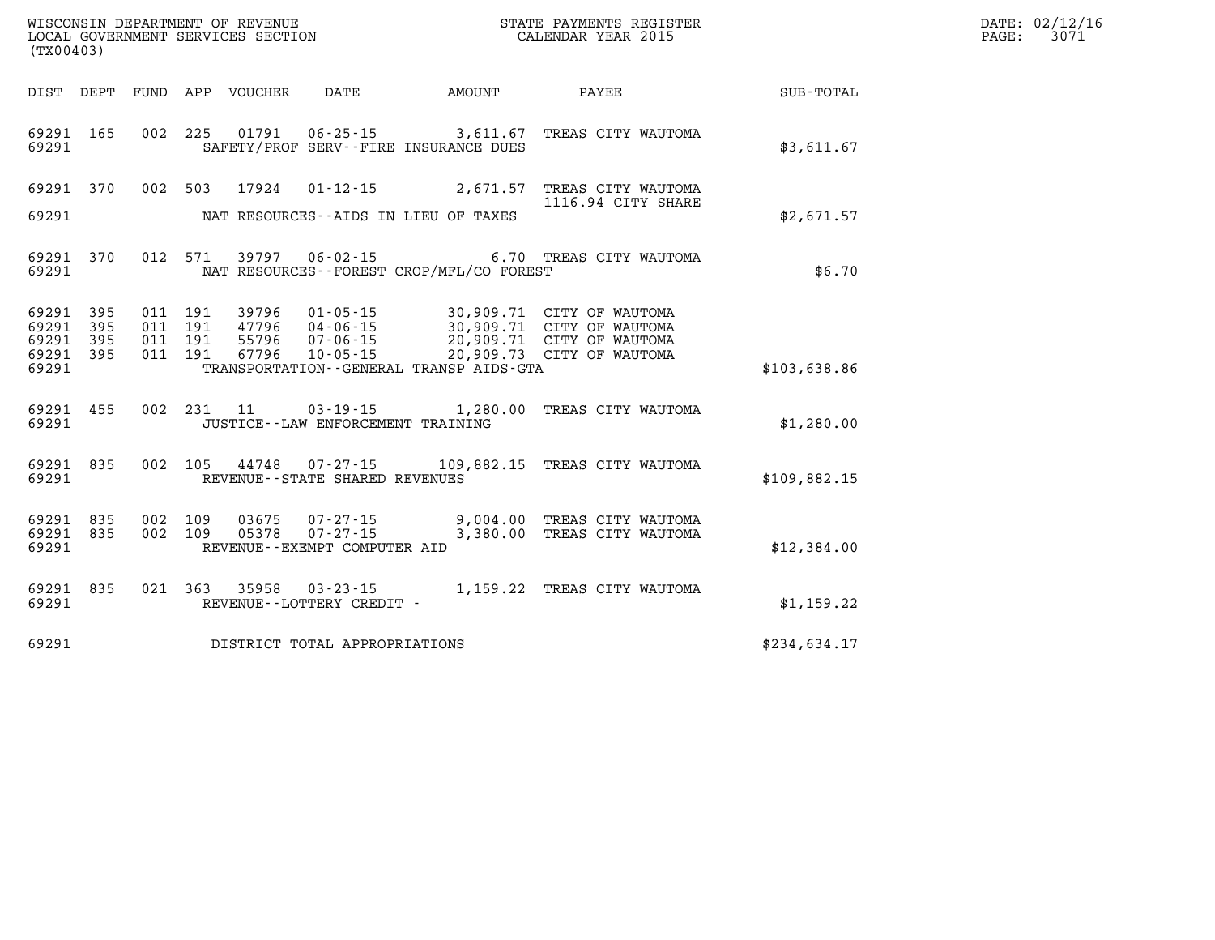| $\texttt{DATE}$ : | 02/12/16 |
|-------------------|----------|
| PAGE:             | 3071     |

| (TX00403)               |            |            |            | WISCONSIN DEPARTMENT OF REVENUE<br>LOCAL GOVERNMENT SERVICES SECTION |                                             |                                             | STATE PAYMENTS REGISTER<br>CALENDAR YEAR 2015          |              |
|-------------------------|------------|------------|------------|----------------------------------------------------------------------|---------------------------------------------|---------------------------------------------|--------------------------------------------------------|--------------|
| DIST                    | DEPT       | FUND       | APP        |                                                                      | VOUCHER DATE AMOUNT                         |                                             | <b>PAYEE</b>                                           | SUB-TOTAL    |
| 69291<br>69291          | 165        | 002        | 225        |                                                                      | SAFETY/PROF SERV--FIRE INSURANCE DUES       |                                             | 01791  06-25-15  3,611.67  TREAS CITY WAUTOMA          | \$3,611.67   |
| 69291                   | 370        | 002        | 503        | 17924                                                                | $01 - 12 - 15$                              | 2,671.57                                    | TREAS CITY WAUTOMA<br>1116.94 CITY SHARE               |              |
| 69291                   |            |            |            |                                                                      | NAT RESOURCES -- AIDS IN LIEU OF TAXES      |                                             |                                                        | \$2,671.57   |
| 69291<br>69291          | 370        | 012        | 571        |                                                                      | 39797 06-02-15                              | NAT RESOURCES - - FOREST CROP/MFL/CO FOREST | 6.70 TREAS CITY WAUTOMA                                | \$6.70       |
| 69291<br>69291          | 395<br>395 | 011<br>011 | 191<br>191 | 47796                                                                | 39796  01-05-15<br>04-06-15<br>07-06-15     |                                             | 30,909.71 CITY OF WAUTOMA<br>30,909.71 CITY OF WAUTOMA |              |
| 69291<br>69291<br>69291 | 395<br>395 | 011<br>011 | 191<br>191 | 55796<br>67796                                                       | $10 - 05 - 15$                              | TRANSPORTATION--GENERAL TRANSP AIDS-GTA     | 20,909.71 CITY OF WAUTOMA<br>20,909.73 CITY OF WAUTOMA | \$103,638.86 |
| 69291<br>69291          | 455        | 002        | 231        | 11                                                                   | JUSTICE - - LAW ENFORCEMENT TRAINING        | $03 - 19 - 15$ 1, 280.00                    | TREAS CITY WAUTOMA                                     | \$1,280.00   |
|                         |            |            |            |                                                                      |                                             |                                             |                                                        |              |
| 69291 835<br>69291      |            | 002        | 105        |                                                                      | REVENUE - - STATE SHARED REVENUES           |                                             | 44748 07-27-15 109,882.15 TREAS CITY WAUTOMA           | \$109,882.15 |
| 69291<br>69291          | 835<br>835 | 002<br>002 | 109<br>109 | 03675<br>05378                                                       | $07 - 27 - 15$<br>$07 - 27 - 15$            | 3,380.00                                    | 9,004.00 TREAS CITY WAUTOMA<br>TREAS CITY WAUTOMA      |              |
| 69291                   |            |            |            |                                                                      | REVENUE--EXEMPT COMPUTER AID                |                                             |                                                        | \$12,384.00  |
| 69291<br>69291          | 835        | 021        |            | 363 35958                                                            | $03 - 23 - 15$<br>REVENUE--LOTTERY CREDIT - |                                             | 1,159.22 TREAS CITY WAUTOMA                            | \$1,159.22   |
| 69291                   |            |            |            |                                                                      | DISTRICT TOTAL APPROPRIATIONS               |                                             |                                                        | \$234,634.17 |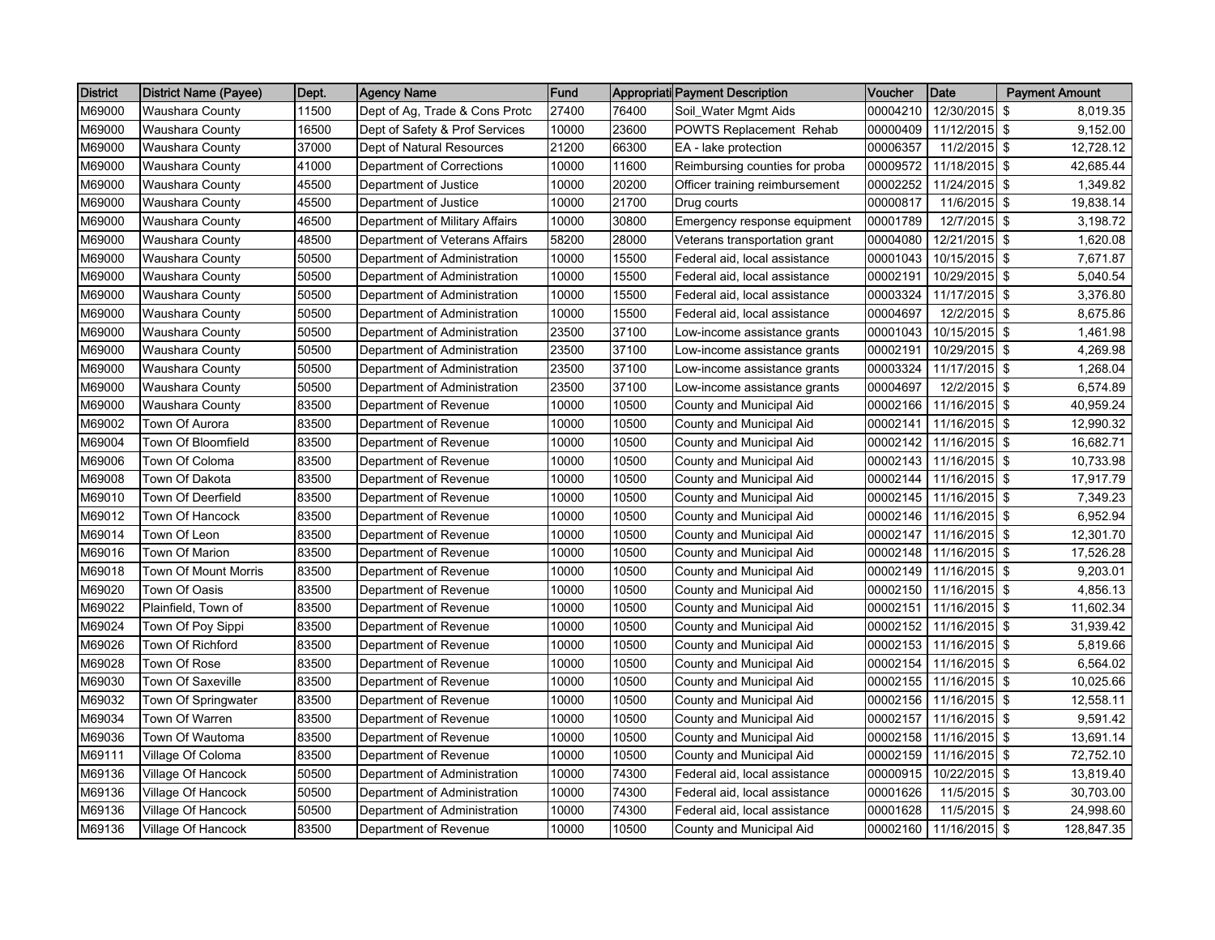| <b>District</b> | <b>District Name (Payee)</b> | Dept. | <b>Agency Name</b>             | Fund  |       | Appropriati Payment Description | Voucher  | <b>Date</b>   | <b>Payment Amount</b> |
|-----------------|------------------------------|-------|--------------------------------|-------|-------|---------------------------------|----------|---------------|-----------------------|
| M69000          | <b>Waushara County</b>       | 11500 | Dept of Ag, Trade & Cons Protc | 27400 | 76400 | Soil_Water Mgmt Aids            | 00004210 | 12/30/2015    | 8,019.35<br>\$        |
| M69000          | <b>Waushara County</b>       | 16500 | Dept of Safety & Prof Services | 10000 | 23600 | POWTS Replacement Rehab         | 00000409 | 11/12/2015 \$ | 9,152.00              |
| M69000          | Waushara County              | 37000 | Dept of Natural Resources      | 21200 | 66300 | EA - lake protection            | 00006357 | 11/2/2015     | <b>S</b><br>12,728.12 |
| M69000          | Waushara County              | 41000 | Department of Corrections      | 10000 | 11600 | Reimbursing counties for proba  | 00009572 | 11/18/2015 \$ | 42,685.44             |
| M69000          | Waushara County              | 45500 | Department of Justice          | 10000 | 20200 | Officer training reimbursement  | 00002252 | 11/24/2015 \$ | 1,349.82              |
| M69000          | Waushara County              | 45500 | Department of Justice          | 10000 | 21700 | Drug courts                     | 00000817 | 11/6/2015 \$  | 19,838.14             |
| M69000          | <b>Waushara County</b>       | 46500 | Department of Military Affairs | 10000 | 30800 | Emergency response equipment    | 00001789 | 12/7/2015 \$  | 3,198.72              |
| M69000          | <b>Waushara County</b>       | 48500 | Department of Veterans Affairs | 58200 | 28000 | Veterans transportation grant   | 00004080 | 12/21/2015 \$ | 1,620.08              |
| M69000          | Waushara County              | 50500 | Department of Administration   | 10000 | 15500 | Federal aid, local assistance   | 00001043 | 10/15/2015    | \$<br>7,671.87        |
| M69000          | Waushara County              | 50500 | Department of Administration   | 10000 | 15500 | Federal aid, local assistance   | 00002191 | 10/29/2015 \$ | 5,040.54              |
| M69000          | Waushara County              | 50500 | Department of Administration   | 10000 | 15500 | Federal aid, local assistance   | 00003324 | 11/17/2015 \$ | 3,376.80              |
| M69000          | Waushara County              | 50500 | Department of Administration   | 10000 | 15500 | Federal aid, local assistance   | 00004697 | 12/2/2015     | -\$<br>8,675.86       |
| M69000          | Waushara County              | 50500 | Department of Administration   | 23500 | 37100 | Low-income assistance grants    | 00001043 | 10/15/2015 \$ | 1,461.98              |
| M69000          | Waushara County              | 50500 | Department of Administration   | 23500 | 37100 | Low-income assistance grants    | 00002191 | 10/29/2015 \$ | 4,269.98              |
| M69000          | Waushara County              | 50500 | Department of Administration   | 23500 | 37100 | Low-income assistance grants    | 00003324 | 11/17/2015 \$ | 1,268.04              |
| M69000          | Waushara County              | 50500 | Department of Administration   | 23500 | 37100 | Low-income assistance grants    | 00004697 | 12/2/2015 \$  | 6,574.89              |
| M69000          | <b>Waushara County</b>       | 83500 | Department of Revenue          | 10000 | 10500 | County and Municipal Aid        | 00002166 | 11/16/2015 \$ | 40,959.24             |
| M69002          | Town Of Aurora               | 83500 | Department of Revenue          | 10000 | 10500 | County and Municipal Aid        | 00002141 | 11/16/2015 \$ | 12,990.32             |
| M69004          | Town Of Bloomfield           | 83500 | Department of Revenue          | 10000 | 10500 | County and Municipal Aid        | 00002142 | 11/16/2015 \$ | 16,682.71             |
| M69006          | Town Of Coloma               | 83500 | Department of Revenue          | 10000 | 10500 | County and Municipal Aid        | 00002143 | 11/16/2015 \$ | 10,733.98             |
| M69008          | Town Of Dakota               | 83500 | Department of Revenue          | 10000 | 10500 | County and Municipal Aid        | 00002144 | 11/16/2015 \$ | 17,917.79             |
| M69010          | Town Of Deerfield            | 83500 | Department of Revenue          | 10000 | 10500 | County and Municipal Aid        | 00002145 | 11/16/2015 \$ | 7,349.23              |
| M69012          | Town Of Hancock              | 83500 | Department of Revenue          | 10000 | 10500 | County and Municipal Aid        | 00002146 | 11/16/2015    | 6,952.94<br><b>S</b>  |
| M69014          | Town Of Leon                 | 83500 | Department of Revenue          | 10000 | 10500 | County and Municipal Aid        | 00002147 | 11/16/2015 \$ | 12,301.70             |
| M69016          | Town Of Marion               | 83500 | Department of Revenue          | 10000 | 10500 | County and Municipal Aid        | 00002148 | 11/16/2015 \$ | 17,526.28             |
| M69018          | Town Of Mount Morris         | 83500 | Department of Revenue          | 10000 | 10500 | County and Municipal Aid        | 00002149 | 11/16/2015    | l \$<br>9,203.01      |
| M69020          | Town Of Oasis                | 83500 | Department of Revenue          | 10000 | 10500 | County and Municipal Aid        | 00002150 | 11/16/2015 \$ | 4,856.13              |
| M69022          | Plainfield, Town of          | 83500 | Department of Revenue          | 10000 | 10500 | County and Municipal Aid        | 00002151 | 11/16/2015 \$ | 11,602.34             |
| M69024          | Town Of Poy Sippi            | 83500 | Department of Revenue          | 10000 | 10500 | County and Municipal Aid        | 00002152 | 11/16/2015 \$ | 31,939.42             |
| M69026          | Town Of Richford             | 83500 | Department of Revenue          | 10000 | 10500 | County and Municipal Aid        | 00002153 | 11/16/2015 \$ | 5,819.66              |
| M69028          | Town Of Rose                 | 83500 | Department of Revenue          | 10000 | 10500 | County and Municipal Aid        | 00002154 | 11/16/2015 \$ | 6,564.02              |
| M69030          | Town Of Saxeville            | 83500 | Department of Revenue          | 10000 | 10500 | County and Municipal Aid        | 00002155 | 11/16/2015 \$ | 10,025.66             |
| M69032          | Town Of Springwater          | 83500 | Department of Revenue          | 10000 | 10500 | County and Municipal Aid        | 00002156 | 11/16/2015 \$ | 12,558.11             |
| M69034          | Town Of Warren               | 83500 | Department of Revenue          | 10000 | 10500 | County and Municipal Aid        | 00002157 | 11/16/2015    | l \$<br>9,591.42      |
| M69036          | Town Of Wautoma              | 83500 | Department of Revenue          | 10000 | 10500 | County and Municipal Aid        | 00002158 | 11/16/2015 \$ | 13,691.14             |
| M69111          | Village Of Coloma            | 83500 | Department of Revenue          | 10000 | 10500 | County and Municipal Aid        | 00002159 | 11/16/2015 \$ | 72,752.10             |
| M69136          | Village Of Hancock           | 50500 | Department of Administration   | 10000 | 74300 | Federal aid, local assistance   | 00000915 | 10/22/2015    | -\$<br>13,819.40      |
| M69136          | Village Of Hancock           | 50500 | Department of Administration   | 10000 | 74300 | Federal aid, local assistance   | 00001626 | 11/5/2015 \$  | 30,703.00             |
| M69136          | Village Of Hancock           | 50500 | Department of Administration   | 10000 | 74300 | Federal aid, local assistance   | 00001628 | 11/5/2015 \$  | 24,998.60             |
| M69136          | Village Of Hancock           | 83500 | Department of Revenue          | 10000 | 10500 | County and Municipal Aid        | 00002160 | 11/16/2015 \$ | 128,847.35            |